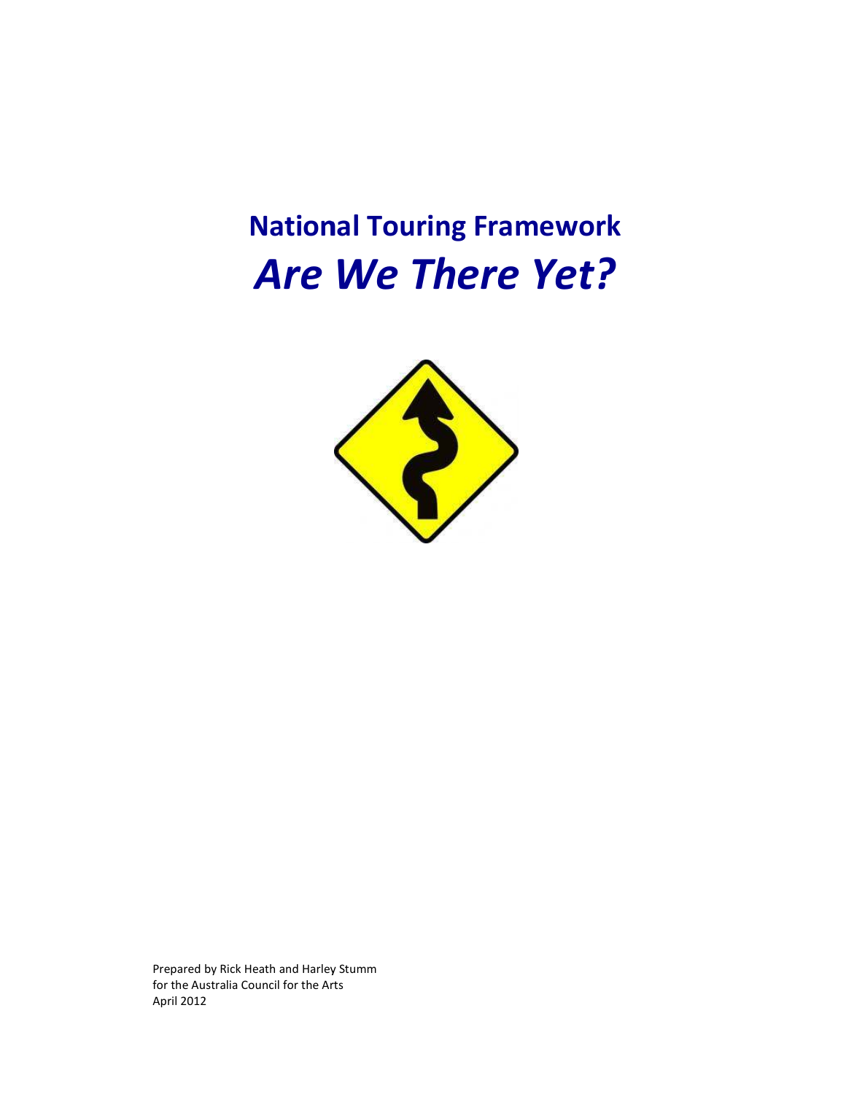# **National Touring Framework** *Are We There Yet Are Yet?*



Prepared by Rick Heath and Harley Stumm<br>for the Australia Council for the Arts for the Australia Council for the Arts April 2012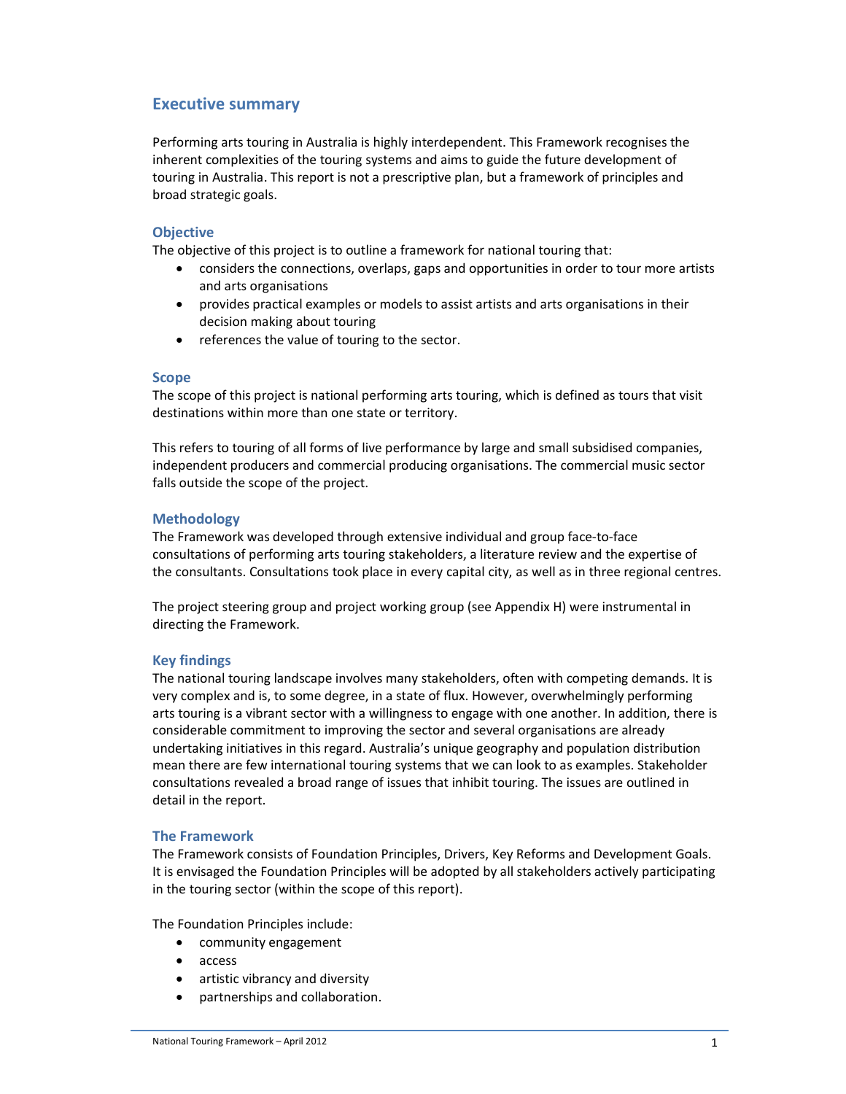# **Executive summary**

Performing arts touring in Australia is highly interdependent. This Framework recognises the inherent complexities of the touring systems and aims to guide the future development of touring in Australia. This report is not a prescriptive plan, but a framework of principles and broad strategic goals.

#### **Objective**

The objective of this project is to outline a framework for national touring that:

- considers the connections, overlaps, gaps and opportunities in order to tour more artists and arts organisations
- provides practical examples or models to assist artists and arts organisations in their decision making about touring
- references the value of touring to the sector.

#### **Scope**

The scope of this project is national performing arts touring, which is defined as tours that visit destinations within more than one state or territory.

This refers to touring of all forms of live performance by large and small subsidised companies, independent producers and commercial producing organisations. The commercial music sector falls outside the scope of the project.

#### **Methodology**

The Framework was developed through extensive individual and group face-to-face consultations of performing arts touring stakeholders, a literature review and the expertise of the consultants. Consultations took place in every capital city, as well as in three regional centres.

The project steering group and project working group (see Appendix H) were instrumental in directing the Framework.

#### **Key findings**

The national touring landscape involves many stakeholders, often with competing demands. It is very complex and is, to some degree, in a state of flux. However, overwhelmingly performing arts touring is a vibrant sector with a willingness to engage with one another. In addition, there is considerable commitment to improving the sector and several organisations are already undertaking initiatives in this regard. Australia's unique geography and population distribution mean there are few international touring systems that we can look to as examples. Stakeholder consultations revealed a broad range of issues that inhibit touring. The issues are outlined in detail in the report.

#### **The Framework**

The Framework consists of Foundation Principles, Drivers, Key Reforms and Development Goals. It is envisaged the Foundation Principles will be adopted by all stakeholders actively participating in the touring sector (within the scope of this report).

The Foundation Principles include:

- community engagement
- access
- artistic vibrancy and diversity
- partnerships and collaboration.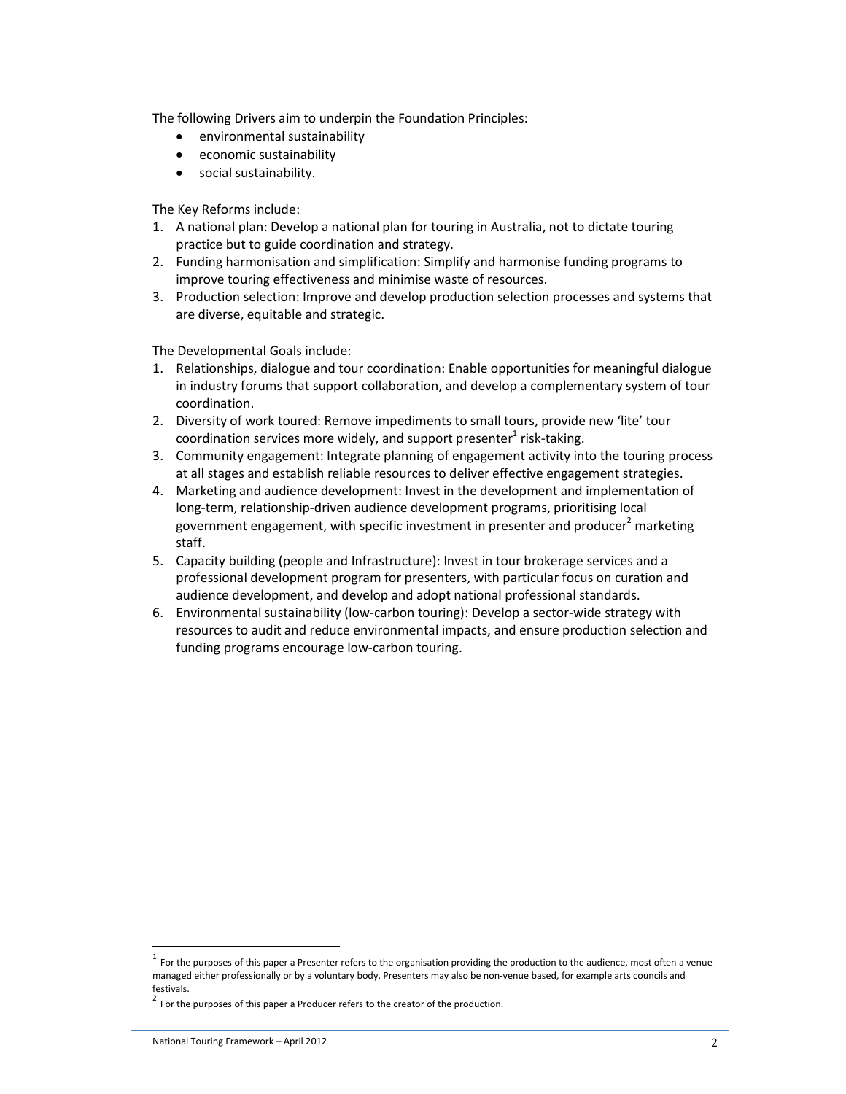The following Drivers aim to underpin the Foundation Principles:

- environmental sustainability
- economic sustainability
- social sustainability.

The Key Reforms include:

- 1. A national plan: Develop a national plan for touring in Australia, not to dictate touring practice but to guide coordination and strategy.
- 2. Funding harmonisation and simplification: Simplify and harmonise funding programs to improve touring effectiveness and minimise waste of resources.
- 3. Production selection: Improve and develop production selection processes and systems that are diverse, equitable and strategic.

The Developmental Goals include:

- 1. Relationships, dialogue and tour coordination: Enable opportunities for meaningful dialogue in industry forums that support collaboration, and develop a complementary system of tour coordination.
- 2. Diversity of work toured: Remove impediments to small tours, provide new 'lite' tour coordination services more widely, and support presenter $^1$  risk-taking.
- 3. Community engagement: Integrate planning of engagement activity into the touring process at all stages and establish reliable resources to deliver effective engagement strategies.
- 4. Marketing and audience development: Invest in the development and implementation of long-term, relationship-driven audience development programs, prioritising local government engagement, with specific investment in presenter and producer<sup>2</sup> marketing staff.
- 5. Capacity building (people and Infrastructure): Invest in tour brokerage services and a professional development program for presenters, with particular focus on curation and audience development, and develop and adopt national professional standards.
- 6. Environmental sustainability (low-carbon touring): Develop a sector-wide strategy with resources to audit and reduce environmental impacts, and ensure production selection and funding programs encourage low-carbon touring.

 $\overline{a}$ 

 $1$  For the purposes of this paper a Presenter refers to the organisation providing the production to the audience, most often a venue managed either professionally or by a voluntary body. Presenters may also be non-venue based, for example arts councils and festivals.

 $2$  For the purposes of this paper a Producer refers to the creator of the production.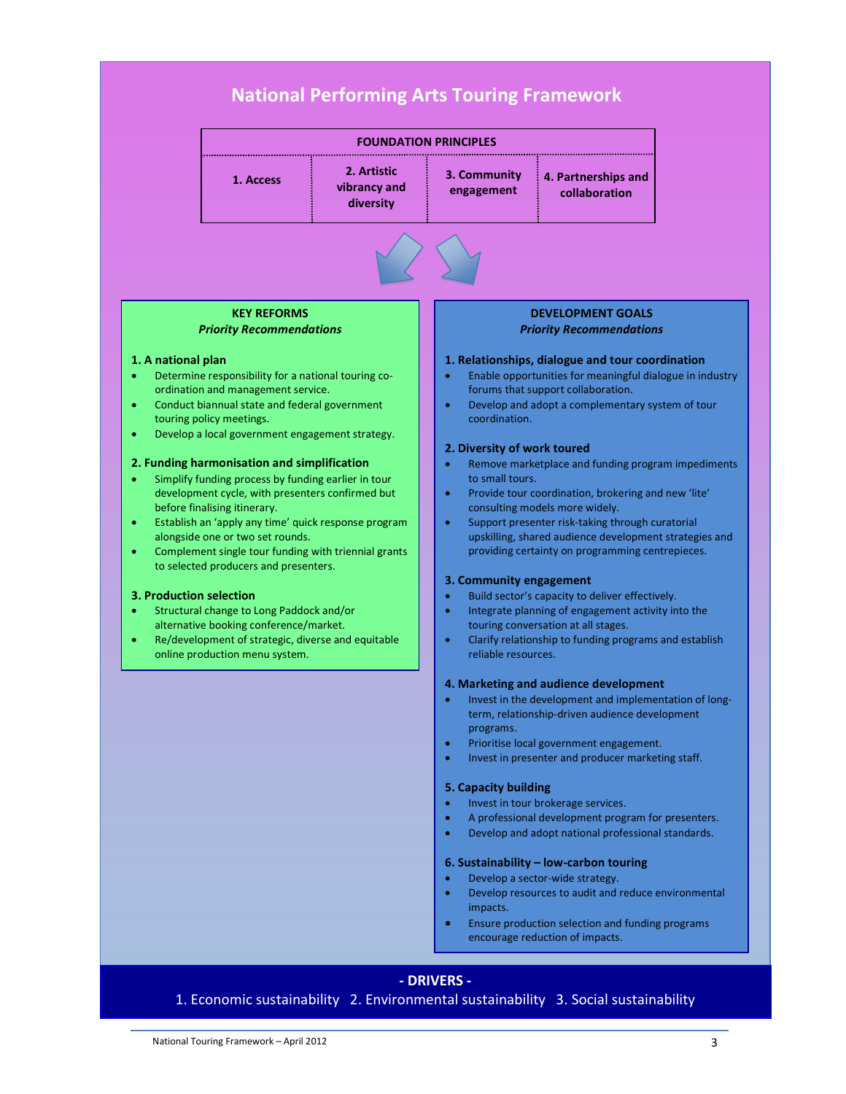

# **- DRIVERS -**

1. Economic sustainability 2. Environmental sustainability 3. Social sustainability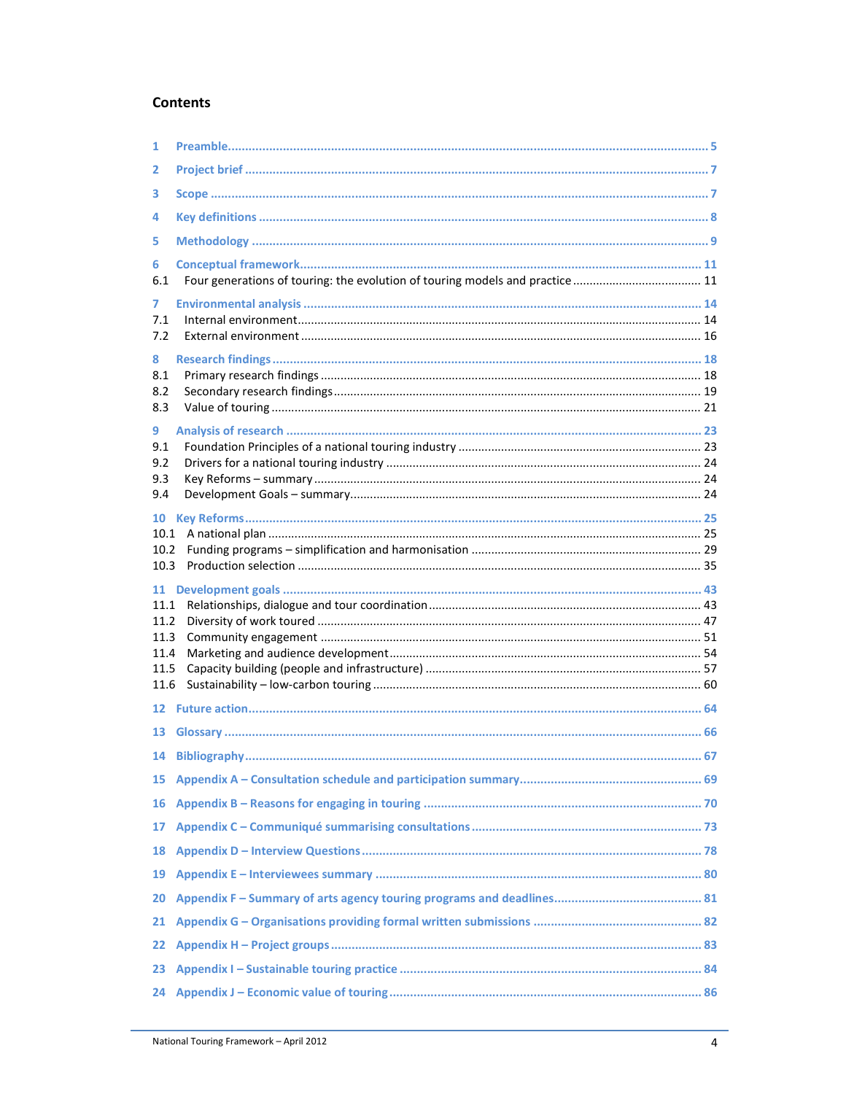## **Contents**

| 1               |                 |    |
|-----------------|-----------------|----|
| 2               |                 |    |
| 3               |                 |    |
| 4               |                 |    |
| 5               |                 |    |
| 6<br>6.1        |                 |    |
|                 |                 |    |
| 7<br>7.1        |                 |    |
| 7.2             |                 |    |
| 8               |                 |    |
| 8.1             |                 |    |
| 8.2<br>8.3      |                 |    |
| 9               |                 |    |
| 9.1             |                 |    |
| 9.2             |                 |    |
| 9.3<br>9.4      |                 |    |
|                 |                 |    |
| 10<br>10.1      |                 |    |
| 10.2            |                 |    |
|                 |                 |    |
| 10.3            |                 |    |
|                 |                 |    |
| 11.1            |                 |    |
| 11.2            |                 |    |
| 11.3<br>11.4    |                 |    |
| 11.5            |                 |    |
| 11.6            |                 |    |
|                 |                 |    |
| 13              |                 |    |
|                 | 14 Bibliography | 67 |
|                 |                 |    |
|                 |                 |    |
| 17              |                 |    |
| 18              |                 |    |
| 19              |                 |    |
| 20              |                 |    |
| 21              |                 |    |
| 22 <sub>2</sub> |                 |    |
| 23              |                 |    |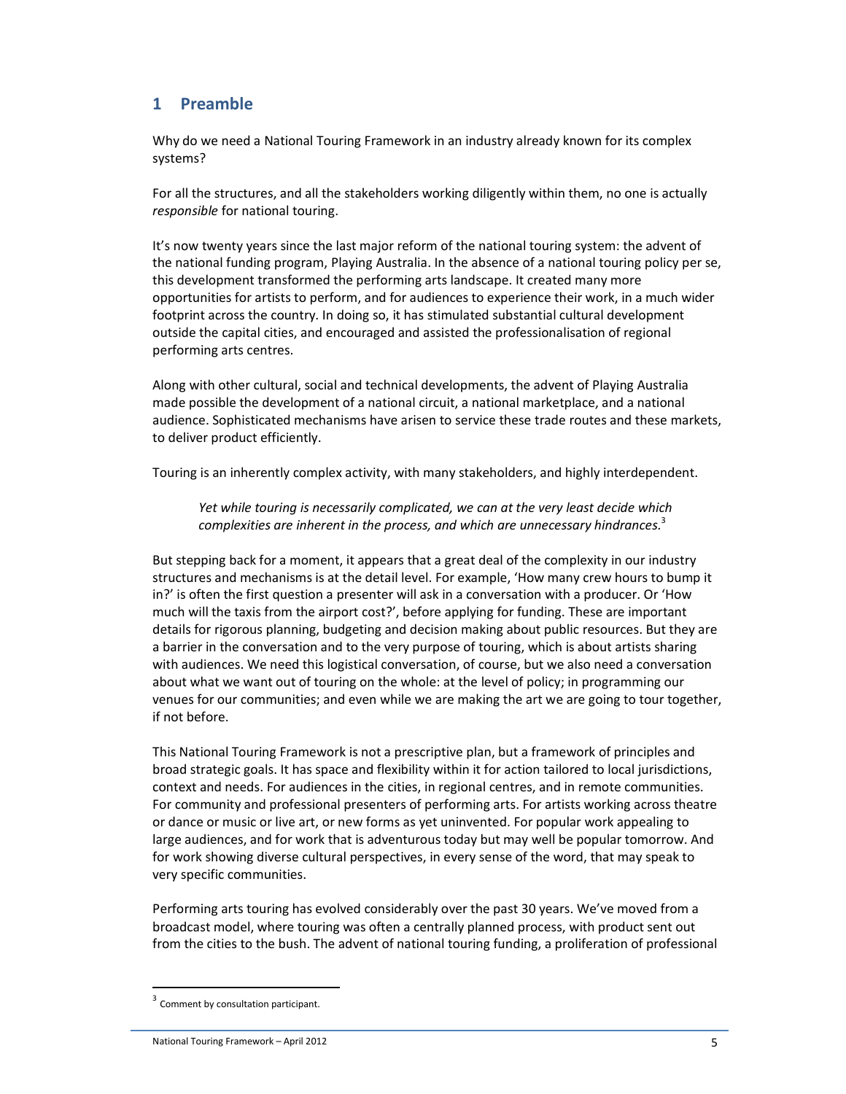# **1 Preamble**

Why do we need a National Touring Framework in an industry already known for its complex systems?

For all the structures, and all the stakeholders working diligently within them, no one is actually *responsible* for national touring.

It's now twenty years since the last major reform of the national touring system: the advent of the national funding program, Playing Australia. In the absence of a national touring policy per se, this development transformed the performing arts landscape. It created many more opportunities for artists to perform, and for audiences to experience their work, in a much wider footprint across the country. In doing so, it has stimulated substantial cultural development outside the capital cities, and encouraged and assisted the professionalisation of regional performing arts centres.

Along with other cultural, social and technical developments, the advent of Playing Australia made possible the development of a national circuit, a national marketplace, and a national audience. Sophisticated mechanisms have arisen to service these trade routes and these markets, to deliver product efficiently.

Touring is an inherently complex activity, with many stakeholders, and highly interdependent.

*Yet while touring is necessarily complicated, we can at the very least decide which complexities are inherent in the process, and which are unnecessary hindrances.*<sup>3</sup>

But stepping back for a moment, it appears that a great deal of the complexity in our industry structures and mechanisms is at the detail level. For example, 'How many crew hours to bump it in?' is often the first question a presenter will ask in a conversation with a producer. Or 'How much will the taxis from the airport cost?', before applying for funding. These are important details for rigorous planning, budgeting and decision making about public resources. But they are a barrier in the conversation and to the very purpose of touring, which is about artists sharing with audiences. We need this logistical conversation, of course, but we also need a conversation about what we want out of touring on the whole: at the level of policy; in programming our venues for our communities; and even while we are making the art we are going to tour together, if not before.

This National Touring Framework is not a prescriptive plan, but a framework of principles and broad strategic goals. It has space and flexibility within it for action tailored to local jurisdictions, context and needs. For audiences in the cities, in regional centres, and in remote communities. For community and professional presenters of performing arts. For artists working across theatre or dance or music or live art, or new forms as yet uninvented. For popular work appealing to large audiences, and for work that is adventurous today but may well be popular tomorrow. And for work showing diverse cultural perspectives, in every sense of the word, that may speak to very specific communities.

Performing arts touring has evolved considerably over the past 30 years. We've moved from a broadcast model, where touring was often a centrally planned process, with product sent out from the cities to the bush. The advent of national touring funding, a proliferation of professional

 $\overline{a}$ 

<sup>&</sup>lt;sup>3</sup> Comment by consultation participant.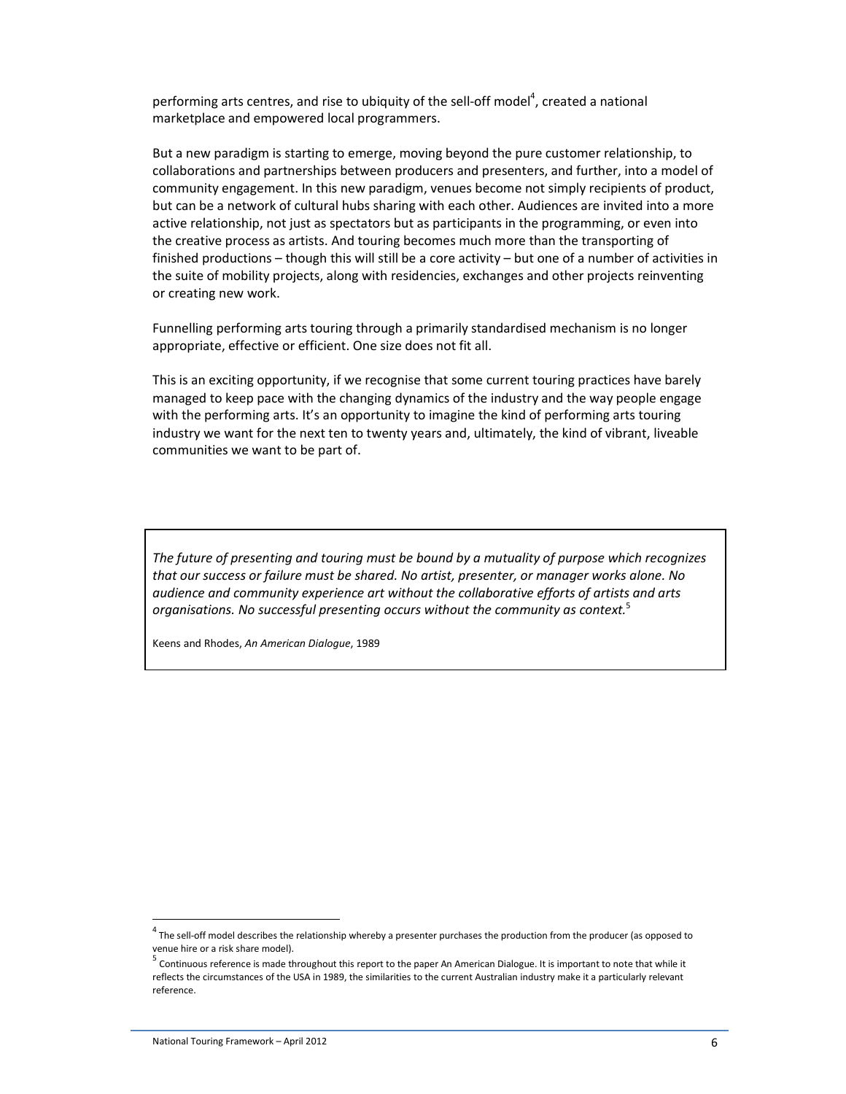performing arts centres, and rise to ubiquity of the sell-off model<sup>4</sup>, created a national marketplace and empowered local programmers.

But a new paradigm is starting to emerge, moving beyond the pure customer relationship, to collaborations and partnerships between producers and presenters, and further, into a model of community engagement. In this new paradigm, venues become not simply recipients of product, but can be a network of cultural hubs sharing with each other. Audiences are invited into a more active relationship, not just as spectators but as participants in the programming, or even into the creative process as artists. And touring becomes much more than the transporting of finished productions – though this will still be a core activity – but one of a number of activities in the suite of mobility projects, along with residencies, exchanges and other projects reinventing or creating new work.

Funnelling performing arts touring through a primarily standardised mechanism is no longer appropriate, effective or efficient. One size does not fit all.

This is an exciting opportunity, if we recognise that some current touring practices have barely managed to keep pace with the changing dynamics of the industry and the way people engage with the performing arts. It's an opportunity to imagine the kind of performing arts touring industry we want for the next ten to twenty years and, ultimately, the kind of vibrant, liveable communities we want to be part of.

*The future of presenting and touring must be bound by a mutuality of purpose which recognizes that our success or failure must be shared. No artist, presenter, or manager works alone. No audience and community experience art without the collaborative efforts of artists and arts organisations. No successful presenting occurs without the community as context.*<sup>5</sup>

Keens and Rhodes, *An American Dialogue*, 1989

 $\overline{\phantom{a}}$ 

 $4$  The sell-off model describes the relationship whereby a presenter purchases the production from the producer (as opposed to venue hire or a risk share model).

<sup>&</sup>lt;sup>5</sup> Continuous reference is made throughout this report to the paper An American Dialogue. It is important to note that while it reflects the circumstances of the USA in 1989, the similarities to the current Australian industry make it a particularly relevant reference.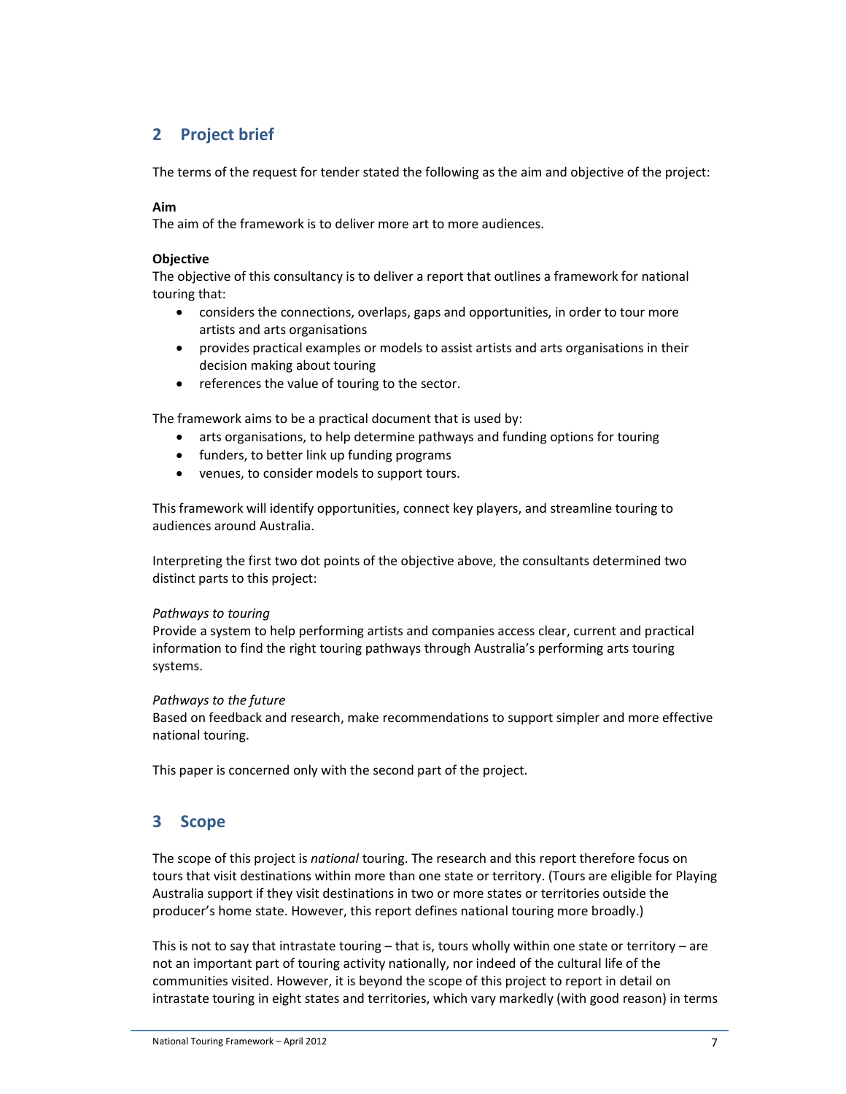# **2 Project brief**

The terms of the request for tender stated the following as the aim and objective of the project:

### **Aim**

The aim of the framework is to deliver more art to more audiences.

#### **Objective**

The objective of this consultancy is to deliver a report that outlines a framework for national touring that:

- considers the connections, overlaps, gaps and opportunities, in order to tour more artists and arts organisations
- provides practical examples or models to assist artists and arts organisations in their decision making about touring
- references the value of touring to the sector.

The framework aims to be a practical document that is used by:

- arts organisations, to help determine pathways and funding options for touring
- funders, to better link up funding programs
- venues, to consider models to support tours.

This framework will identify opportunities, connect key players, and streamline touring to audiences around Australia.

Interpreting the first two dot points of the objective above, the consultants determined two distinct parts to this project:

#### *Pathways to touring*

Provide a system to help performing artists and companies access clear, current and practical information to find the right touring pathways through Australia's performing arts touring systems.

#### *Pathways to the future*

Based on feedback and research, make recommendations to support simpler and more effective national touring.

This paper is concerned only with the second part of the project.

# **3 Scope**

The scope of this project is *national* touring. The research and this report therefore focus on tours that visit destinations within more than one state or territory. (Tours are eligible for Playing Australia support if they visit destinations in two or more states or territories outside the producer's home state. However, this report defines national touring more broadly.)

This is not to say that intrastate touring - that is, tours wholly within one state or territory - are not an important part of touring activity nationally, nor indeed of the cultural life of the communities visited. However, it is beyond the scope of this project to report in detail on intrastate touring in eight states and territories, which vary markedly (with good reason) in terms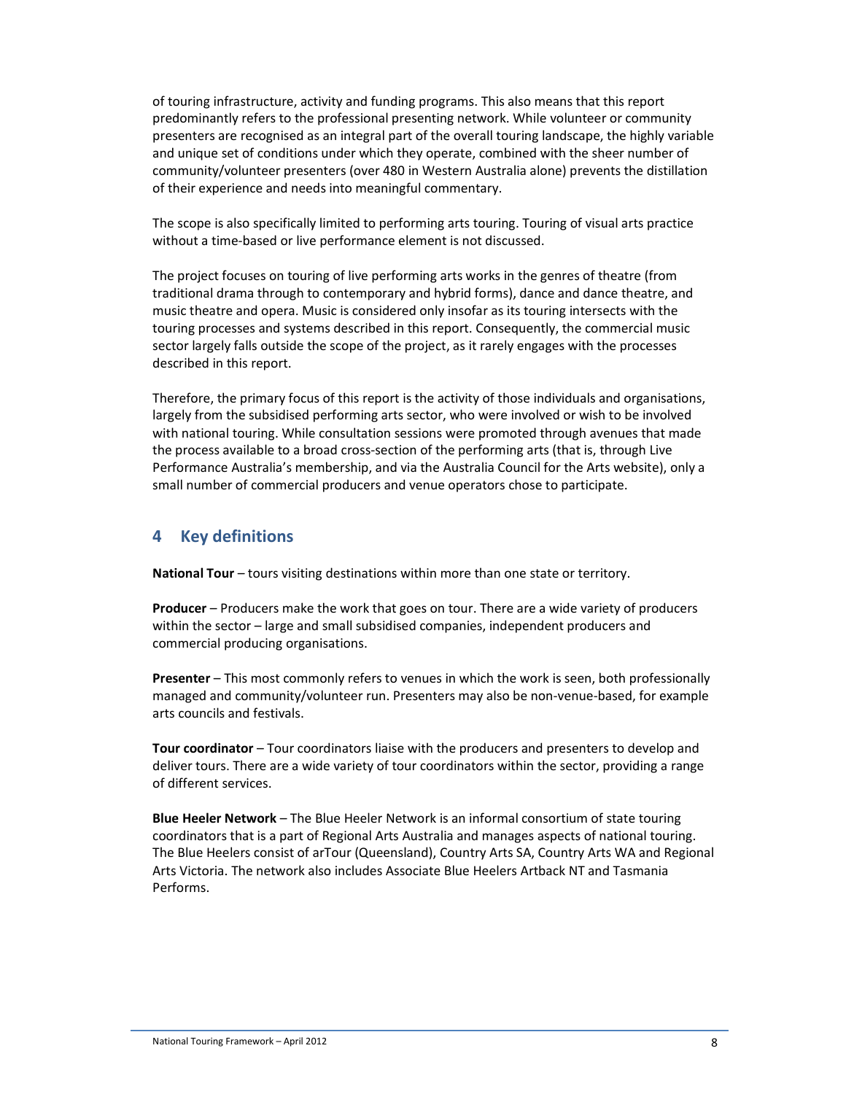of touring infrastructure, activity and funding programs. This also means that this report predominantly refers to the professional presenting network. While volunteer or community presenters are recognised as an integral part of the overall touring landscape, the highly variable and unique set of conditions under which they operate, combined with the sheer number of community/volunteer presenters (over 480 in Western Australia alone) prevents the distillation of their experience and needs into meaningful commentary.

The scope is also specifically limited to performing arts touring. Touring of visual arts practice without a time-based or live performance element is not discussed.

The project focuses on touring of live performing arts works in the genres of theatre (from traditional drama through to contemporary and hybrid forms), dance and dance theatre, and music theatre and opera. Music is considered only insofar as its touring intersects with the touring processes and systems described in this report. Consequently, the commercial music sector largely falls outside the scope of the project, as it rarely engages with the processes described in this report.

Therefore, the primary focus of this report is the activity of those individuals and organisations, largely from the subsidised performing arts sector, who were involved or wish to be involved with national touring. While consultation sessions were promoted through avenues that made the process available to a broad cross-section of the performing arts (that is, through Live Performance Australia's membership, and via the Australia Council for the Arts website), only a small number of commercial producers and venue operators chose to participate.

# **4 Key definitions**

**National Tour** – tours visiting destinations within more than one state or territory.

**Producer** – Producers make the work that goes on tour. There are a wide variety of producers within the sector – large and small subsidised companies, independent producers and commercial producing organisations.

**Presenter** – This most commonly refers to venues in which the work is seen, both professionally managed and community/volunteer run. Presenters may also be non-venue-based, for example arts councils and festivals.

**Tour coordinator** – Tour coordinators liaise with the producers and presenters to develop and deliver tours. There are a wide variety of tour coordinators within the sector, providing a range of different services.

**Blue Heeler Network** – The Blue Heeler Network is an informal consortium of state touring coordinators that is a part of Regional Arts Australia and manages aspects of national touring. The Blue Heelers consist of arTour (Queensland), Country Arts SA, Country Arts WA and Regional Arts Victoria. The network also includes Associate Blue Heelers Artback NT and Tasmania Performs.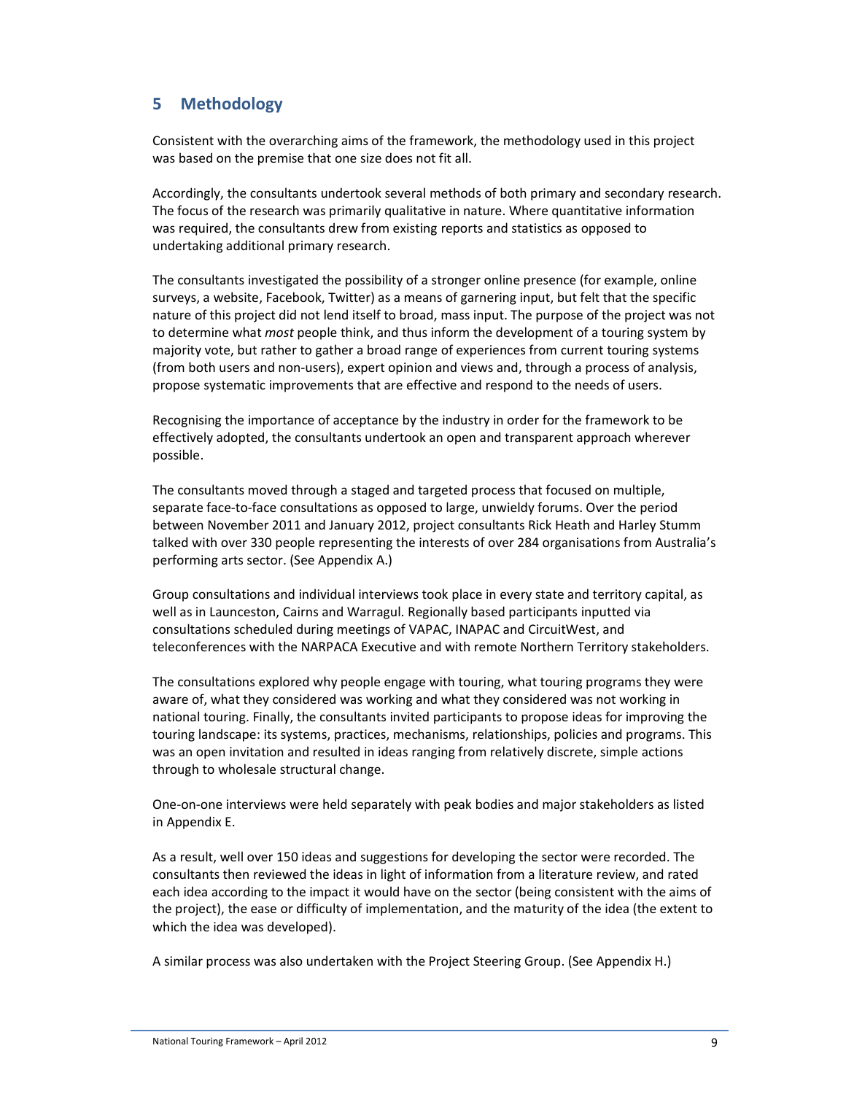# **5 Methodology**

Consistent with the overarching aims of the framework, the methodology used in this project was based on the premise that one size does not fit all.

Accordingly, the consultants undertook several methods of both primary and secondary research. The focus of the research was primarily qualitative in nature. Where quantitative information was required, the consultants drew from existing reports and statistics as opposed to undertaking additional primary research.

The consultants investigated the possibility of a stronger online presence (for example, online surveys, a website, Facebook, Twitter) as a means of garnering input, but felt that the specific nature of this project did not lend itself to broad, mass input. The purpose of the project was not to determine what *most* people think, and thus inform the development of a touring system by majority vote, but rather to gather a broad range of experiences from current touring systems (from both users and non-users), expert opinion and views and, through a process of analysis, propose systematic improvements that are effective and respond to the needs of users.

Recognising the importance of acceptance by the industry in order for the framework to be effectively adopted, the consultants undertook an open and transparent approach wherever possible.

The consultants moved through a staged and targeted process that focused on multiple, separate face-to-face consultations as opposed to large, unwieldy forums. Over the period between November 2011 and January 2012, project consultants Rick Heath and Harley Stumm talked with over 330 people representing the interests of over 284 organisations from Australia's performing arts sector. (See Appendix A.)

Group consultations and individual interviews took place in every state and territory capital, as well as in Launceston, Cairns and Warragul. Regionally based participants inputted via consultations scheduled during meetings of VAPAC, INAPAC and CircuitWest, and teleconferences with the NARPACA Executive and with remote Northern Territory stakeholders.

The consultations explored why people engage with touring, what touring programs they were aware of, what they considered was working and what they considered was not working in national touring. Finally, the consultants invited participants to propose ideas for improving the touring landscape: its systems, practices, mechanisms, relationships, policies and programs. This was an open invitation and resulted in ideas ranging from relatively discrete, simple actions through to wholesale structural change.

One-on-one interviews were held separately with peak bodies and major stakeholders as listed in Appendix E.

As a result, well over 150 ideas and suggestions for developing the sector were recorded. The consultants then reviewed the ideas in light of information from a literature review, and rated each idea according to the impact it would have on the sector (being consistent with the aims of the project), the ease or difficulty of implementation, and the maturity of the idea (the extent to which the idea was developed).

A similar process was also undertaken with the Project Steering Group. (See Appendix H.)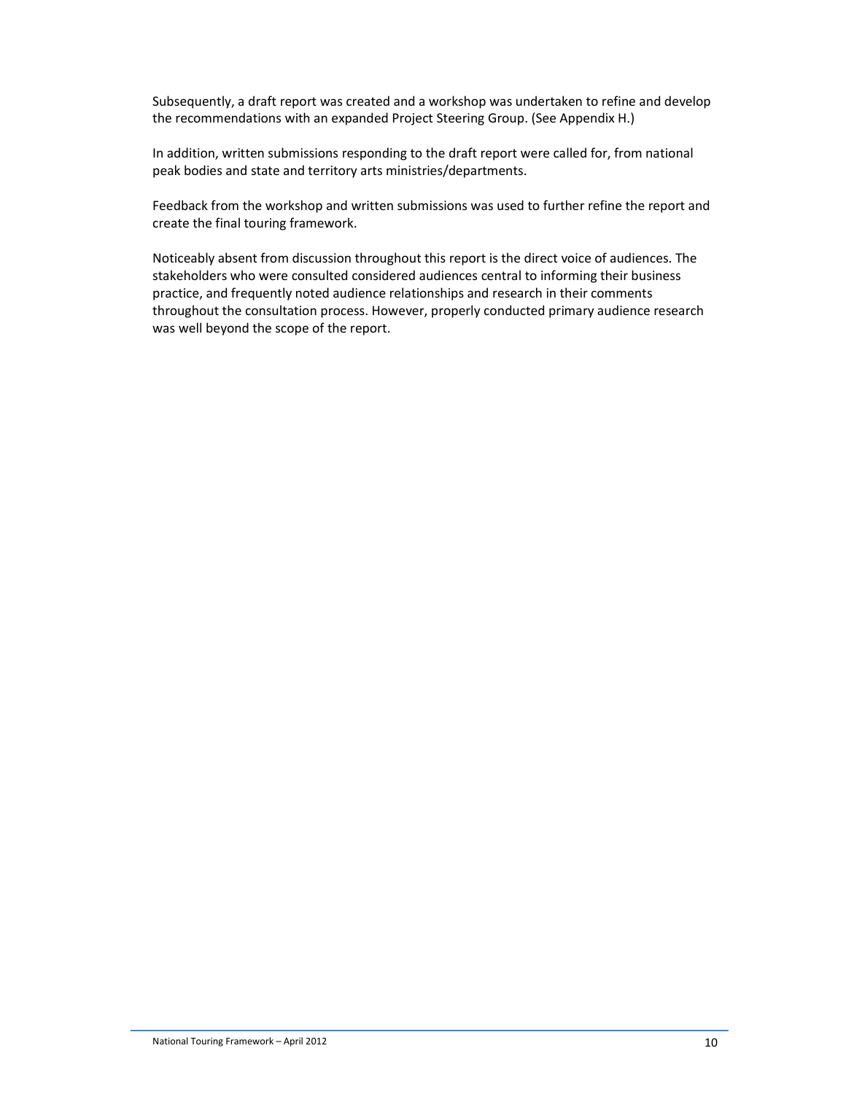Subsequently, a draft report was created and a workshop was undertaken to refine and develop the recommendations with an expanded Project Steering Group. (See Appendix H.)

In addition, written submissions responding to the draft report were called for, from national peak bodies and state and territory arts ministries/departments.

Feedback from the workshop and written submissions was used to further refine the report and create the final touring framework.

Noticeably absent from discussion throughout this report is the direct voice of audiences. The stakeholders who were consulted considered audiences central to informing their business practice, and frequently noted audience relationships and research in their comments throughout the consultation process. However, properly conducted primary audience research was well beyond the scope of the report.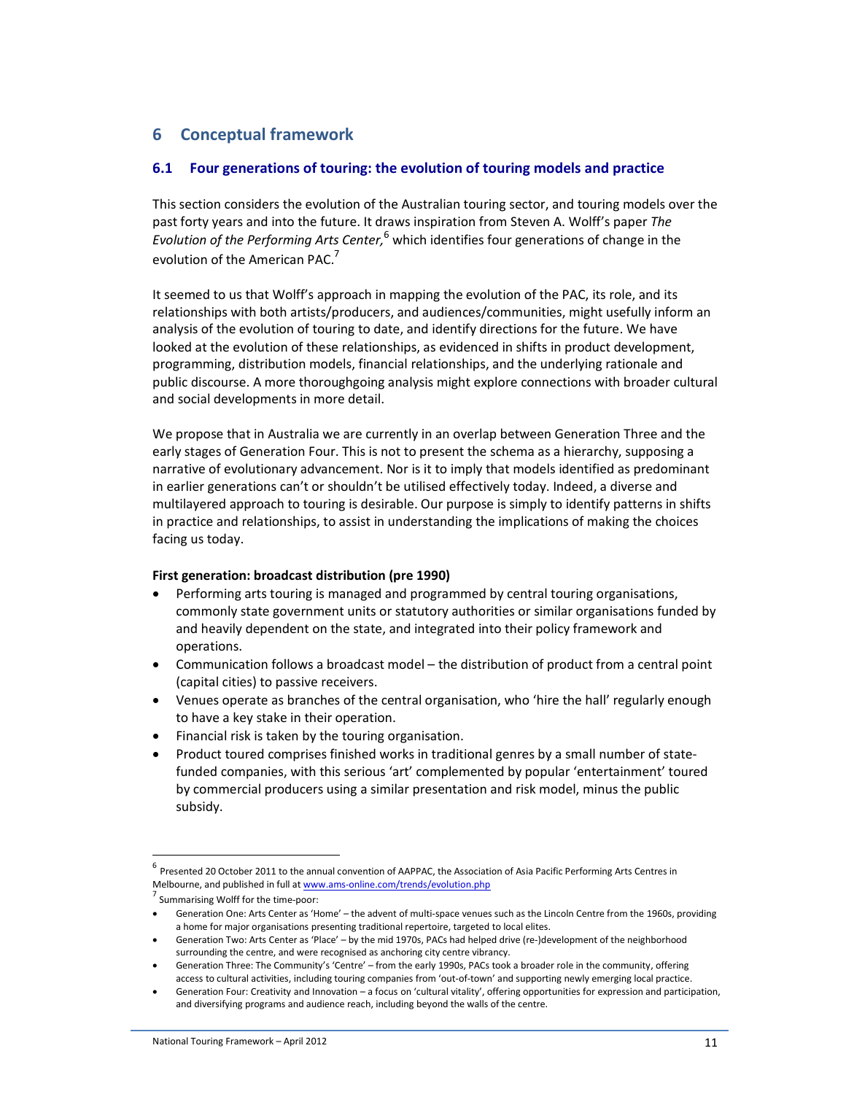# **6 Conceptual framework**

# **6.1 Four generations of touring: the evolution of touring models and practice**

This section considers the evolution of the Australian touring sector, and touring models over the past forty years and into the future. It draws inspiration from Steven A. Wolff's paper *The*  Evolution of the Performing Arts Center, <sup>6</sup> which identifies four generations of change in the evolution of the American PAC.<sup>7</sup>

It seemed to us that Wolff's approach in mapping the evolution of the PAC, its role, and its relationships with both artists/producers, and audiences/communities, might usefully inform an analysis of the evolution of touring to date, and identify directions for the future. We have looked at the evolution of these relationships, as evidenced in shifts in product development, programming, distribution models, financial relationships, and the underlying rationale and public discourse. A more thoroughgoing analysis might explore connections with broader cultural and social developments in more detail.

We propose that in Australia we are currently in an overlap between Generation Three and the early stages of Generation Four. This is not to present the schema as a hierarchy, supposing a narrative of evolutionary advancement. Nor is it to imply that models identified as predominant in earlier generations can't or shouldn't be utilised effectively today. Indeed, a diverse and multilayered approach to touring is desirable. Our purpose is simply to identify patterns in shifts in practice and relationships, to assist in understanding the implications of making the choices facing us today.

#### **First generation: broadcast distribution (pre 1990)**

- Performing arts touring is managed and programmed by central touring organisations, commonly state government units or statutory authorities or similar organisations funded by and heavily dependent on the state, and integrated into their policy framework and operations.
- Communication follows a broadcast model the distribution of product from a central point (capital cities) to passive receivers.
- Venues operate as branches of the central organisation, who 'hire the hall' regularly enough to have a key stake in their operation.
- Financial risk is taken by the touring organisation.
- Product toured comprises finished works in traditional genres by a small number of statefunded companies, with this serious 'art' complemented by popular 'entertainment' toured by commercial producers using a similar presentation and risk model, minus the public subsidy.

 $\overline{a}$ 

<sup>&</sup>lt;sup>6</sup> Presented 20 October 2011 to the annual convention of AAPPAC, the Association of Asia Pacific Performing Arts Centres in Melbourne, and published in full at www.ams-online.com/trends/evolution.php

<sup>&</sup>lt;sup>7</sup> Summarising Wolff for the time-poor:

<sup>•</sup> Generation One: Arts Center as 'Home' – the advent of multi-space venues such as the Lincoln Centre from the 1960s, providing a home for major organisations presenting traditional repertoire, targeted to local elites.

<sup>•</sup> Generation Two: Arts Center as 'Place' – by the mid 1970s, PACs had helped drive (re-)development of the neighborhood surrounding the centre, and were recognised as anchoring city centre vibrancy.

<sup>•</sup> Generation Three: The Community's 'Centre' – from the early 1990s, PACs took a broader role in the community, offering access to cultural activities, including touring companies from 'out-of-town' and supporting newly emerging local practice.

<sup>•</sup> Generation Four: Creativity and Innovation – a focus on 'cultural vitality', offering opportunities for expression and participation, and diversifying programs and audience reach, including beyond the walls of the centre.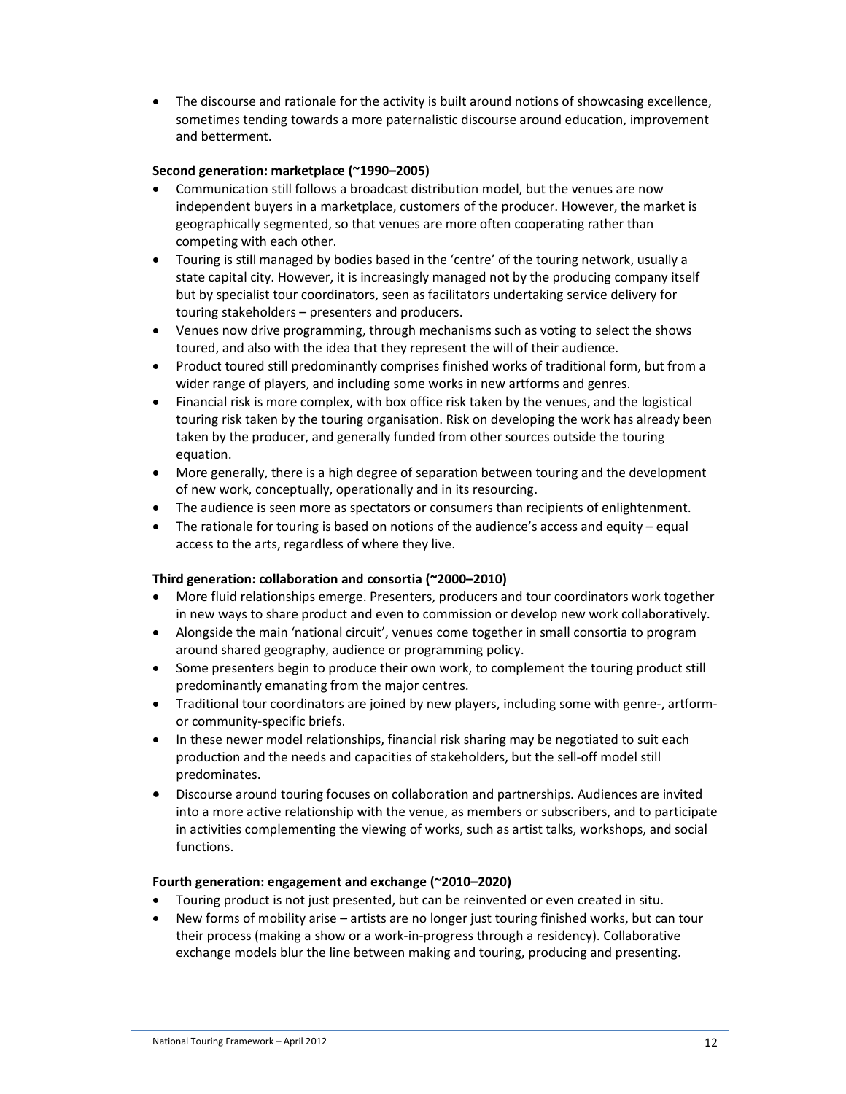• The discourse and rationale for the activity is built around notions of showcasing excellence, sometimes tending towards a more paternalistic discourse around education, improvement and betterment.

## **Second generation: marketplace (~1990–2005)**

- Communication still follows a broadcast distribution model, but the venues are now independent buyers in a marketplace, customers of the producer. However, the market is geographically segmented, so that venues are more often cooperating rather than competing with each other.
- Touring is still managed by bodies based in the 'centre' of the touring network, usually a state capital city. However, it is increasingly managed not by the producing company itself but by specialist tour coordinators, seen as facilitators undertaking service delivery for touring stakeholders – presenters and producers.
- Venues now drive programming, through mechanisms such as voting to select the shows toured, and also with the idea that they represent the will of their audience.
- Product toured still predominantly comprises finished works of traditional form, but from a wider range of players, and including some works in new artforms and genres.
- Financial risk is more complex, with box office risk taken by the venues, and the logistical touring risk taken by the touring organisation. Risk on developing the work has already been taken by the producer, and generally funded from other sources outside the touring equation.
- More generally, there is a high degree of separation between touring and the development of new work, conceptually, operationally and in its resourcing.
- The audience is seen more as spectators or consumers than recipients of enlightenment.
- The rationale for touring is based on notions of the audience's access and equity equal access to the arts, regardless of where they live.

# **Third generation: collaboration and consortia (~2000–2010)**

- More fluid relationships emerge. Presenters, producers and tour coordinators work together in new ways to share product and even to commission or develop new work collaboratively.
- Alongside the main 'national circuit', venues come together in small consortia to program around shared geography, audience or programming policy.
- Some presenters begin to produce their own work, to complement the touring product still predominantly emanating from the major centres.
- Traditional tour coordinators are joined by new players, including some with genre-, artformor community-specific briefs.
- In these newer model relationships, financial risk sharing may be negotiated to suit each production and the needs and capacities of stakeholders, but the sell-off model still predominates.
- Discourse around touring focuses on collaboration and partnerships. Audiences are invited into a more active relationship with the venue, as members or subscribers, and to participate in activities complementing the viewing of works, such as artist talks, workshops, and social functions.

#### **Fourth generation: engagement and exchange (~2010–2020)**

- Touring product is not just presented, but can be reinvented or even created in situ.
- New forms of mobility arise artists are no longer just touring finished works, but can tour their process (making a show or a work-in-progress through a residency). Collaborative exchange models blur the line between making and touring, producing and presenting.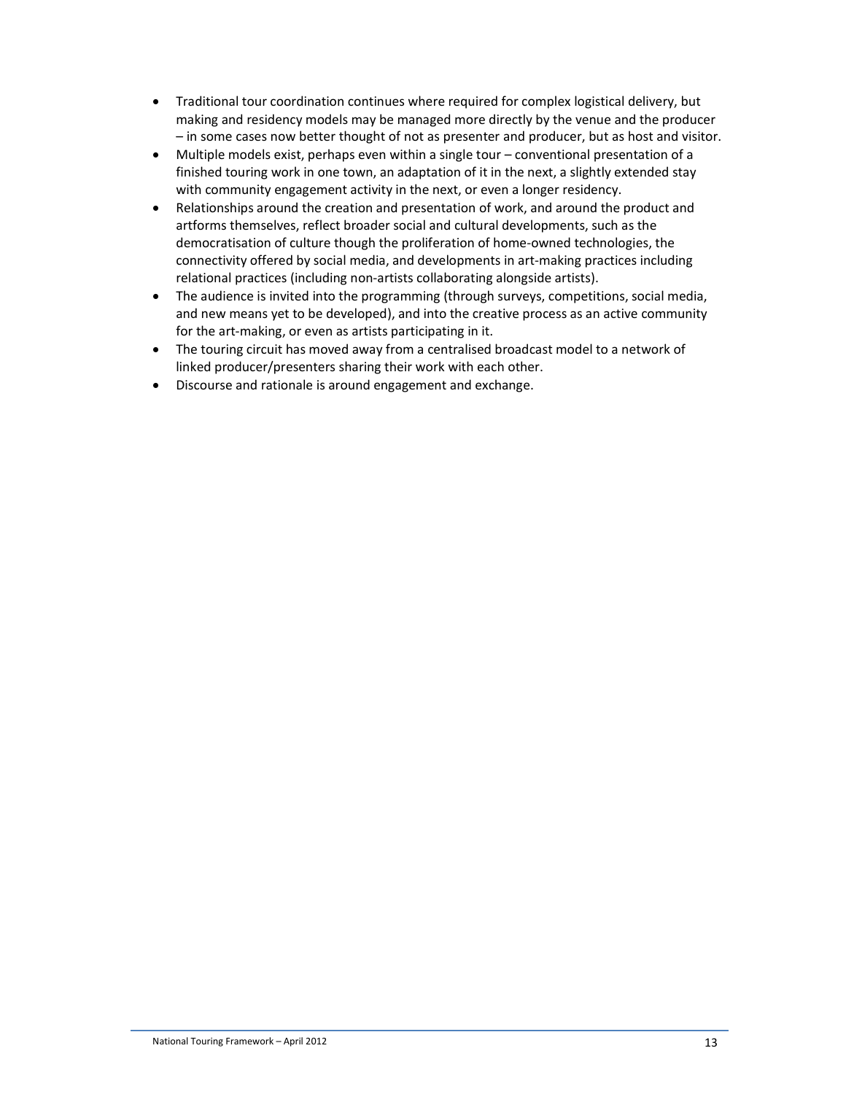- Traditional tour coordination continues where required for complex logistical delivery, but making and residency models may be managed more directly by the venue and the producer – in some cases now better thought of not as presenter and producer, but as host and visitor.
- Multiple models exist, perhaps even within a single tour conventional presentation of a finished touring work in one town, an adaptation of it in the next, a slightly extended stay with community engagement activity in the next, or even a longer residency.
- Relationships around the creation and presentation of work, and around the product and artforms themselves, reflect broader social and cultural developments, such as the democratisation of culture though the proliferation of home-owned technologies, the connectivity offered by social media, and developments in art-making practices including relational practices (including non-artists collaborating alongside artists).
- The audience is invited into the programming (through surveys, competitions, social media, and new means yet to be developed), and into the creative process as an active community for the art-making, or even as artists participating in it.
- The touring circuit has moved away from a centralised broadcast model to a network of linked producer/presenters sharing their work with each other.
- Discourse and rationale is around engagement and exchange.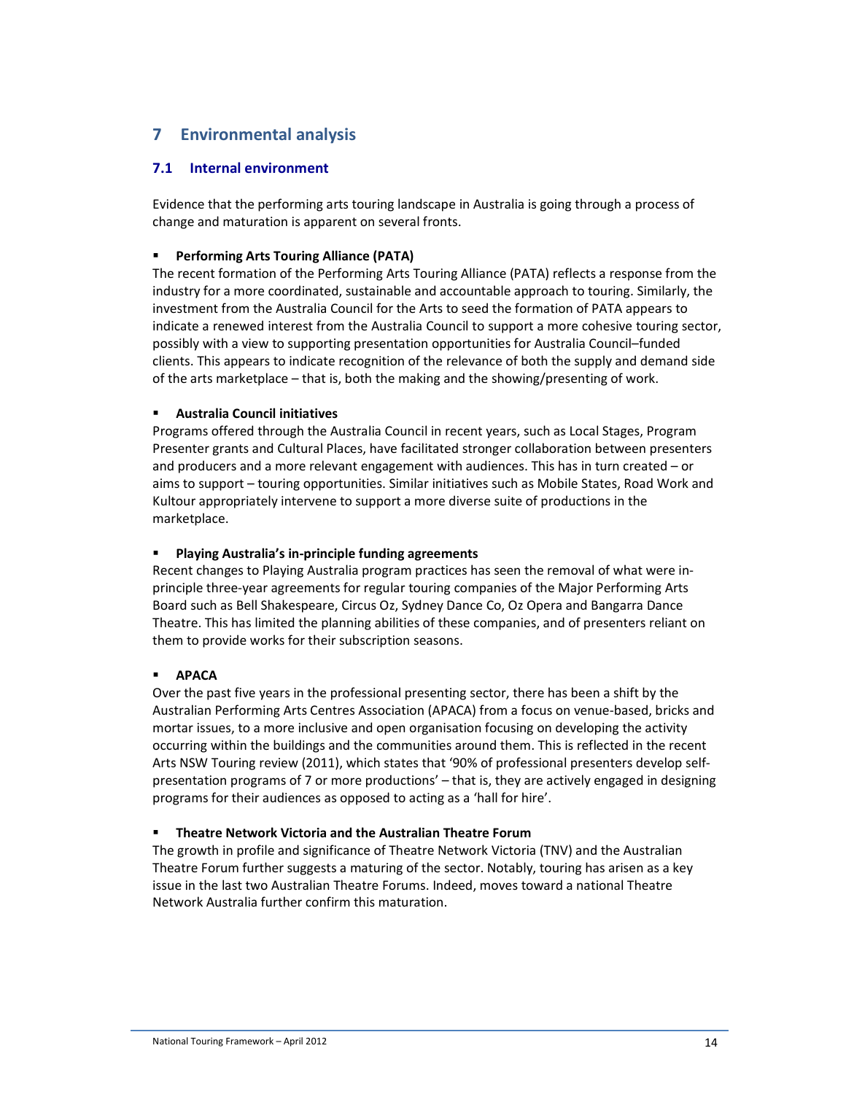# **7 Environmental analysis**

# **7.1 Internal environment**

Evidence that the performing arts touring landscape in Australia is going through a process of change and maturation is apparent on several fronts.

## **Performing Arts Touring Alliance (PATA)**

The recent formation of the Performing Arts Touring Alliance (PATA) reflects a response from the industry for a more coordinated, sustainable and accountable approach to touring. Similarly, the investment from the Australia Council for the Arts to seed the formation of PATA appears to indicate a renewed interest from the Australia Council to support a more cohesive touring sector, possibly with a view to supporting presentation opportunities for Australia Council–funded clients. This appears to indicate recognition of the relevance of both the supply and demand side of the arts marketplace – that is, both the making and the showing/presenting of work.

# **Australia Council initiatives**

Programs offered through the Australia Council in recent years, such as Local Stages, Program Presenter grants and Cultural Places, have facilitated stronger collaboration between presenters and producers and a more relevant engagement with audiences. This has in turn created – or aims to support – touring opportunities. Similar initiatives such as Mobile States, Road Work and Kultour appropriately intervene to support a more diverse suite of productions in the marketplace.

## **Playing Australia's in-principle funding agreements**

Recent changes to Playing Australia program practices has seen the removal of what were inprinciple three-year agreements for regular touring companies of the Major Performing Arts Board such as Bell Shakespeare, Circus Oz, Sydney Dance Co, Oz Opera and Bangarra Dance Theatre. This has limited the planning abilities of these companies, and of presenters reliant on them to provide works for their subscription seasons.

# **APACA**

Over the past five years in the professional presenting sector, there has been a shift by the Australian Performing Arts Centres Association (APACA) from a focus on venue-based, bricks and mortar issues, to a more inclusive and open organisation focusing on developing the activity occurring within the buildings and the communities around them. This is reflected in the recent Arts NSW Touring review (2011), which states that '90% of professional presenters develop selfpresentation programs of 7 or more productions' – that is, they are actively engaged in designing programs for their audiences as opposed to acting as a 'hall for hire'.

# **Theatre Network Victoria and the Australian Theatre Forum**

The growth in profile and significance of Theatre Network Victoria (TNV) and the Australian Theatre Forum further suggests a maturing of the sector. Notably, touring has arisen as a key issue in the last two Australian Theatre Forums. Indeed, moves toward a national Theatre Network Australia further confirm this maturation.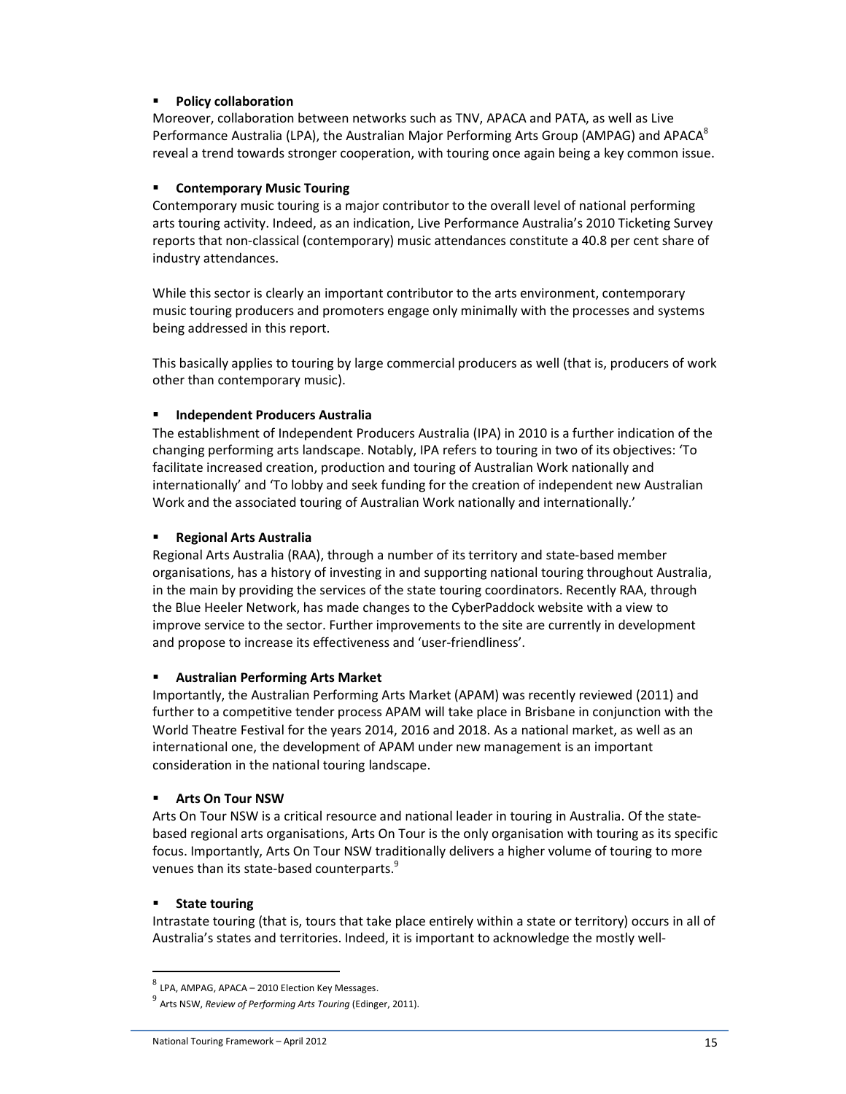### **Policy collaboration**

Moreover, collaboration between networks such as TNV, APACA and PATA, as well as Live Performance Australia (LPA), the Australian Major Performing Arts Group (AMPAG) and APACA<sup>8</sup> reveal a trend towards stronger cooperation, with touring once again being a key common issue.

#### **Contemporary Music Touring**

Contemporary music touring is a major contributor to the overall level of national performing arts touring activity. Indeed, as an indication, Live Performance Australia's 2010 Ticketing Survey reports that non-classical (contemporary) music attendances constitute a 40.8 per cent share of industry attendances.

While this sector is clearly an important contributor to the arts environment, contemporary music touring producers and promoters engage only minimally with the processes and systems being addressed in this report.

This basically applies to touring by large commercial producers as well (that is, producers of work other than contemporary music).

### **Independent Producers Australia**

The establishment of Independent Producers Australia (IPA) in 2010 is a further indication of the changing performing arts landscape. Notably, IPA refers to touring in two of its objectives: 'To facilitate increased creation, production and touring of Australian Work nationally and internationally' and 'To lobby and seek funding for the creation of independent new Australian Work and the associated touring of Australian Work nationally and internationally.'

### **Regional Arts Australia**

Regional Arts Australia (RAA), through a number of its territory and state-based member organisations, has a history of investing in and supporting national touring throughout Australia, in the main by providing the services of the state touring coordinators. Recently RAA, through the Blue Heeler Network, has made changes to the CyberPaddock website with a view to improve service to the sector. Further improvements to the site are currently in development and propose to increase its effectiveness and 'user-friendliness'.

#### **Australian Performing Arts Market**

Importantly, the Australian Performing Arts Market (APAM) was recently reviewed (2011) and further to a competitive tender process APAM will take place in Brisbane in conjunction with the World Theatre Festival for the years 2014, 2016 and 2018. As a national market, as well as an international one, the development of APAM under new management is an important consideration in the national touring landscape.

# **Arts On Tour NSW**

Arts On Tour NSW is a critical resource and national leader in touring in Australia. Of the statebased regional arts organisations, Arts On Tour is the only organisation with touring as its specific focus. Importantly, Arts On Tour NSW traditionally delivers a higher volume of touring to more venues than its state-based counterparts.<sup>9</sup>

# **State touring**

l

Intrastate touring (that is, tours that take place entirely within a state or territory) occurs in all of Australia's states and territories. Indeed, it is important to acknowledge the mostly well-

<sup>&</sup>lt;sup>8</sup> LPA, AMPAG, APACA – 2010 Election Key Messages.

<sup>9</sup> Arts NSW, *Review of Performing Arts Touring* (Edinger, 2011).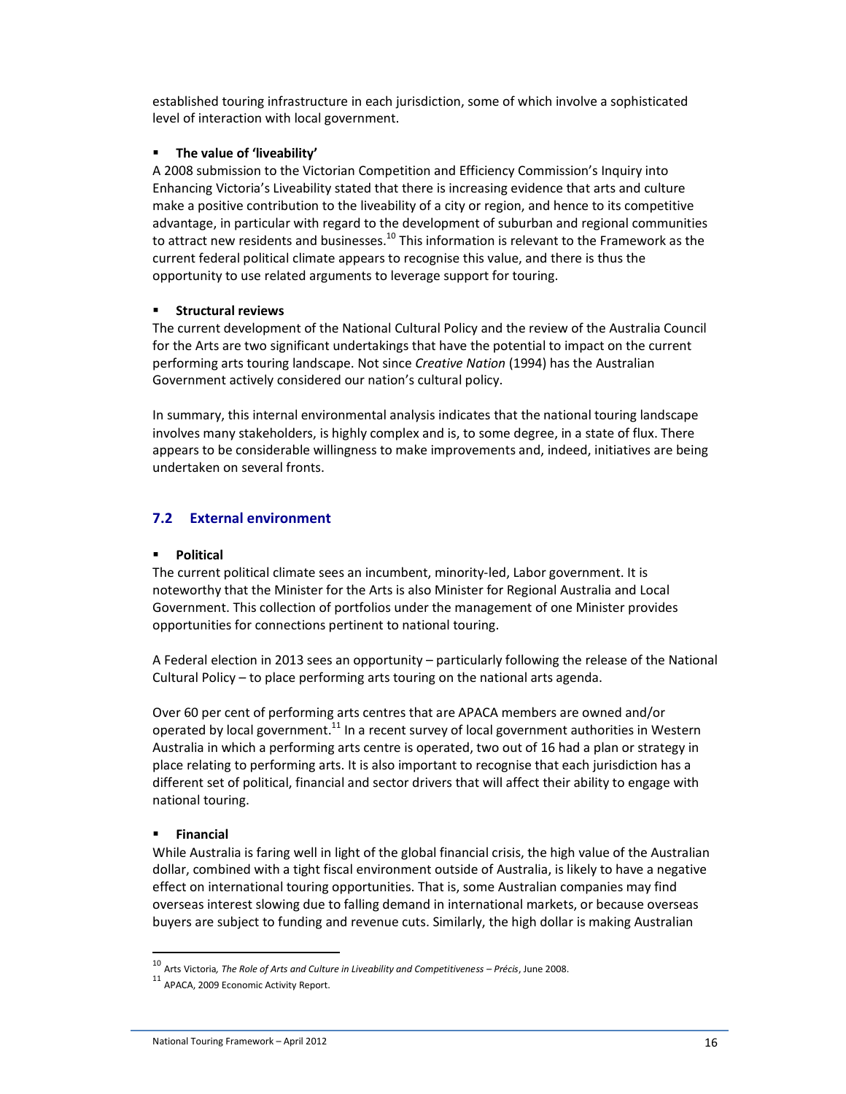established touring infrastructure in each jurisdiction, some of which involve a sophisticated level of interaction with local government.

### **The value of 'liveability'**

A 2008 submission to the Victorian Competition and Efficiency Commission's Inquiry into Enhancing Victoria's Liveability stated that there is increasing evidence that arts and culture make a positive contribution to the liveability of a city or region, and hence to its competitive advantage, in particular with regard to the development of suburban and regional communities to attract new residents and businesses.<sup>10</sup> This information is relevant to the Framework as the current federal political climate appears to recognise this value, and there is thus the opportunity to use related arguments to leverage support for touring.

### **Structural reviews**

The current development of the National Cultural Policy and the review of the Australia Council for the Arts are two significant undertakings that have the potential to impact on the current performing arts touring landscape. Not since *Creative Nation* (1994) has the Australian Government actively considered our nation's cultural policy.

In summary, this internal environmental analysis indicates that the national touring landscape involves many stakeholders, is highly complex and is, to some degree, in a state of flux. There appears to be considerable willingness to make improvements and, indeed, initiatives are being undertaken on several fronts.

# **7.2 External environment**

## **Political**

The current political climate sees an incumbent, minority-led, Labor government. It is noteworthy that the Minister for the Arts is also Minister for Regional Australia and Local Government. This collection of portfolios under the management of one Minister provides opportunities for connections pertinent to national touring.

A Federal election in 2013 sees an opportunity – particularly following the release of the National Cultural Policy – to place performing arts touring on the national arts agenda.

Over 60 per cent of performing arts centres that are APACA members are owned and/or operated by local government. $11$  In a recent survey of local government authorities in Western Australia in which a performing arts centre is operated, two out of 16 had a plan or strategy in place relating to performing arts. It is also important to recognise that each jurisdiction has a different set of political, financial and sector drivers that will affect their ability to engage with national touring.

#### **Financial**

l

While Australia is faring well in light of the global financial crisis, the high value of the Australian dollar, combined with a tight fiscal environment outside of Australia, is likely to have a negative effect on international touring opportunities. That is, some Australian companies may find overseas interest slowing due to falling demand in international markets, or because overseas buyers are subject to funding and revenue cuts. Similarly, the high dollar is making Australian

<sup>10</sup> Arts Victoria*, The Role of Arts and Culture in Liveability and Competitiveness – Précis*, June 2008.

<sup>11</sup> APACA, 2009 Economic Activity Report.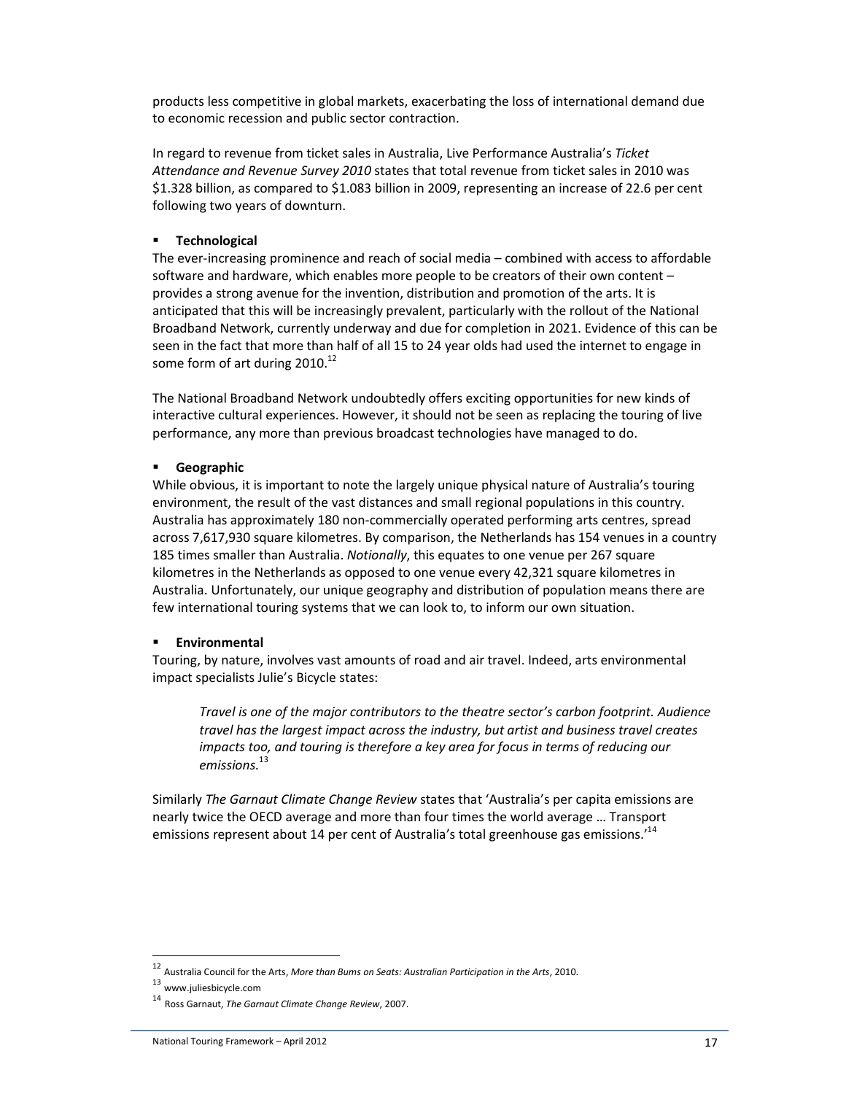products less competitive in global markets, exacerbating the loss of international demand due to economic recession and public sector contraction.

In regard to revenue from ticket sales in Australia, Live Performance Australia's *Ticket Attendance and Revenue Survey 2010* states that total revenue from ticket sales in 2010 was \$1.328 billion, as compared to \$1.083 billion in 2009, representing an increase of 22.6 per cent following two years of downturn.

#### **Technological**

The ever-increasing prominence and reach of social media – combined with access to affordable software and hardware, which enables more people to be creators of their own content – provides a strong avenue for the invention, distribution and promotion of the arts. It is anticipated that this will be increasingly prevalent, particularly with the rollout of the National Broadband Network, currently underway and due for completion in 2021. Evidence of this can be seen in the fact that more than half of all 15 to 24 year olds had used the internet to engage in some form of art during  $2010^{12}$ 

The National Broadband Network undoubtedly offers exciting opportunities for new kinds of interactive cultural experiences. However, it should not be seen as replacing the touring of live performance, any more than previous broadcast technologies have managed to do.

### **Geographic**

While obvious, it is important to note the largely unique physical nature of Australia's touring environment, the result of the vast distances and small regional populations in this country. Australia has approximately 180 non-commercially operated performing arts centres, spread across 7,617,930 square kilometres. By comparison, the Netherlands has 154 venues in a country 185 times smaller than Australia. *Notionally*, this equates to one venue per 267 square kilometres in the Netherlands as opposed to one venue every 42,321 square kilometres in Australia. Unfortunately, our unique geography and distribution of population means there are few international touring systems that we can look to, to inform our own situation.

#### **Environmental**

Touring, by nature, involves vast amounts of road and air travel. Indeed, arts environmental impact specialists Julie's Bicycle states:

*Travel is one of the major contributors to the theatre sector's carbon footprint. Audience travel has the largest impact across the industry, but artist and business travel creates impacts too, and touring is therefore a key area for focus in terms of reducing our emissions.*<sup>13</sup>

Similarly *The Garnaut Climate Change Review* states that 'Australia's per capita emissions are nearly twice the OECD average and more than four times the world average … Transport emissions represent about 14 per cent of Australia's total greenhouse gas emissions.<sup>'14</sup>

l

<sup>12</sup> Australia Council for the Arts, *More than Bums on Seats: Australian Participation in the Arts*, 2010.

<sup>13</sup> www.juliesbicycle.com

<sup>14</sup> Ross Garnaut, *The Garnaut Climate Change Review*, 2007.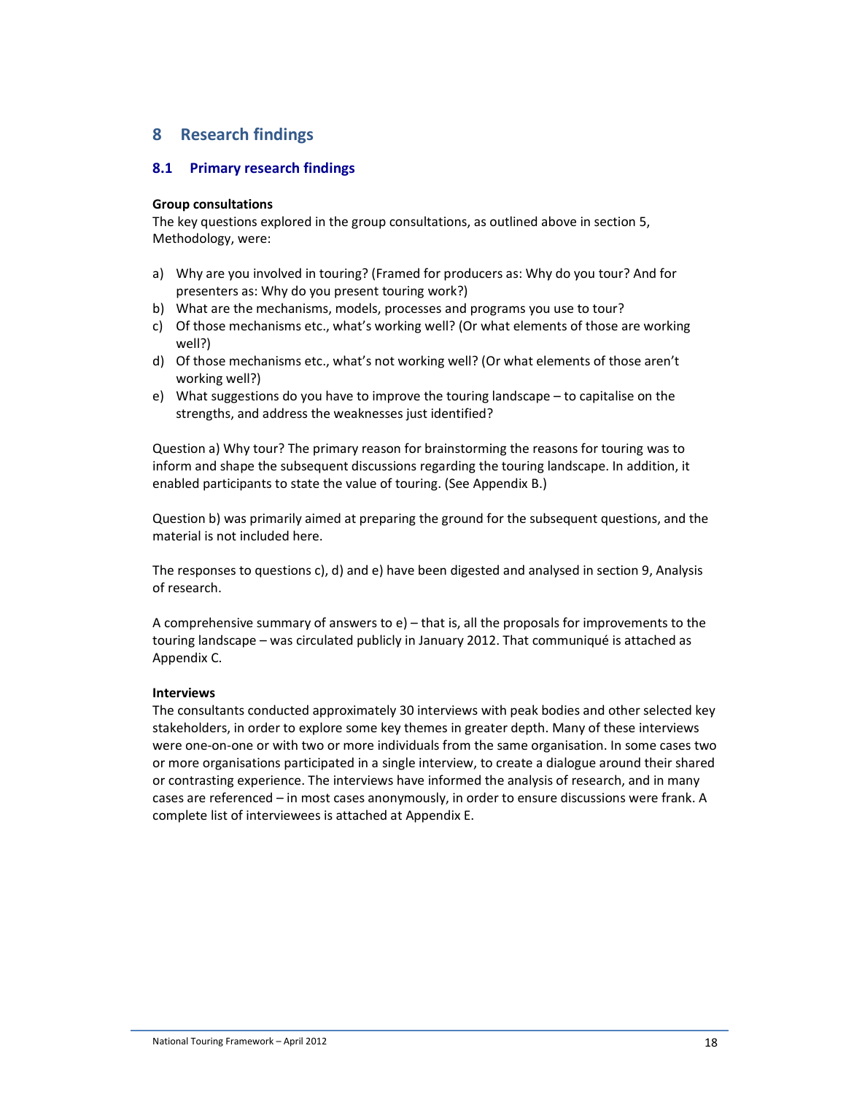# **8 Research findings**

## **8.1 Primary research findings**

#### **Group consultations**

The key questions explored in the group consultations, as outlined above in section 5, Methodology, were:

- a) Why are you involved in touring? (Framed for producers as: Why do you tour? And for presenters as: Why do you present touring work?)
- b) What are the mechanisms, models, processes and programs you use to tour?
- c) Of those mechanisms etc., what's working well? (Or what elements of those are working well?)
- d) Of those mechanisms etc., what's not working well? (Or what elements of those aren't working well?)
- e) What suggestions do you have to improve the touring landscape to capitalise on the strengths, and address the weaknesses just identified?

Question a) Why tour? The primary reason for brainstorming the reasons for touring was to inform and shape the subsequent discussions regarding the touring landscape. In addition, it enabled participants to state the value of touring. (See Appendix B.)

Question b) was primarily aimed at preparing the ground for the subsequent questions, and the material is not included here.

The responses to questions c), d) and e) have been digested and analysed in section 9, Analysis of research.

A comprehensive summary of answers to e) – that is, all the proposals for improvements to the touring landscape – was circulated publicly in January 2012. That communiqué is attached as Appendix C.

#### **Interviews**

The consultants conducted approximately 30 interviews with peak bodies and other selected key stakeholders, in order to explore some key themes in greater depth. Many of these interviews were one-on-one or with two or more individuals from the same organisation. In some cases two or more organisations participated in a single interview, to create a dialogue around their shared or contrasting experience. The interviews have informed the analysis of research, and in many cases are referenced – in most cases anonymously, in order to ensure discussions were frank. A complete list of interviewees is attached at Appendix E.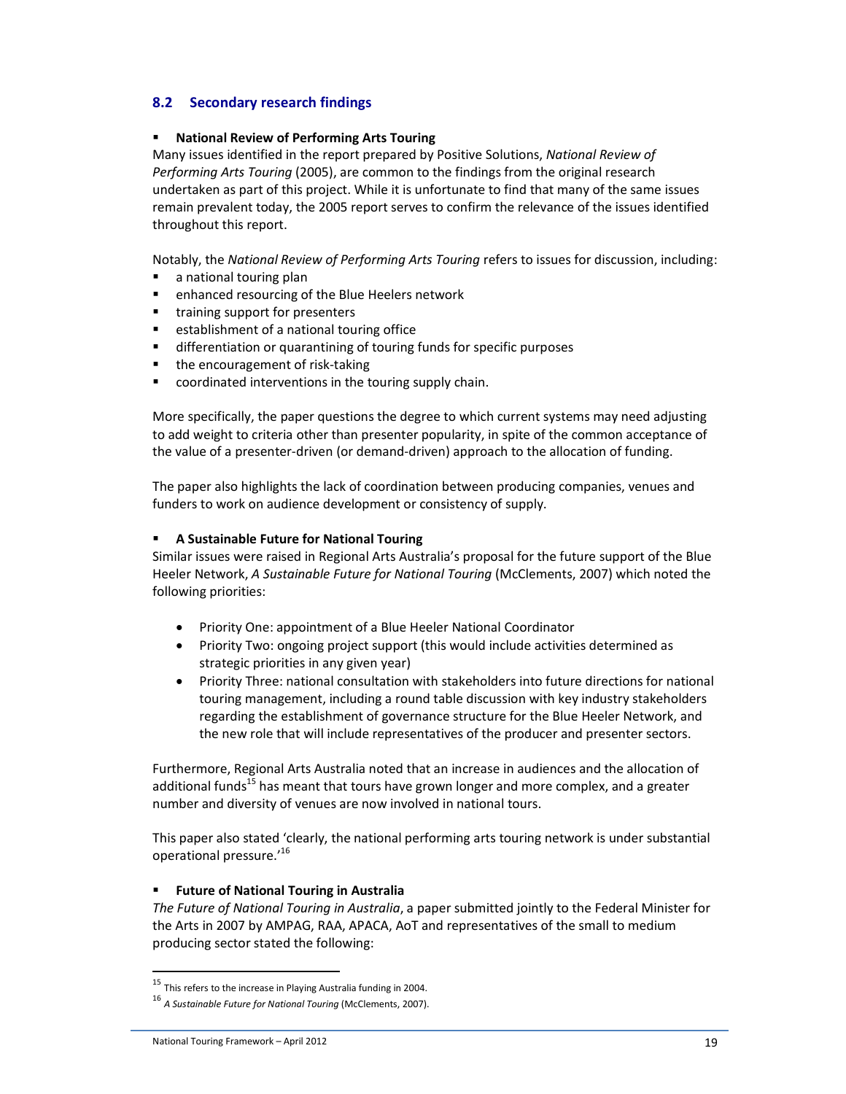# **8.2 Secondary research findings**

#### **National Review of Performing Arts Touring**

Many issues identified in the report prepared by Positive Solutions, *National Review of Performing Arts Touring* (2005), are common to the findings from the original research undertaken as part of this project. While it is unfortunate to find that many of the same issues remain prevalent today, the 2005 report serves to confirm the relevance of the issues identified throughout this report.

Notably, the *National Review of Performing Arts Touring* refers to issues for discussion, including:

- **a** national touring plan
- **EXEC** enhanced resourcing of the Blue Heelers network
- **training support for presenters**
- **EXECUTE:** establishment of a national touring office
- **differentiation or quarantining of touring funds for specific purposes**
- the encouragement of risk-taking
- coordinated interventions in the touring supply chain.

More specifically, the paper questions the degree to which current systems may need adjusting to add weight to criteria other than presenter popularity, in spite of the common acceptance of the value of a presenter-driven (or demand-driven) approach to the allocation of funding.

The paper also highlights the lack of coordination between producing companies, venues and funders to work on audience development or consistency of supply.

#### **A Sustainable Future for National Touring**

Similar issues were raised in Regional Arts Australia's proposal for the future support of the Blue Heeler Network, *A Sustainable Future for National Touring* (McClements, 2007) which noted the following priorities:

- Priority One: appointment of a Blue Heeler National Coordinator
- Priority Two: ongoing project support (this would include activities determined as strategic priorities in any given year)
- Priority Three: national consultation with stakeholders into future directions for national touring management, including a round table discussion with key industry stakeholders regarding the establishment of governance structure for the Blue Heeler Network, and the new role that will include representatives of the producer and presenter sectors.

Furthermore, Regional Arts Australia noted that an increase in audiences and the allocation of additional funds<sup>15</sup> has meant that tours have grown longer and more complex, and a greater number and diversity of venues are now involved in national tours.

This paper also stated 'clearly, the national performing arts touring network is under substantial operational pressure.'<sup>16</sup>

## **Future of National Touring in Australia**

*The Future of National Touring in Australia*, a paper submitted jointly to the Federal Minister for the Arts in 2007 by AMPAG, RAA, APACA, AoT and representatives of the small to medium producing sector stated the following:

l

<sup>&</sup>lt;sup>15</sup> This refers to the increase in Playing Australia funding in 2004.

<sup>16</sup> *A Sustainable Future for National Touring* (McClements, 2007).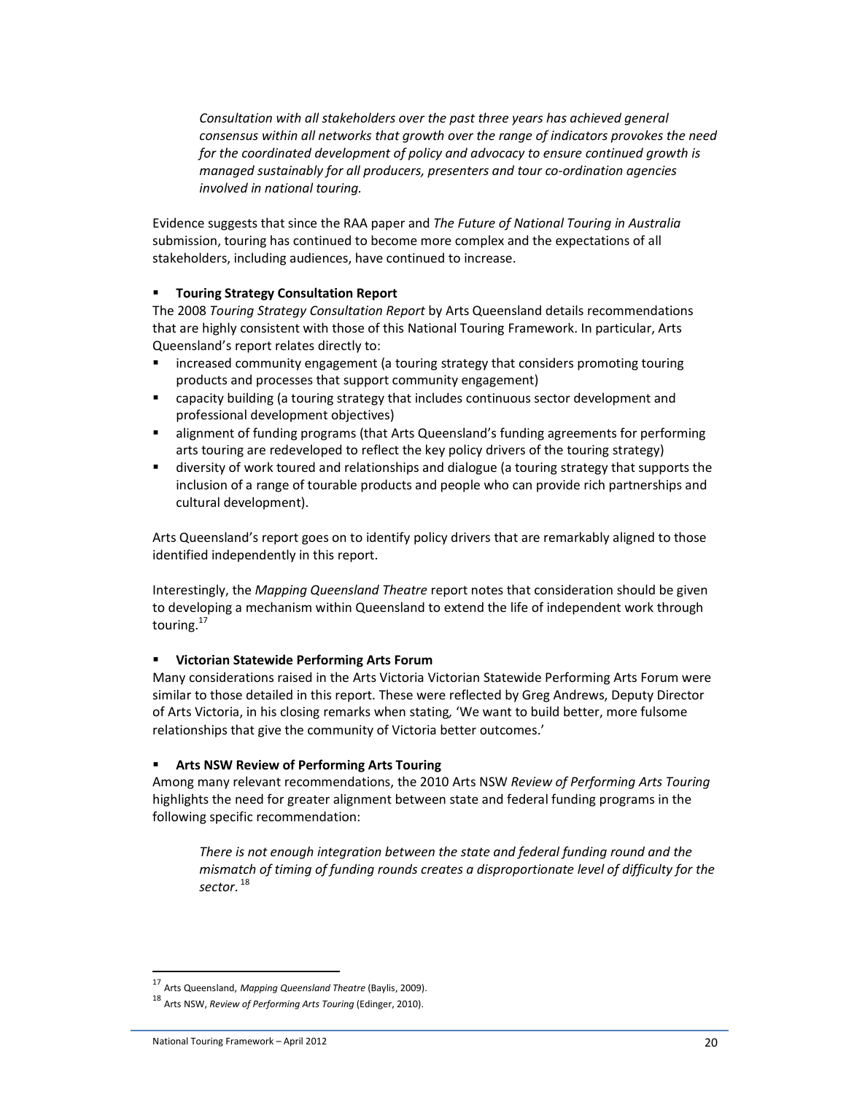*Consultation with all stakeholders over the past three years has achieved general consensus within all networks that growth over the range of indicators provokes the need for the coordinated development of policy and advocacy to ensure continued growth is managed sustainably for all producers, presenters and tour co-ordination agencies involved in national touring.* 

Evidence suggests that since the RAA paper and *The Future of National Touring in Australia* submission, touring has continued to become more complex and the expectations of all stakeholders, including audiences, have continued to increase.

### **Touring Strategy Consultation Report**

The 2008 *Touring Strategy Consultation Report* by Arts Queensland details recommendations that are highly consistent with those of this National Touring Framework. In particular, Arts Queensland's report relates directly to:

- **EXT** increased community engagement (a touring strategy that considers promoting touring products and processes that support community engagement)
- capacity building (a touring strategy that includes continuous sector development and professional development objectives)
- **EXECT** alignment of funding programs (that Arts Queensland's funding agreements for performing arts touring are redeveloped to reflect the key policy drivers of the touring strategy)
- diversity of work toured and relationships and dialogue (a touring strategy that supports the inclusion of a range of tourable products and people who can provide rich partnerships and cultural development).

Arts Queensland's report goes on to identify policy drivers that are remarkably aligned to those identified independently in this report.

Interestingly, the *Mapping Queensland Theatre* report notes that consideration should be given to developing a mechanism within Queensland to extend the life of independent work through touring.<sup>17</sup>

#### **Victorian Statewide Performing Arts Forum**

Many considerations raised in the Arts Victoria Victorian Statewide Performing Arts Forum were similar to those detailed in this report. These were reflected by Greg Andrews, Deputy Director of Arts Victoria, in his closing remarks when stating*,* 'We want to build better, more fulsome relationships that give the community of Victoria better outcomes.'

#### **Arts NSW Review of Performing Arts Touring**

Among many relevant recommendations, the 2010 Arts NSW *Review of Performing Arts Touring* highlights the need for greater alignment between state and federal funding programs in the following specific recommendation:

*There is not enough integration between the state and federal funding round and the mismatch of timing of funding rounds creates a disproportionate level of difficulty for the sector.*<sup>18</sup>

l

<sup>17</sup> Arts Queensland, *Mapping Queensland Theatre* (Baylis, 2009).

<sup>18</sup> Arts NSW, *Review of Performing Arts Touring* (Edinger, 2010).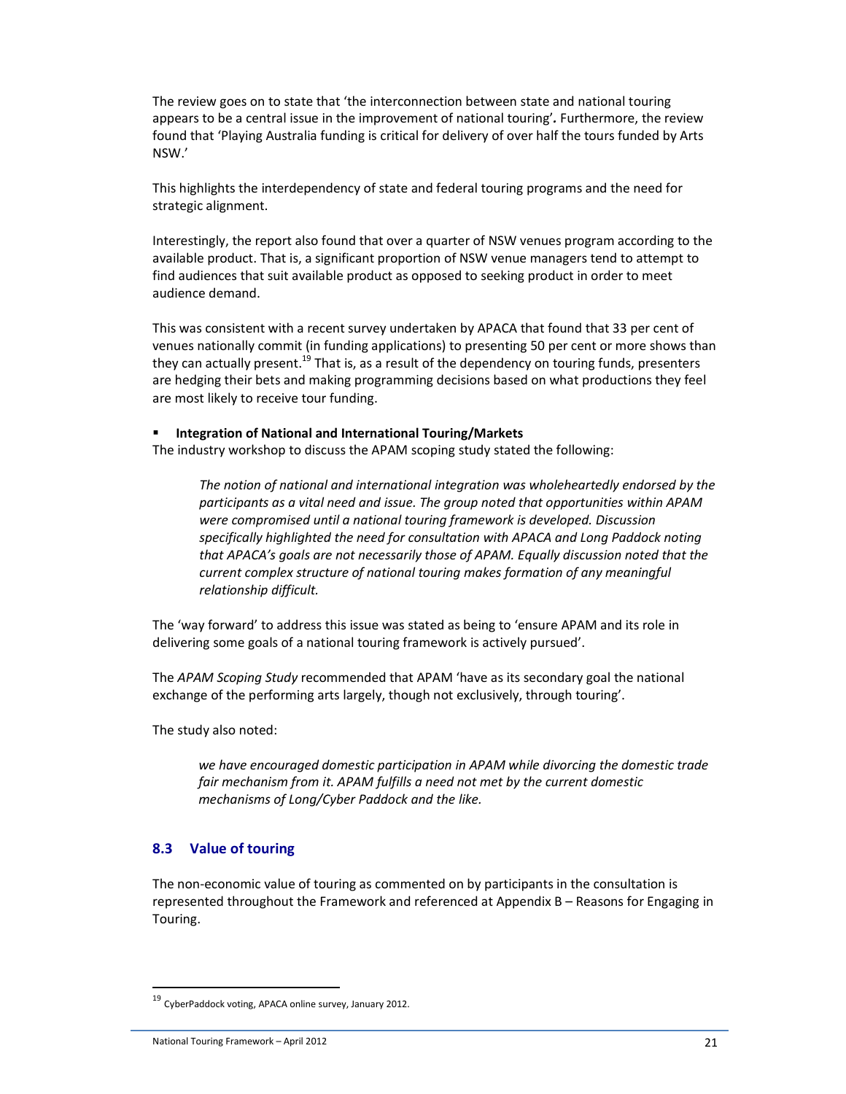The review goes on to state that 'the interconnection between state and national touring appears to be a central issue in the improvement of national touring'*.* Furthermore, the review found that 'Playing Australia funding is critical for delivery of over half the tours funded by Arts NSW.'

This highlights the interdependency of state and federal touring programs and the need for strategic alignment.

Interestingly, the report also found that over a quarter of NSW venues program according to the available product. That is, a significant proportion of NSW venue managers tend to attempt to find audiences that suit available product as opposed to seeking product in order to meet audience demand.

This was consistent with a recent survey undertaken by APACA that found that 33 per cent of venues nationally commit (in funding applications) to presenting 50 per cent or more shows than they can actually present.<sup>19</sup> That is, as a result of the dependency on touring funds, presenters are hedging their bets and making programming decisions based on what productions they feel are most likely to receive tour funding.

#### **Integration of National and International Touring/Markets**

The industry workshop to discuss the APAM scoping study stated the following:

*The notion of national and international integration was wholeheartedly endorsed by the participants as a vital need and issue. The group noted that opportunities within APAM were compromised until a national touring framework is developed. Discussion specifically highlighted the need for consultation with APACA and Long Paddock noting that APACA's goals are not necessarily those of APAM. Equally discussion noted that the current complex structure of national touring makes formation of any meaningful relationship difficult.* 

The 'way forward' to address this issue was stated as being to 'ensure APAM and its role in delivering some goals of a national touring framework is actively pursued'.

The *APAM Scoping Study* recommended that APAM 'have as its secondary goal the national exchange of the performing arts largely, though not exclusively, through touring'.

The study also noted:

*we have encouraged domestic participation in APAM while divorcing the domestic trade fair mechanism from it. APAM fulfills a need not met by the current domestic mechanisms of Long/Cyber Paddock and the like.*

#### **8.3 Value of touring**

The non-economic value of touring as commented on by participants in the consultation is represented throughout the Framework and referenced at Appendix B – Reasons for Engaging in Touring.

 $\overline{a}$ 

<sup>19</sup> CyberPaddock voting, APACA online survey, January 2012.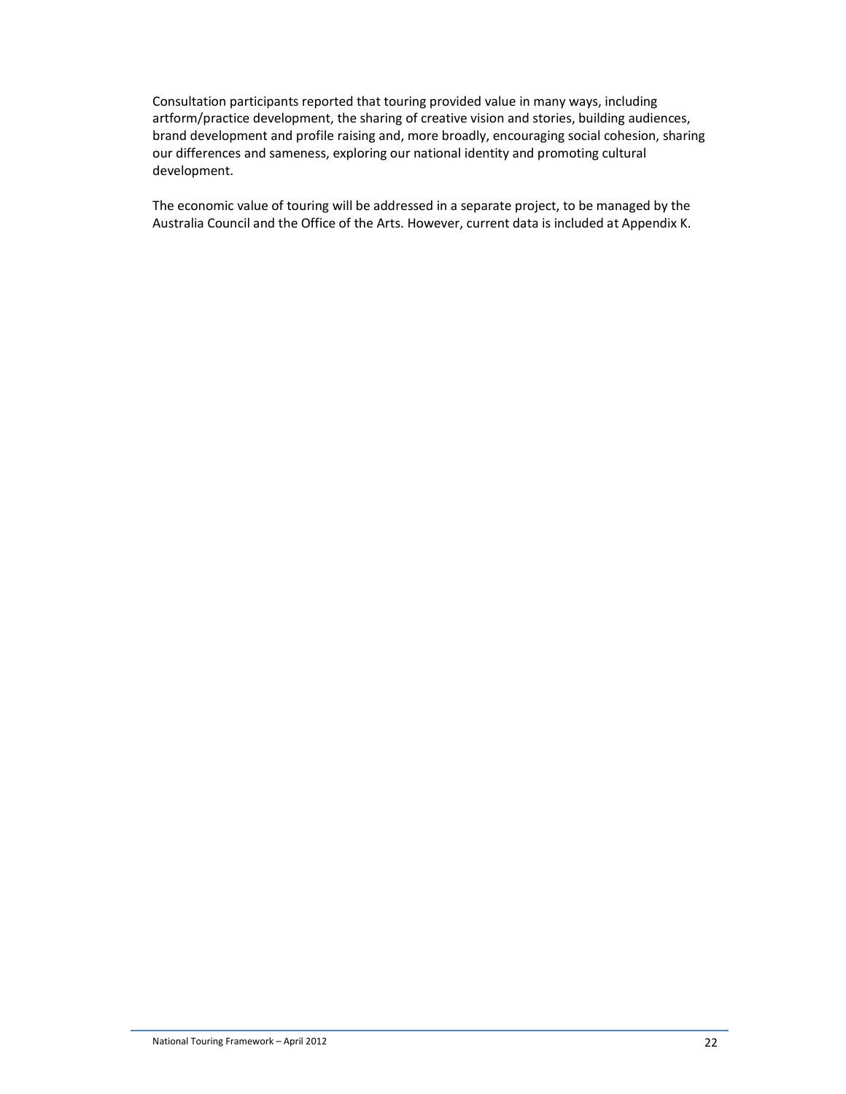Consultation participants reported that touring provided value in many ways, including artform/practice development, the sharing of creative vision and stories, building audiences, brand development and profile raising and, more broadly, encouraging social cohesion, sharing our differences and sameness, exploring our national identity and promoting cultural development.

The economic value of touring will be addressed in a separate project, to be managed by the Australia Council and the Office of the Arts. However, current data is included at Appendix K.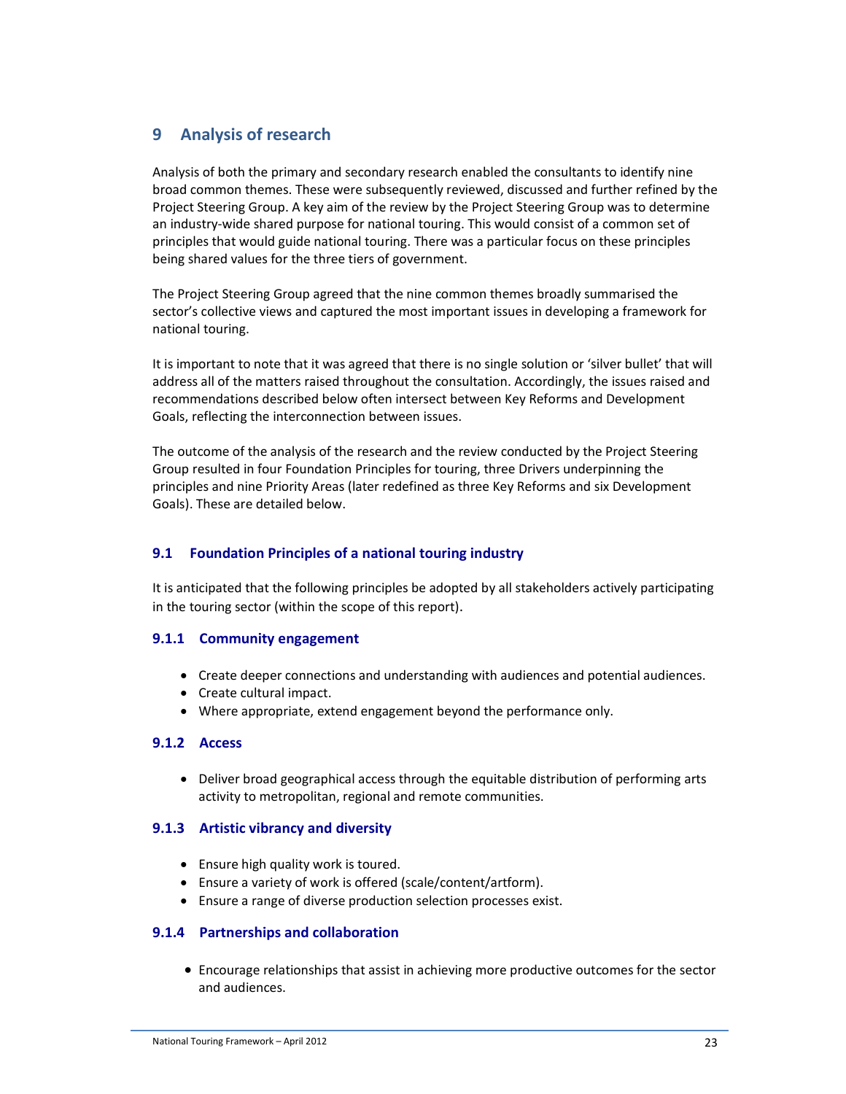# **9 Analysis of research**

Analysis of both the primary and secondary research enabled the consultants to identify nine broad common themes. These were subsequently reviewed, discussed and further refined by the Project Steering Group. A key aim of the review by the Project Steering Group was to determine an industry-wide shared purpose for national touring. This would consist of a common set of principles that would guide national touring. There was a particular focus on these principles being shared values for the three tiers of government.

The Project Steering Group agreed that the nine common themes broadly summarised the sector's collective views and captured the most important issues in developing a framework for national touring.

It is important to note that it was agreed that there is no single solution or 'silver bullet' that will address all of the matters raised throughout the consultation. Accordingly, the issues raised and recommendations described below often intersect between Key Reforms and Development Goals, reflecting the interconnection between issues.

The outcome of the analysis of the research and the review conducted by the Project Steering Group resulted in four Foundation Principles for touring, three Drivers underpinning the principles and nine Priority Areas (later redefined as three Key Reforms and six Development Goals). These are detailed below.

# **9.1 Foundation Principles of a national touring industry**

It is anticipated that the following principles be adopted by all stakeholders actively participating in the touring sector (within the scope of this report).

# **9.1.1 Community engagement**

- Create deeper connections and understanding with audiences and potential audiences.
- Create cultural impact.
- Where appropriate, extend engagement beyond the performance only.

# **9.1.2 Access**

• Deliver broad geographical access through the equitable distribution of performing arts activity to metropolitan, regional and remote communities.

# **9.1.3 Artistic vibrancy and diversity**

- Ensure high quality work is toured.
- Ensure a variety of work is offered (scale/content/artform).
- Ensure a range of diverse production selection processes exist.

# **9.1.4 Partnerships and collaboration**

• Encourage relationships that assist in achieving more productive outcomes for the sector and audiences.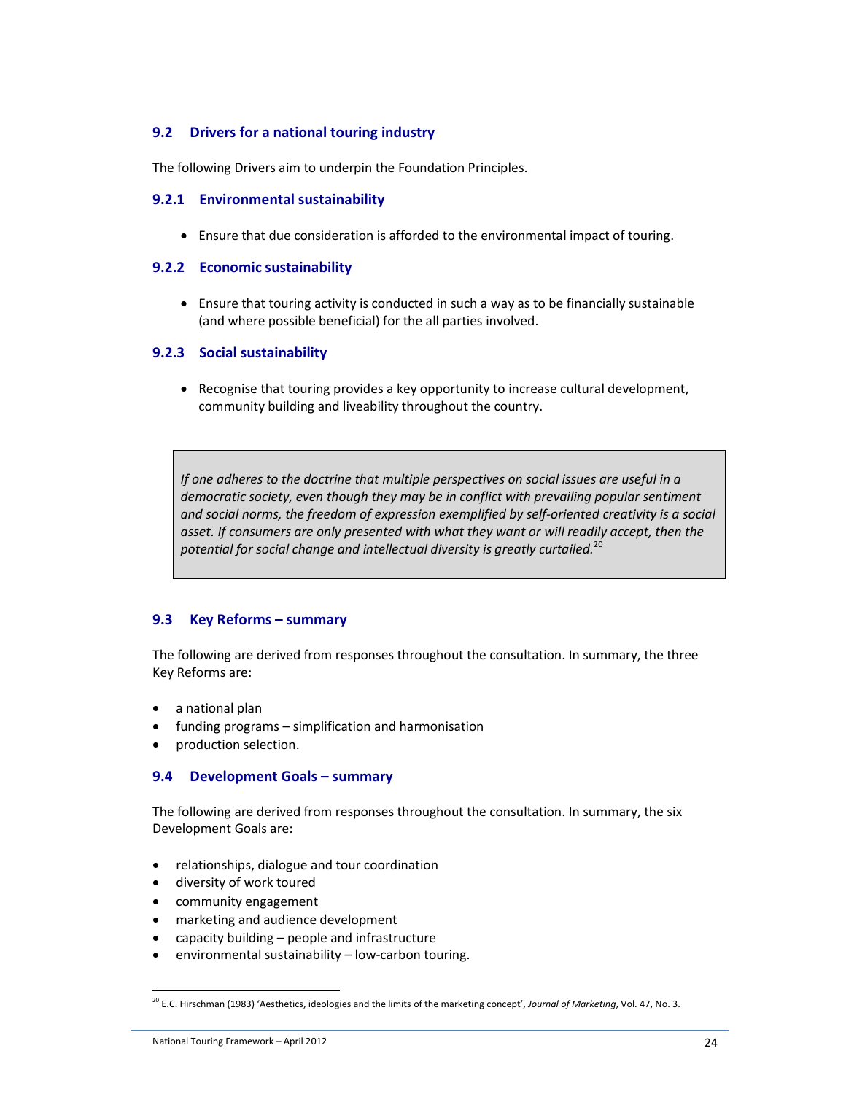# **9.2 Drivers for a national touring industry**

The following Drivers aim to underpin the Foundation Principles.

#### **9.2.1 Environmental sustainability**

• Ensure that due consideration is afforded to the environmental impact of touring.

#### **9.2.2 Economic sustainability**

• Ensure that touring activity is conducted in such a way as to be financially sustainable (and where possible beneficial) for the all parties involved.

#### **9.2.3 Social sustainability**

• Recognise that touring provides a key opportunity to increase cultural development, community building and liveability throughout the country.

*If one adheres to the doctrine that multiple perspectives on social issues are useful in a democratic society, even though they may be in conflict with prevailing popular sentiment and social norms, the freedom of expression exemplified by self-oriented creativity is a social*  asset. If consumers are only presented with what they want or will readily accept, then the *potential for social change and intellectual diversity is greatly curtailed.*<sup>20</sup>

#### **9.3 Key Reforms – summary**

The following are derived from responses throughout the consultation. In summary, the three Key Reforms are:

- a national plan
- funding programs simplification and harmonisation
- production selection.

#### **9.4 Development Goals – summary**

The following are derived from responses throughout the consultation. In summary, the six Development Goals are:

- relationships, dialogue and tour coordination
- diversity of work toured
- community engagement
- marketing and audience development
- capacity building people and infrastructure
- environmental sustainability low-carbon touring.

<sup>20</sup> E.C. Hirschman (1983) 'Aesthetics, ideologies and the limits of the marketing concept', *Journal of Marketing*, Vol. 47, No. 3.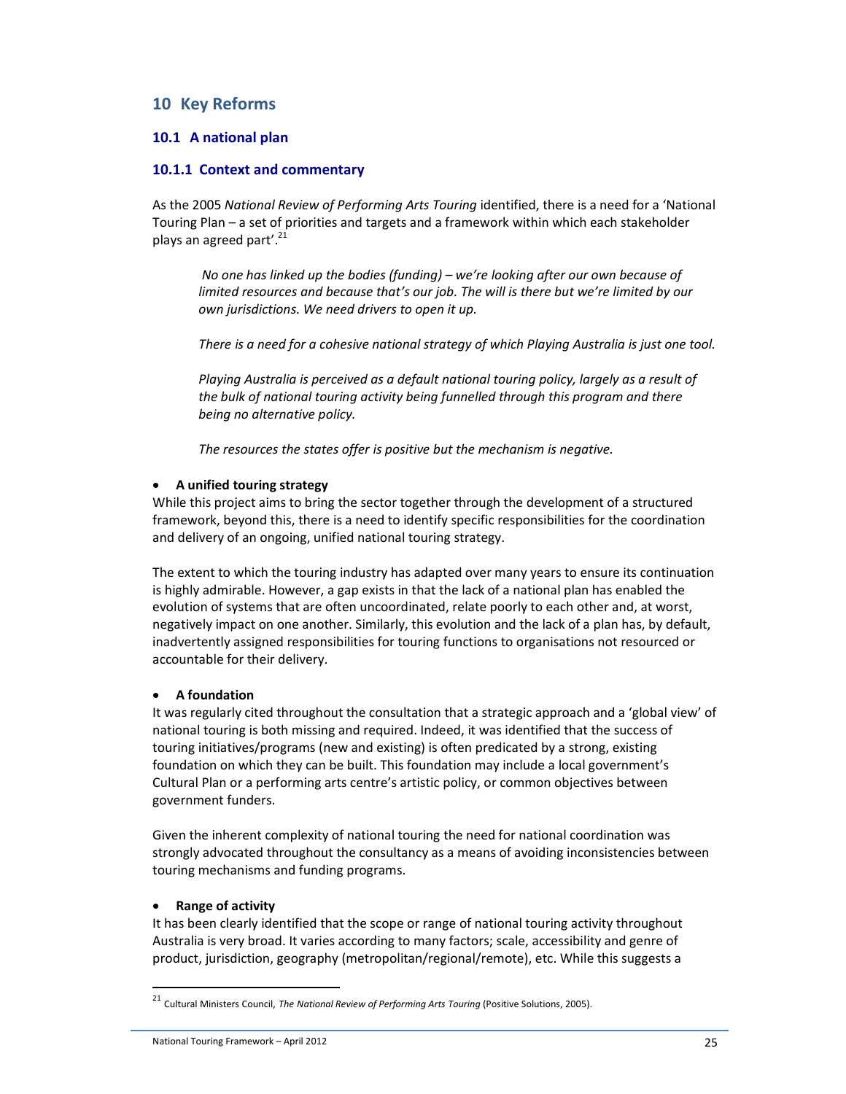# **10 Key Reforms**

## **10.1 A national plan**

### **10.1.1 Context and commentary**

As the 2005 *National Review of Performing Arts Touring* identified, there is a need for a 'National Touring Plan – a set of priorities and targets and a framework within which each stakeholder plays an agreed part'.<sup>21</sup>

*No one has linked up the bodies (funding) – we're looking after our own because of limited resources and because that's our job. The will is there but we're limited by our own jurisdictions. We need drivers to open it up.* 

*There is a need for a cohesive national strategy of which Playing Australia is just one tool.* 

*Playing Australia is perceived as a default national touring policy, largely as a result of the bulk of national touring activity being funnelled through this program and there being no alternative policy.* 

*The resources the states offer is positive but the mechanism is negative.* 

### • **A unified touring strategy**

While this project aims to bring the sector together through the development of a structured framework, beyond this, there is a need to identify specific responsibilities for the coordination and delivery of an ongoing, unified national touring strategy.

The extent to which the touring industry has adapted over many years to ensure its continuation is highly admirable. However, a gap exists in that the lack of a national plan has enabled the evolution of systems that are often uncoordinated, relate poorly to each other and, at worst, negatively impact on one another. Similarly, this evolution and the lack of a plan has, by default, inadvertently assigned responsibilities for touring functions to organisations not resourced or accountable for their delivery.

#### • **A foundation**

It was regularly cited throughout the consultation that a strategic approach and a 'global view' of national touring is both missing and required. Indeed, it was identified that the success of touring initiatives/programs (new and existing) is often predicated by a strong, existing foundation on which they can be built. This foundation may include a local government's Cultural Plan or a performing arts centre's artistic policy, or common objectives between government funders.

Given the inherent complexity of national touring the need for national coordination was strongly advocated throughout the consultancy as a means of avoiding inconsistencies between touring mechanisms and funding programs.

#### • **Range of activity**

 $\overline{a}$ 

It has been clearly identified that the scope or range of national touring activity throughout Australia is very broad. It varies according to many factors; scale, accessibility and genre of product, jurisdiction, geography (metropolitan/regional/remote), etc. While this suggests a

<sup>21</sup> Cultural Ministers Council, *The National Review of Performing Arts Touring* (Positive Solutions, 2005).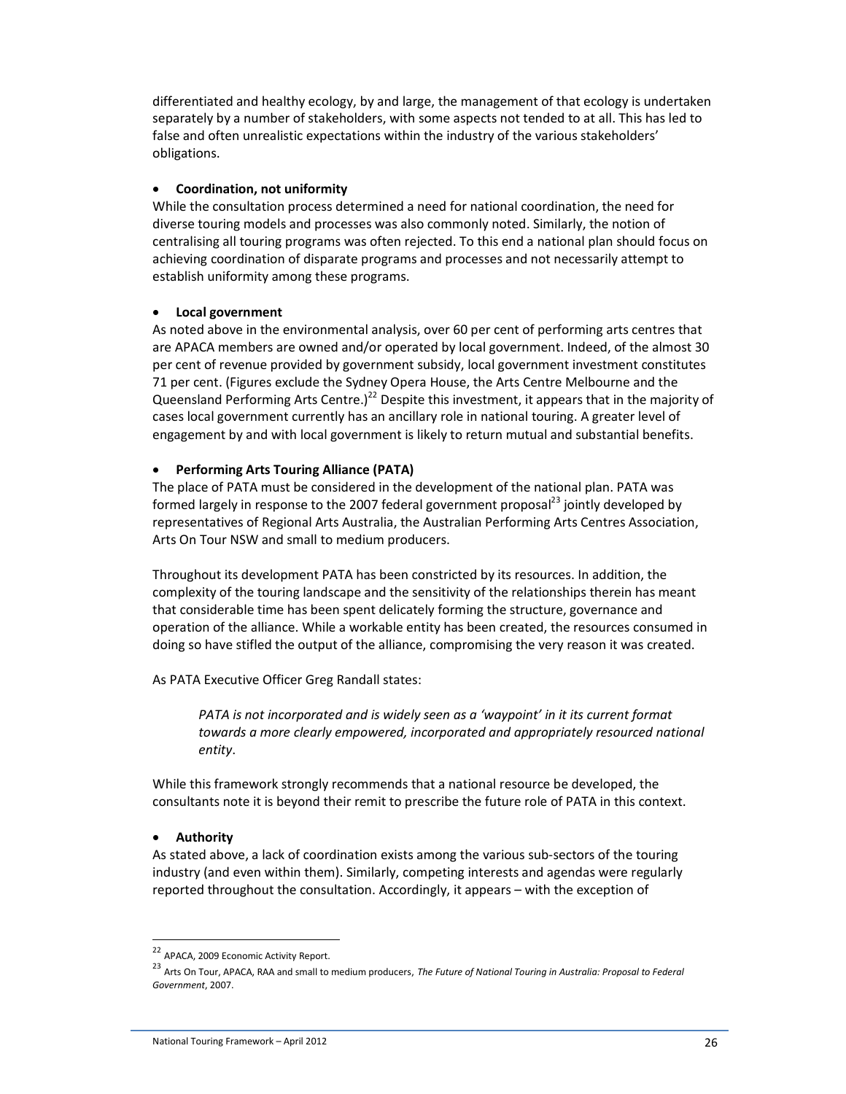differentiated and healthy ecology, by and large, the management of that ecology is undertaken separately by a number of stakeholders, with some aspects not tended to at all. This has led to false and often unrealistic expectations within the industry of the various stakeholders' obligations.

### • **Coordination, not uniformity**

While the consultation process determined a need for national coordination, the need for diverse touring models and processes was also commonly noted. Similarly, the notion of centralising all touring programs was often rejected. To this end a national plan should focus on achieving coordination of disparate programs and processes and not necessarily attempt to establish uniformity among these programs.

### • **Local government**

As noted above in the environmental analysis, over 60 per cent of performing arts centres that are APACA members are owned and/or operated by local government. Indeed, of the almost 30 per cent of revenue provided by government subsidy, local government investment constitutes 71 per cent. (Figures exclude the Sydney Opera House, the Arts Centre Melbourne and the Queensland Performing Arts Centre.)<sup>22</sup> Despite this investment, it appears that in the majority of cases local government currently has an ancillary role in national touring. A greater level of engagement by and with local government is likely to return mutual and substantial benefits.

### • **Performing Arts Touring Alliance (PATA)**

The place of PATA must be considered in the development of the national plan. PATA was formed largely in response to the 2007 federal government proposal<sup>23</sup> jointly developed by representatives of Regional Arts Australia, the Australian Performing Arts Centres Association, Arts On Tour NSW and small to medium producers.

Throughout its development PATA has been constricted by its resources. In addition, the complexity of the touring landscape and the sensitivity of the relationships therein has meant that considerable time has been spent delicately forming the structure, governance and operation of the alliance. While a workable entity has been created, the resources consumed in doing so have stifled the output of the alliance, compromising the very reason it was created.

As PATA Executive Officer Greg Randall states:

*PATA is not incorporated and is widely seen as a 'waypoint' in it its current format towards a more clearly empowered, incorporated and appropriately resourced national entity*.

While this framework strongly recommends that a national resource be developed, the consultants note it is beyond their remit to prescribe the future role of PATA in this context.

# • **Authority**

 $\overline{a}$ 

As stated above, a lack of coordination exists among the various sub-sectors of the touring industry (and even within them). Similarly, competing interests and agendas were regularly reported throughout the consultation. Accordingly, it appears – with the exception of

<sup>22</sup> APACA, 2009 Economic Activity Report.

<sup>23</sup> Arts On Tour, APACA, RAA and small to medium producers, *The Future of National Touring in Australia: Proposal to Federal Government*, 2007.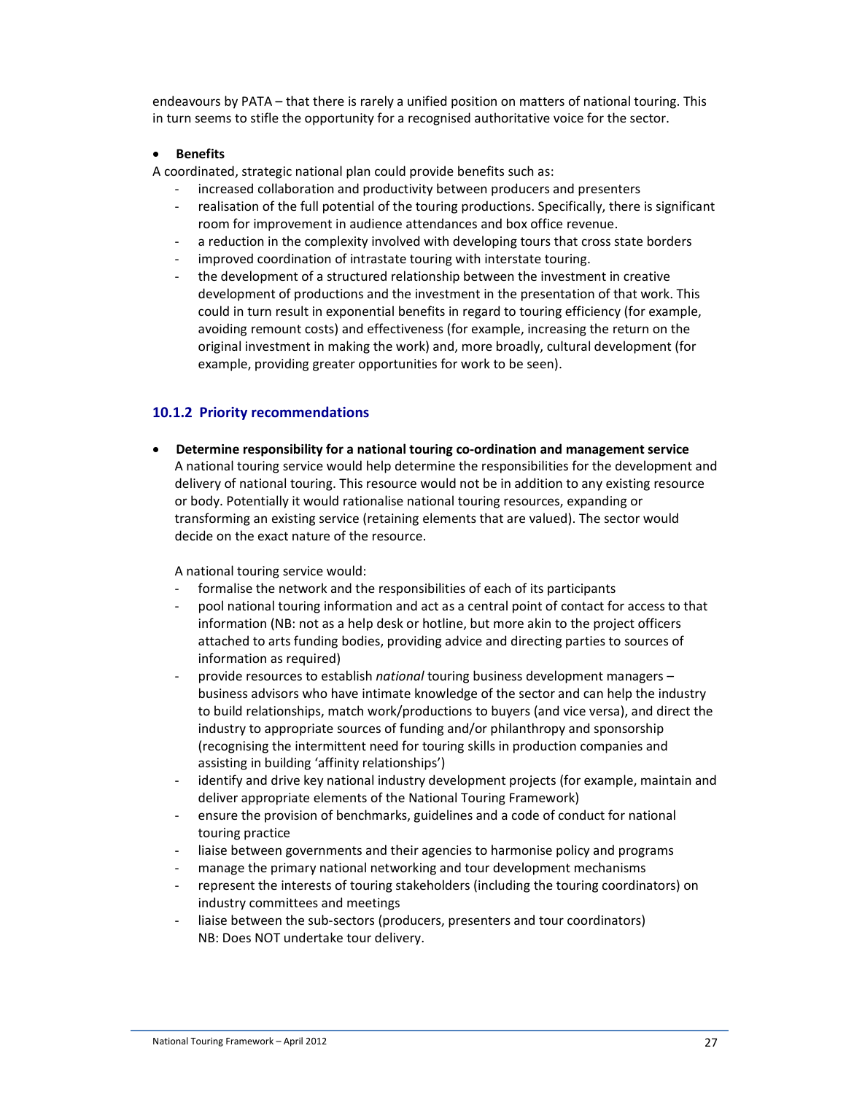endeavours by PATA – that there is rarely a unified position on matters of national touring. This in turn seems to stifle the opportunity for a recognised authoritative voice for the sector.

### • **Benefits**

A coordinated, strategic national plan could provide benefits such as:

- increased collaboration and productivity between producers and presenters
- realisation of the full potential of the touring productions. Specifically, there is significant room for improvement in audience attendances and box office revenue.
- a reduction in the complexity involved with developing tours that cross state borders
- improved coordination of intrastate touring with interstate touring.
- the development of a structured relationship between the investment in creative development of productions and the investment in the presentation of that work. This could in turn result in exponential benefits in regard to touring efficiency (for example, avoiding remount costs) and effectiveness (for example, increasing the return on the original investment in making the work) and, more broadly, cultural development (for example, providing greater opportunities for work to be seen).

# **10.1.2 Priority recommendations**

• **Determine responsibility for a national touring co-ordination and management service**  A national touring service would help determine the responsibilities for the development and delivery of national touring. This resource would not be in addition to any existing resource or body. Potentially it would rationalise national touring resources, expanding or transforming an existing service (retaining elements that are valued). The sector would decide on the exact nature of the resource.

A national touring service would:

- formalise the network and the responsibilities of each of its participants
- pool national touring information and act as a central point of contact for access to that information (NB: not as a help desk or hotline, but more akin to the project officers attached to arts funding bodies, providing advice and directing parties to sources of information as required)
- provide resources to establish *national* touring business development managers business advisors who have intimate knowledge of the sector and can help the industry to build relationships, match work/productions to buyers (and vice versa), and direct the industry to appropriate sources of funding and/or philanthropy and sponsorship (recognising the intermittent need for touring skills in production companies and assisting in building 'affinity relationships')
- identify and drive key national industry development projects (for example, maintain and deliver appropriate elements of the National Touring Framework)
- ensure the provision of benchmarks, guidelines and a code of conduct for national touring practice
- liaise between governments and their agencies to harmonise policy and programs
- manage the primary national networking and tour development mechanisms
- represent the interests of touring stakeholders (including the touring coordinators) on industry committees and meetings
- liaise between the sub-sectors (producers, presenters and tour coordinators) NB: Does NOT undertake tour delivery.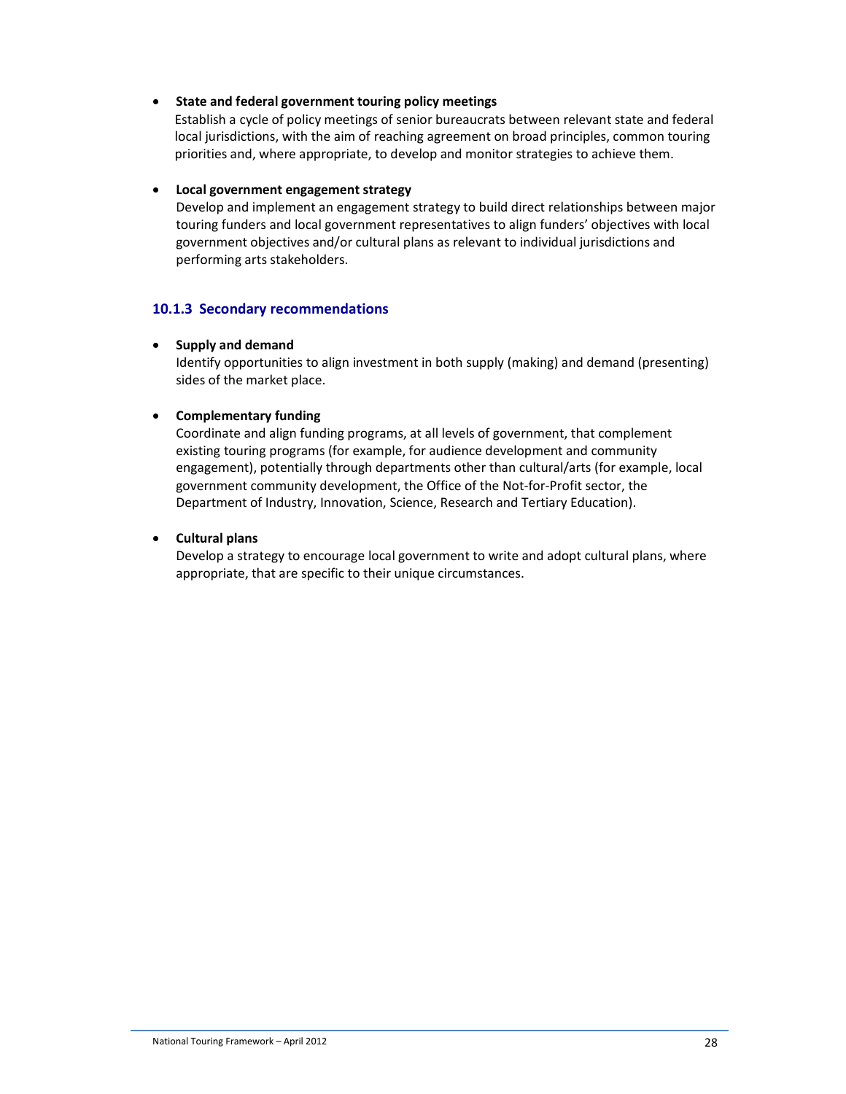#### • **State and federal government touring policy meetings**

Establish a cycle of policy meetings of senior bureaucrats between relevant state and federal local jurisdictions, with the aim of reaching agreement on broad principles, common touring priorities and, where appropriate, to develop and monitor strategies to achieve them.

### • **Local government engagement strategy**

Develop and implement an engagement strategy to build direct relationships between major touring funders and local government representatives to align funders' objectives with local government objectives and/or cultural plans as relevant to individual jurisdictions and performing arts stakeholders.

# **10.1.3 Secondary recommendations**

#### • **Supply and demand**

Identify opportunities to align investment in both supply (making) and demand (presenting) sides of the market place.

### • **Complementary funding**

Coordinate and align funding programs, at all levels of government, that complement existing touring programs (for example, for audience development and community engagement), potentially through departments other than cultural/arts (for example, local government community development, the Office of the Not-for-Profit sector, the Department of Industry, Innovation, Science, Research and Tertiary Education).

## • **Cultural plans**

Develop a strategy to encourage local government to write and adopt cultural plans, where appropriate, that are specific to their unique circumstances.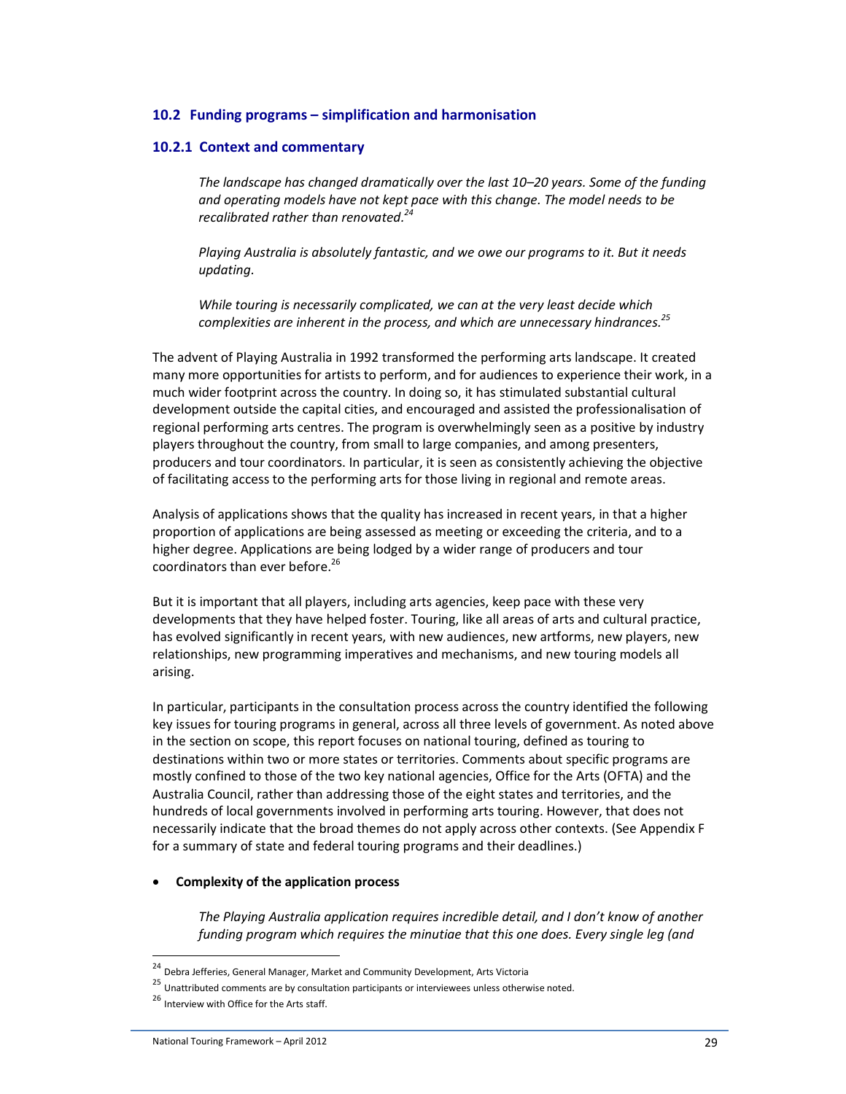### **10.2 Funding programs – simplification and harmonisation**

#### **10.2.1 Context and commentary**

*The landscape has changed dramatically over the last 10–20 years. Some of the funding and operating models have not kept pace with this change. The model needs to be recalibrated rather than renovated.<sup>24</sup>* 

*Playing Australia is absolutely fantastic, and we owe our programs to it. But it needs updating.* 

*While touring is necessarily complicated, we can at the very least decide which complexities are inherent in the process, and which are unnecessary hindrances.<sup>25</sup>* 

The advent of Playing Australia in 1992 transformed the performing arts landscape. It created many more opportunities for artists to perform, and for audiences to experience their work, in a much wider footprint across the country. In doing so, it has stimulated substantial cultural development outside the capital cities, and encouraged and assisted the professionalisation of regional performing arts centres. The program is overwhelmingly seen as a positive by industry players throughout the country, from small to large companies, and among presenters, producers and tour coordinators. In particular, it is seen as consistently achieving the objective of facilitating access to the performing arts for those living in regional and remote areas.

Analysis of applications shows that the quality has increased in recent years, in that a higher proportion of applications are being assessed as meeting or exceeding the criteria, and to a higher degree. Applications are being lodged by a wider range of producers and tour coordinators than ever before. $^{26}$ 

But it is important that all players, including arts agencies, keep pace with these very developments that they have helped foster. Touring, like all areas of arts and cultural practice, has evolved significantly in recent years, with new audiences, new artforms, new players, new relationships, new programming imperatives and mechanisms, and new touring models all arising.

In particular, participants in the consultation process across the country identified the following key issues for touring programs in general, across all three levels of government. As noted above in the section on scope, this report focuses on national touring, defined as touring to destinations within two or more states or territories. Comments about specific programs are mostly confined to those of the two key national agencies, Office for the Arts (OFTA) and the Australia Council, rather than addressing those of the eight states and territories, and the hundreds of local governments involved in performing arts touring. However, that does not necessarily indicate that the broad themes do not apply across other contexts. (See Appendix F for a summary of state and federal touring programs and their deadlines.)

#### • **Complexity of the application process**

*The Playing Australia application requires incredible detail, and I don't know of another funding program which requires the minutiae that this one does. Every single leg (and* 

l

<sup>&</sup>lt;sup>24</sup> Debra Jefferies, General Manager, Market and Community Development, Arts Victoria

<sup>&</sup>lt;sup>25</sup> Unattributed comments are by consultation participants or interviewees unless otherwise noted.

<sup>26</sup> Interview with Office for the Arts staff.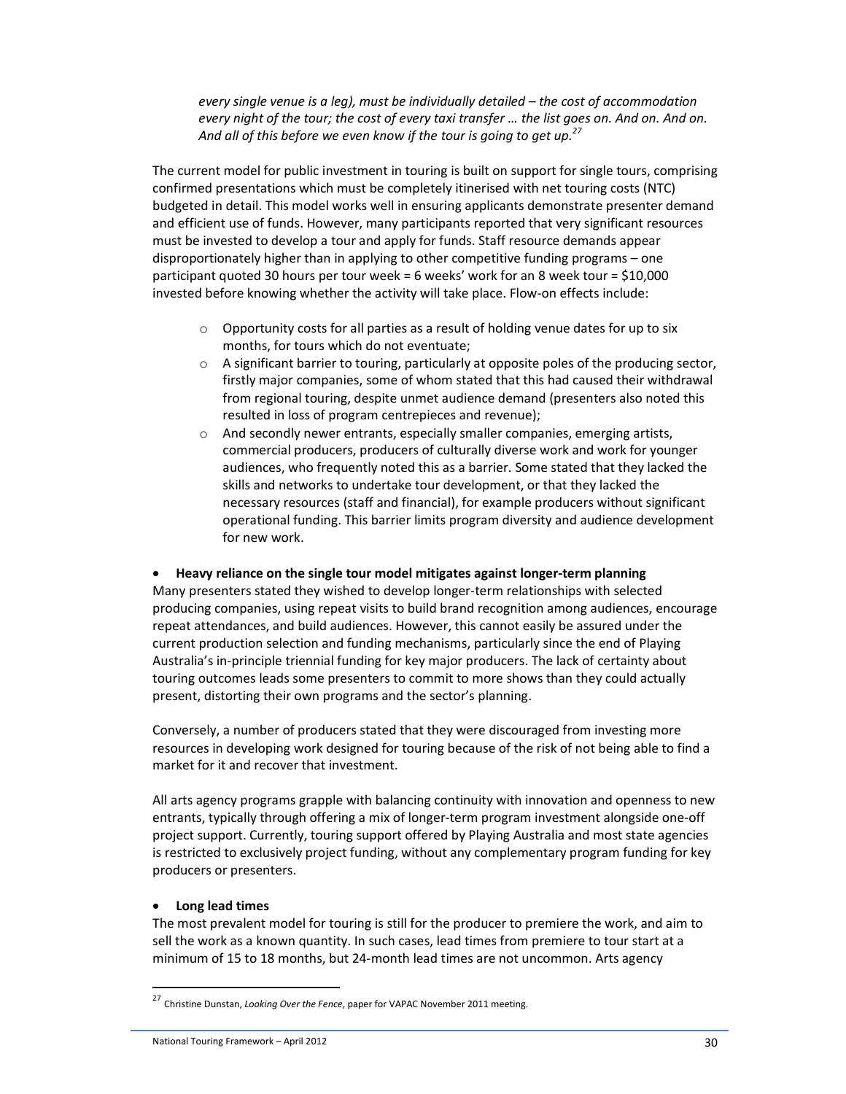*every single venue is a leg), must be individually detailed – the cost of accommodation every night of the tour; the cost of every taxi transfer … the list goes on. And on. And on. And all of this before we even know if the tour is going to get up.<sup>27</sup>*

The current model for public investment in touring is built on support for single tours, comprising confirmed presentations which must be completely itinerised with net touring costs (NTC) budgeted in detail. This model works well in ensuring applicants demonstrate presenter demand and efficient use of funds. However, many participants reported that very significant resources must be invested to develop a tour and apply for funds. Staff resource demands appear disproportionately higher than in applying to other competitive funding programs – one participant quoted 30 hours per tour week = 6 weeks' work for an 8 week tour = \$10,000 invested before knowing whether the activity will take place. Flow-on effects include:

- $\circ$  Opportunity costs for all parties as a result of holding venue dates for up to six months, for tours which do not eventuate;
- $\circ$  A significant barrier to touring, particularly at opposite poles of the producing sector, firstly major companies, some of whom stated that this had caused their withdrawal from regional touring, despite unmet audience demand (presenters also noted this resulted in loss of program centrepieces and revenue);
- o And secondly newer entrants, especially smaller companies, emerging artists, commercial producers, producers of culturally diverse work and work for younger audiences, who frequently noted this as a barrier. Some stated that they lacked the skills and networks to undertake tour development, or that they lacked the necessary resources (staff and financial), for example producers without significant operational funding. This barrier limits program diversity and audience development for new work.

#### • **Heavy reliance on the single tour model mitigates against longer-term planning**

Many presenters stated they wished to develop longer-term relationships with selected producing companies, using repeat visits to build brand recognition among audiences, encourage repeat attendances, and build audiences. However, this cannot easily be assured under the current production selection and funding mechanisms, particularly since the end of Playing Australia's in-principle triennial funding for key major producers. The lack of certainty about touring outcomes leads some presenters to commit to more shows than they could actually present, distorting their own programs and the sector's planning.

Conversely, a number of producers stated that they were discouraged from investing more resources in developing work designed for touring because of the risk of not being able to find a market for it and recover that investment.

All arts agency programs grapple with balancing continuity with innovation and openness to new entrants, typically through offering a mix of longer-term program investment alongside one-off project support. Currently, touring support offered by Playing Australia and most state agencies is restricted to exclusively project funding, without any complementary program funding for key producers or presenters.

#### • **Long lead times**

 $\overline{a}$ 

The most prevalent model for touring is still for the producer to premiere the work, and aim to sell the work as a known quantity. In such cases, lead times from premiere to tour start at a minimum of 15 to 18 months, but 24-month lead times are not uncommon. Arts agency

<sup>27</sup> Christine Dunstan, *Looking Over the Fence*, paper for VAPAC November 2011 meeting.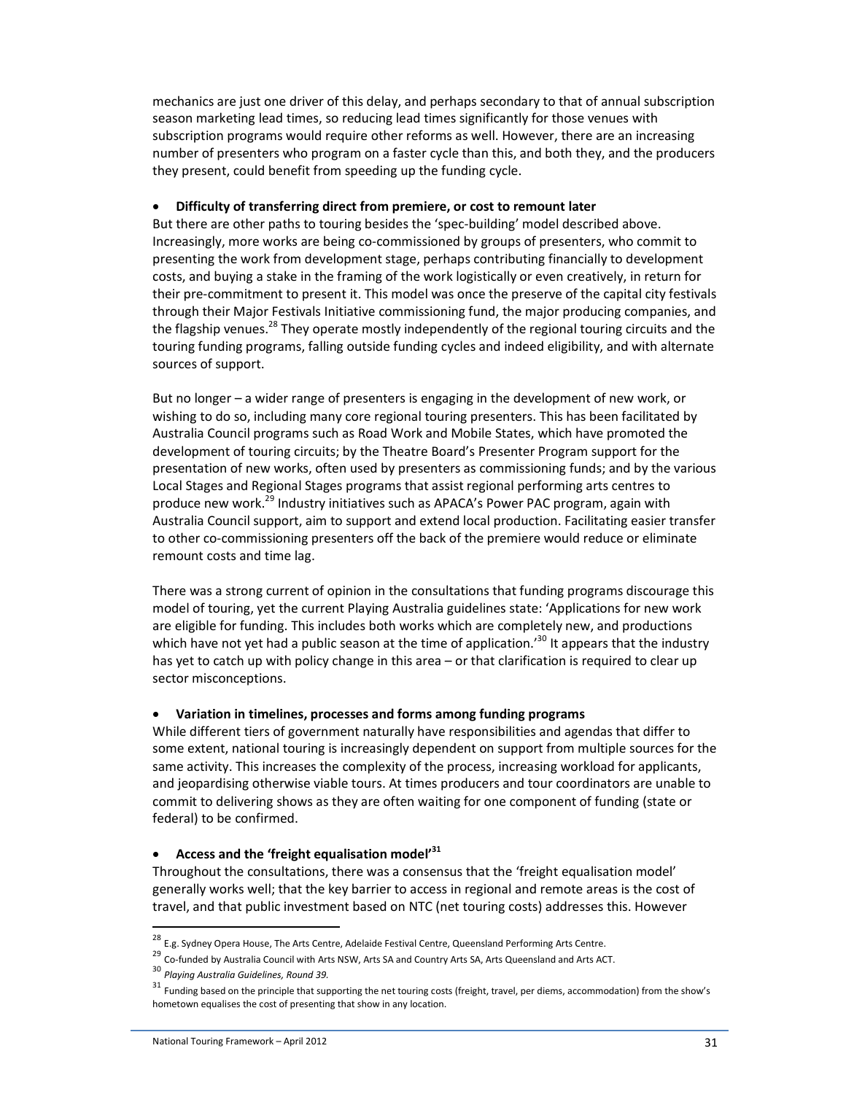mechanics are just one driver of this delay, and perhaps secondary to that of annual subscription season marketing lead times, so reducing lead times significantly for those venues with subscription programs would require other reforms as well. However, there are an increasing number of presenters who program on a faster cycle than this, and both they, and the producers they present, could benefit from speeding up the funding cycle.

### • **Difficulty of transferring direct from premiere, or cost to remount later**

But there are other paths to touring besides the 'spec-building' model described above. Increasingly, more works are being co-commissioned by groups of presenters, who commit to presenting the work from development stage, perhaps contributing financially to development costs, and buying a stake in the framing of the work logistically or even creatively, in return for their pre-commitment to present it. This model was once the preserve of the capital city festivals through their Major Festivals Initiative commissioning fund, the major producing companies, and the flagship venues.<sup>28</sup> They operate mostly independently of the regional touring circuits and the touring funding programs, falling outside funding cycles and indeed eligibility, and with alternate sources of support.

But no longer – a wider range of presenters is engaging in the development of new work, or wishing to do so, including many core regional touring presenters. This has been facilitated by Australia Council programs such as Road Work and Mobile States, which have promoted the development of touring circuits; by the Theatre Board's Presenter Program support for the presentation of new works, often used by presenters as commissioning funds; and by the various Local Stages and Regional Stages programs that assist regional performing arts centres to produce new work.<sup>29</sup> Industry initiatives such as APACA's Power PAC program, again with Australia Council support, aim to support and extend local production. Facilitating easier transfer to other co-commissioning presenters off the back of the premiere would reduce or eliminate remount costs and time lag.

There was a strong current of opinion in the consultations that funding programs discourage this model of touring, yet the current Playing Australia guidelines state: 'Applications for new work are eligible for funding. This includes both works which are completely new, and productions which have not yet had a public season at the time of application.<sup>30</sup> It appears that the industry has yet to catch up with policy change in this area - or that clarification is required to clear up sector misconceptions.

# • **Variation in timelines, processes and forms among funding programs**

While different tiers of government naturally have responsibilities and agendas that differ to some extent, national touring is increasingly dependent on support from multiple sources for the same activity. This increases the complexity of the process, increasing workload for applicants, and jeopardising otherwise viable tours. At times producers and tour coordinators are unable to commit to delivering shows as they are often waiting for one component of funding (state or federal) to be confirmed.

# • **Access and the 'freight equalisation model'<sup>31</sup>**

Throughout the consultations, there was a consensus that the 'freight equalisation model' generally works well; that the key barrier to access in regional and remote areas is the cost of travel, and that public investment based on NTC (net touring costs) addresses this. However

 $\overline{\phantom{a}}$ 

<sup>&</sup>lt;sup>28</sup> E.g. Sydney Opera House, The Arts Centre, Adelaide Festival Centre, Queensland Performing Arts Centre.

<sup>&</sup>lt;sup>29</sup> Co-funded by Australia Council with Arts NSW, Arts SA and Country Arts SA, Arts Queensland and Arts ACT.

<sup>30</sup> *Playing Australia Guidelines, Round 39.*

<sup>&</sup>lt;sup>31</sup> Funding based on the principle that supporting the net touring costs (freight, travel, per diems, accommodation) from the show's hometown equalises the cost of presenting that show in any location.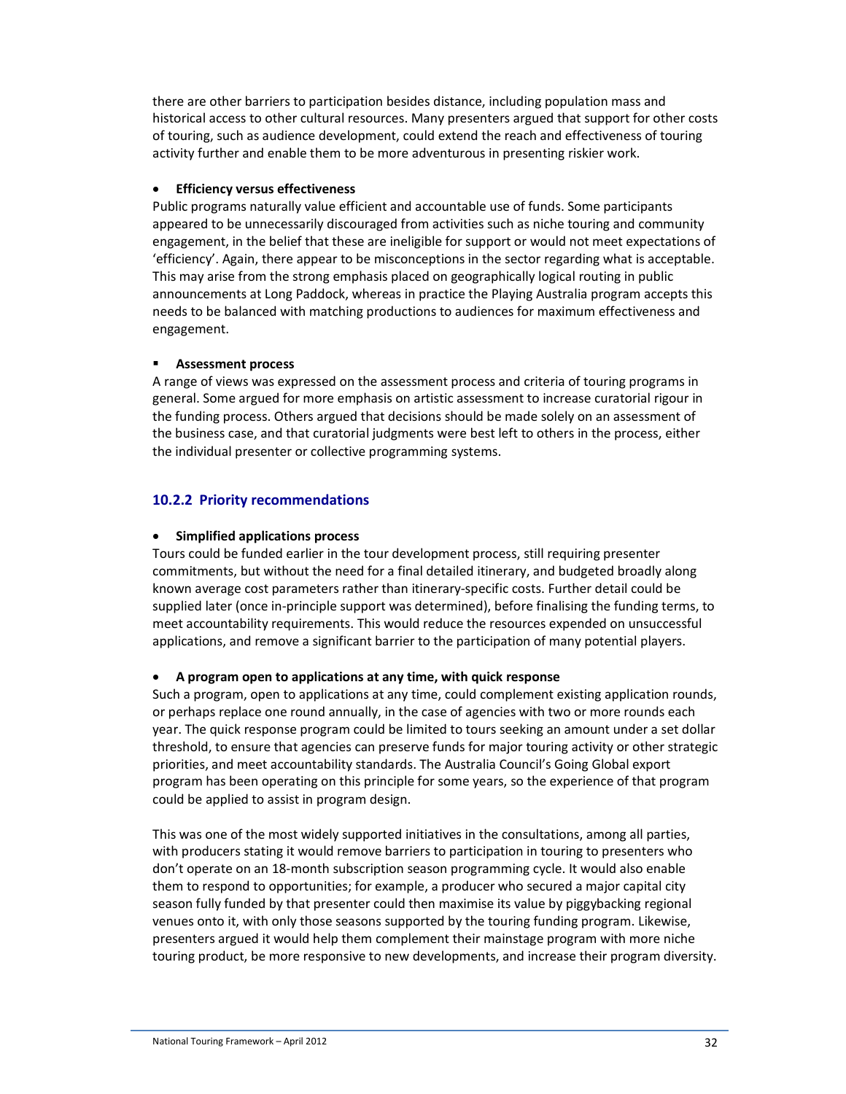there are other barriers to participation besides distance, including population mass and historical access to other cultural resources. Many presenters argued that support for other costs of touring, such as audience development, could extend the reach and effectiveness of touring activity further and enable them to be more adventurous in presenting riskier work.

## • **Efficiency versus effectiveness**

Public programs naturally value efficient and accountable use of funds. Some participants appeared to be unnecessarily discouraged from activities such as niche touring and community engagement, in the belief that these are ineligible for support or would not meet expectations of 'efficiency'. Again, there appear to be misconceptions in the sector regarding what is acceptable. This may arise from the strong emphasis placed on geographically logical routing in public announcements at Long Paddock, whereas in practice the Playing Australia program accepts this needs to be balanced with matching productions to audiences for maximum effectiveness and engagement.

### **Assessment process**

A range of views was expressed on the assessment process and criteria of touring programs in general. Some argued for more emphasis on artistic assessment to increase curatorial rigour in the funding process. Others argued that decisions should be made solely on an assessment of the business case, and that curatorial judgments were best left to others in the process, either the individual presenter or collective programming systems.

# **10.2.2 Priority recommendations**

### • **Simplified applications process**

Tours could be funded earlier in the tour development process, still requiring presenter commitments, but without the need for a final detailed itinerary, and budgeted broadly along known average cost parameters rather than itinerary-specific costs. Further detail could be supplied later (once in-principle support was determined), before finalising the funding terms, to meet accountability requirements. This would reduce the resources expended on unsuccessful applications, and remove a significant barrier to the participation of many potential players.

# • **A program open to applications at any time, with quick response**

Such a program, open to applications at any time, could complement existing application rounds, or perhaps replace one round annually, in the case of agencies with two or more rounds each year. The quick response program could be limited to tours seeking an amount under a set dollar threshold, to ensure that agencies can preserve funds for major touring activity or other strategic priorities, and meet accountability standards. The Australia Council's Going Global export program has been operating on this principle for some years, so the experience of that program could be applied to assist in program design.

This was one of the most widely supported initiatives in the consultations, among all parties, with producers stating it would remove barriers to participation in touring to presenters who don't operate on an 18-month subscription season programming cycle. It would also enable them to respond to opportunities; for example, a producer who secured a major capital city season fully funded by that presenter could then maximise its value by piggybacking regional venues onto it, with only those seasons supported by the touring funding program. Likewise, presenters argued it would help them complement their mainstage program with more niche touring product, be more responsive to new developments, and increase their program diversity.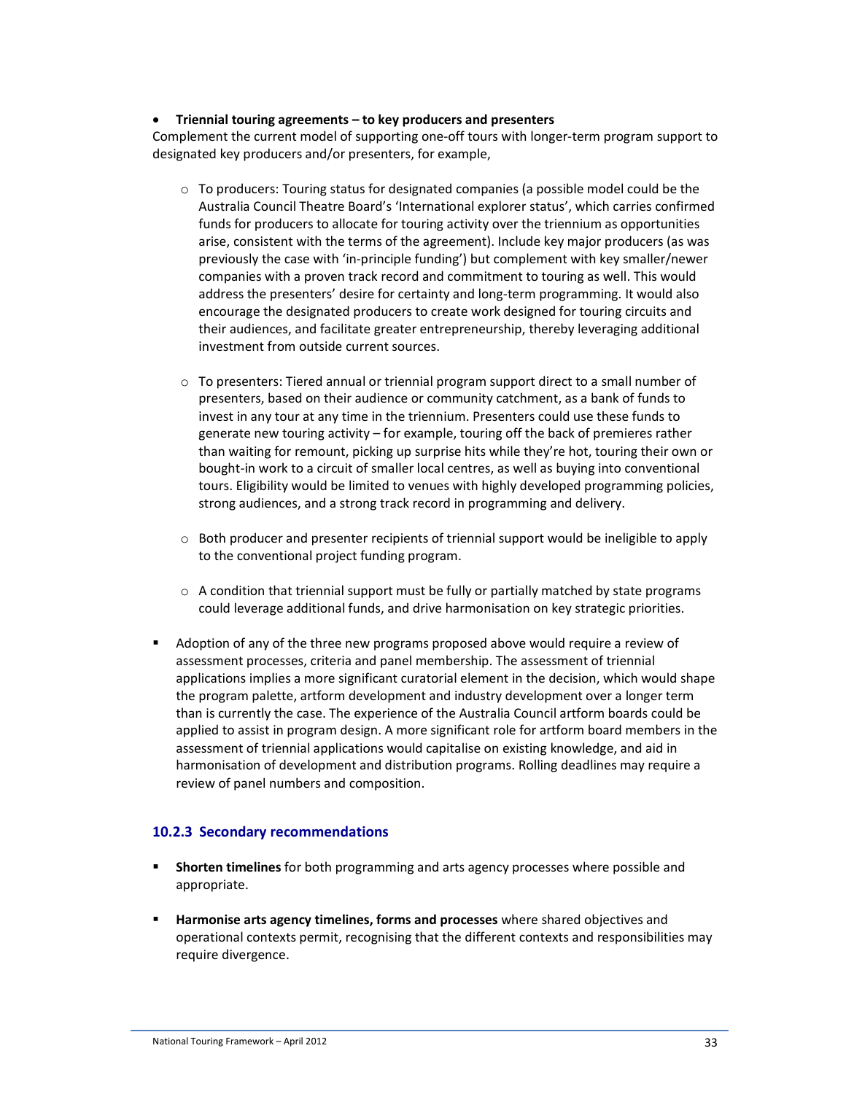#### • **Triennial touring agreements – to key producers and presenters**

Complement the current model of supporting one-off tours with longer-term program support to designated key producers and/or presenters, for example,

- $\circ$  To producers: Touring status for designated companies (a possible model could be the Australia Council Theatre Board's 'International explorer status', which carries confirmed funds for producers to allocate for touring activity over the triennium as opportunities arise, consistent with the terms of the agreement). Include key major producers (as was previously the case with 'in-principle funding') but complement with key smaller/newer companies with a proven track record and commitment to touring as well. This would address the presenters' desire for certainty and long-term programming. It would also encourage the designated producers to create work designed for touring circuits and their audiences, and facilitate greater entrepreneurship, thereby leveraging additional investment from outside current sources.
- o To presenters: Tiered annual or triennial program support direct to a small number of presenters, based on their audience or community catchment, as a bank of funds to invest in any tour at any time in the triennium. Presenters could use these funds to generate new touring activity – for example, touring off the back of premieres rather than waiting for remount, picking up surprise hits while they're hot, touring their own or bought-in work to a circuit of smaller local centres, as well as buying into conventional tours. Eligibility would be limited to venues with highly developed programming policies, strong audiences, and a strong track record in programming and delivery.
- o Both producer and presenter recipients of triennial support would be ineligible to apply to the conventional project funding program.
- $\circ$  A condition that triennial support must be fully or partially matched by state programs could leverage additional funds, and drive harmonisation on key strategic priorities.
- Adoption of any of the three new programs proposed above would require a review of assessment processes, criteria and panel membership. The assessment of triennial applications implies a more significant curatorial element in the decision, which would shape the program palette, artform development and industry development over a longer term than is currently the case. The experience of the Australia Council artform boards could be applied to assist in program design. A more significant role for artform board members in the assessment of triennial applications would capitalise on existing knowledge, and aid in harmonisation of development and distribution programs. Rolling deadlines may require a review of panel numbers and composition.

#### **10.2.3 Secondary recommendations**

- **Shorten timelines** for both programming and arts agency processes where possible and appropriate.
- **Harmonise arts agency timelines, forms and processes** where shared objectives and operational contexts permit, recognising that the different contexts and responsibilities may require divergence.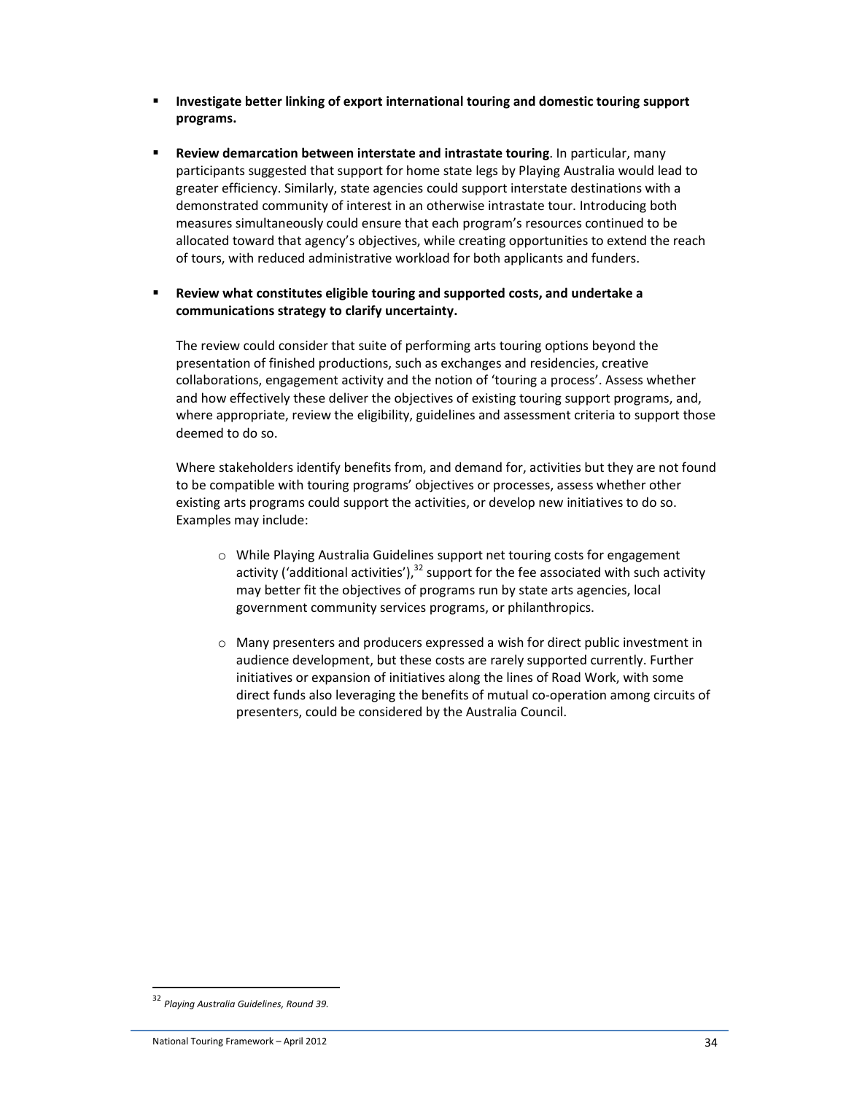- **Investigate better linking of export international touring and domestic touring support programs.**
- **Review demarcation between interstate and intrastate touring**. In particular, many participants suggested that support for home state legs by Playing Australia would lead to greater efficiency. Similarly, state agencies could support interstate destinations with a demonstrated community of interest in an otherwise intrastate tour. Introducing both measures simultaneously could ensure that each program's resources continued to be allocated toward that agency's objectives, while creating opportunities to extend the reach of tours, with reduced administrative workload for both applicants and funders.
- **Review what constitutes eligible touring and supported costs, and undertake a communications strategy to clarify uncertainty.**

The review could consider that suite of performing arts touring options beyond the presentation of finished productions, such as exchanges and residencies, creative collaborations, engagement activity and the notion of 'touring a process'. Assess whether and how effectively these deliver the objectives of existing touring support programs, and, where appropriate, review the eligibility, guidelines and assessment criteria to support those deemed to do so.

Where stakeholders identify benefits from, and demand for, activities but they are not found to be compatible with touring programs' objectives or processes, assess whether other existing arts programs could support the activities, or develop new initiatives to do so. Examples may include:

- o While Playing Australia Guidelines support net touring costs for engagement activity ('additional activities'), $32$  support for the fee associated with such activity may better fit the objectives of programs run by state arts agencies, local government community services programs, or philanthropics.
- o Many presenters and producers expressed a wish for direct public investment in audience development, but these costs are rarely supported currently. Further initiatives or expansion of initiatives along the lines of Road Work, with some direct funds also leveraging the benefits of mutual co-operation among circuits of presenters, could be considered by the Australia Council.

 $\overline{a}$ 

<sup>32</sup> *Playing Australia Guidelines, Round 39.*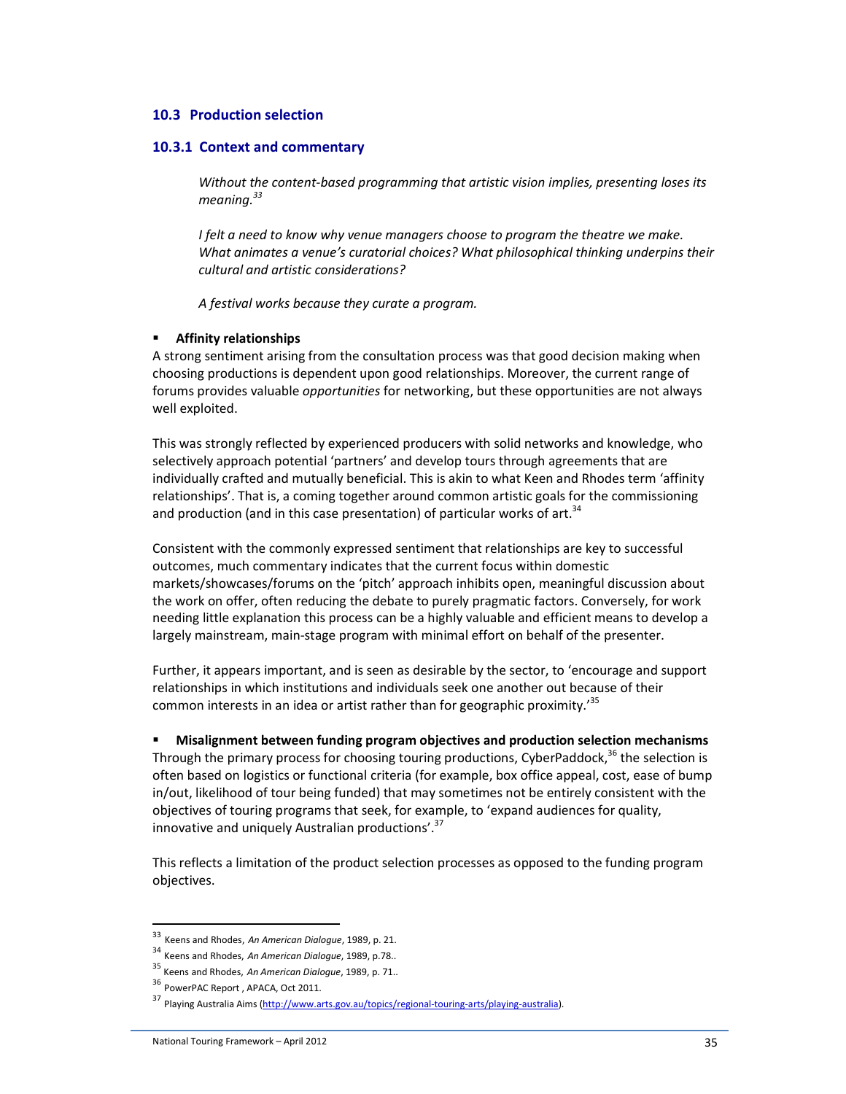#### **10.3 Production selection**

#### **10.3.1 Context and commentary**

*Without the content-based programming that artistic vision implies, presenting loses its meaning.<sup>33</sup>*

*I felt a need to know why venue managers choose to program the theatre we make. What animates a venue's curatorial choices? What philosophical thinking underpins their cultural and artistic considerations?* 

*A festival works because they curate a program.* 

#### **Affinity relationships**

A strong sentiment arising from the consultation process was that good decision making when choosing productions is dependent upon good relationships. Moreover, the current range of forums provides valuable *opportunities* for networking, but these opportunities are not always well exploited.

This was strongly reflected by experienced producers with solid networks and knowledge, who selectively approach potential 'partners' and develop tours through agreements that are individually crafted and mutually beneficial. This is akin to what Keen and Rhodes term 'affinity relationships'. That is, a coming together around common artistic goals for the commissioning and production (and in this case presentation) of particular works of art.<sup>34</sup>

Consistent with the commonly expressed sentiment that relationships are key to successful outcomes, much commentary indicates that the current focus within domestic markets/showcases/forums on the 'pitch' approach inhibits open, meaningful discussion about the work on offer, often reducing the debate to purely pragmatic factors. Conversely, for work needing little explanation this process can be a highly valuable and efficient means to develop a largely mainstream, main-stage program with minimal effort on behalf of the presenter.

Further, it appears important, and is seen as desirable by the sector, to 'encourage and support relationships in which institutions and individuals seek one another out because of their common interests in an idea or artist rather than for geographic proximity.<sup>35</sup>

 **Misalignment between funding program objectives and production selection mechanisms**  Through the primary process for choosing touring productions, CyberPaddock, $36$  the selection is often based on logistics or functional criteria (for example, box office appeal, cost, ease of bump in/out, likelihood of tour being funded) that may sometimes not be entirely consistent with the objectives of touring programs that seek, for example, to 'expand audiences for quality, innovative and uniquely Australian productions'. $37$ 

This reflects a limitation of the product selection processes as opposed to the funding program objectives.

l

<sup>33</sup> Keens and Rhodes, *An American Dialogue*, 1989, p. 21.

<sup>34</sup> Keens and Rhodes, *An American Dialogue*, 1989, p.78..

<sup>35</sup> Keens and Rhodes, *An American Dialogue*, 1989, p. 71..

<sup>36</sup> PowerPAC Report , APACA, Oct 2011.

<sup>37</sup> Playing Australia Aims (http://www.arts.gov.au/topics/regional-touring-arts/playing-australia).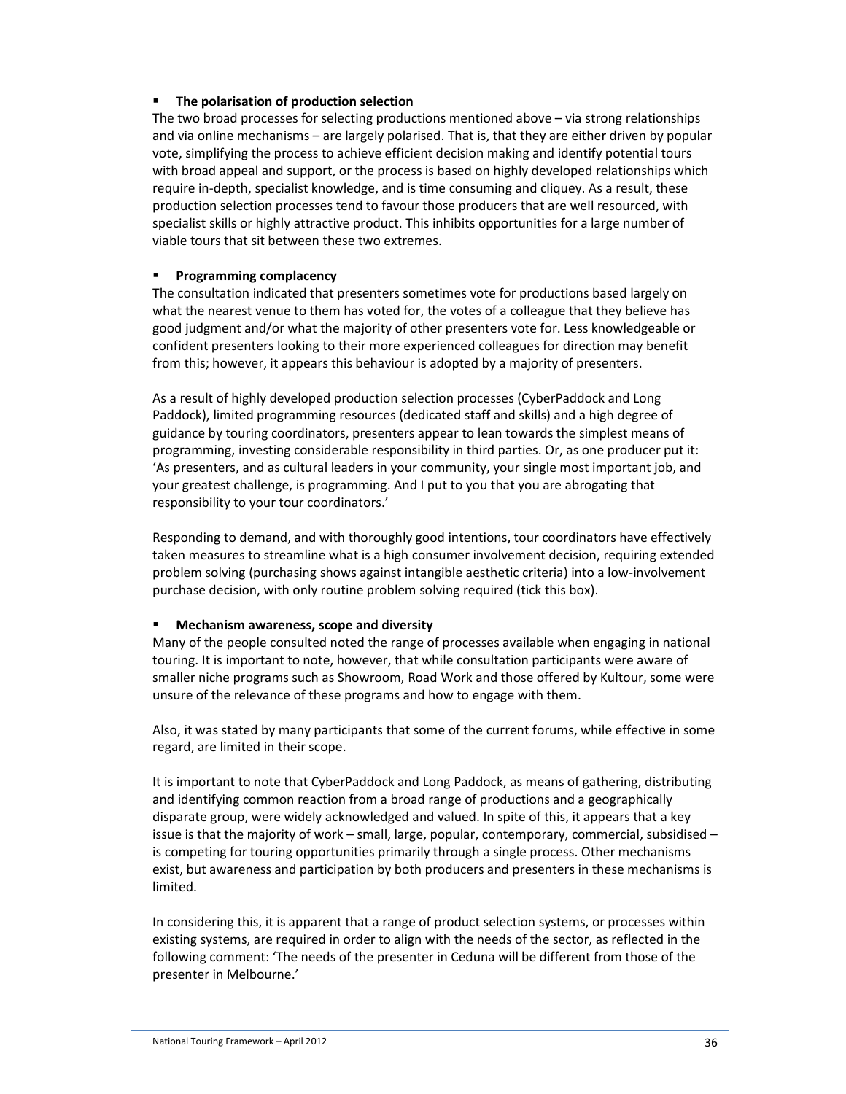### **The polarisation of production selection**

The two broad processes for selecting productions mentioned above – via strong relationships and via online mechanisms – are largely polarised. That is, that they are either driven by popular vote, simplifying the process to achieve efficient decision making and identify potential tours with broad appeal and support, or the process is based on highly developed relationships which require in-depth, specialist knowledge, and is time consuming and cliquey. As a result, these production selection processes tend to favour those producers that are well resourced, with specialist skills or highly attractive product. This inhibits opportunities for a large number of viable tours that sit between these two extremes.

#### **Programming complacency**

The consultation indicated that presenters sometimes vote for productions based largely on what the nearest venue to them has voted for, the votes of a colleague that they believe has good judgment and/or what the majority of other presenters vote for. Less knowledgeable or confident presenters looking to their more experienced colleagues for direction may benefit from this; however, it appears this behaviour is adopted by a majority of presenters.

As a result of highly developed production selection processes (CyberPaddock and Long Paddock), limited programming resources (dedicated staff and skills) and a high degree of guidance by touring coordinators, presenters appear to lean towards the simplest means of programming, investing considerable responsibility in third parties. Or, as one producer put it: 'As presenters, and as cultural leaders in your community, your single most important job, and your greatest challenge, is programming. And I put to you that you are abrogating that responsibility to your tour coordinators.'

Responding to demand, and with thoroughly good intentions, tour coordinators have effectively taken measures to streamline what is a high consumer involvement decision, requiring extended problem solving (purchasing shows against intangible aesthetic criteria) into a low-involvement purchase decision, with only routine problem solving required (tick this box).

#### **Mechanism awareness, scope and diversity**

Many of the people consulted noted the range of processes available when engaging in national touring. It is important to note, however, that while consultation participants were aware of smaller niche programs such as Showroom, Road Work and those offered by Kultour, some were unsure of the relevance of these programs and how to engage with them.

Also, it was stated by many participants that some of the current forums, while effective in some regard, are limited in their scope.

It is important to note that CyberPaddock and Long Paddock, as means of gathering, distributing and identifying common reaction from a broad range of productions and a geographically disparate group, were widely acknowledged and valued. In spite of this, it appears that a key issue is that the majority of work – small, large, popular, contemporary, commercial, subsidised – is competing for touring opportunities primarily through a single process. Other mechanisms exist, but awareness and participation by both producers and presenters in these mechanisms is limited.

In considering this, it is apparent that a range of product selection systems, or processes within existing systems, are required in order to align with the needs of the sector, as reflected in the following comment: 'The needs of the presenter in Ceduna will be different from those of the presenter in Melbourne.'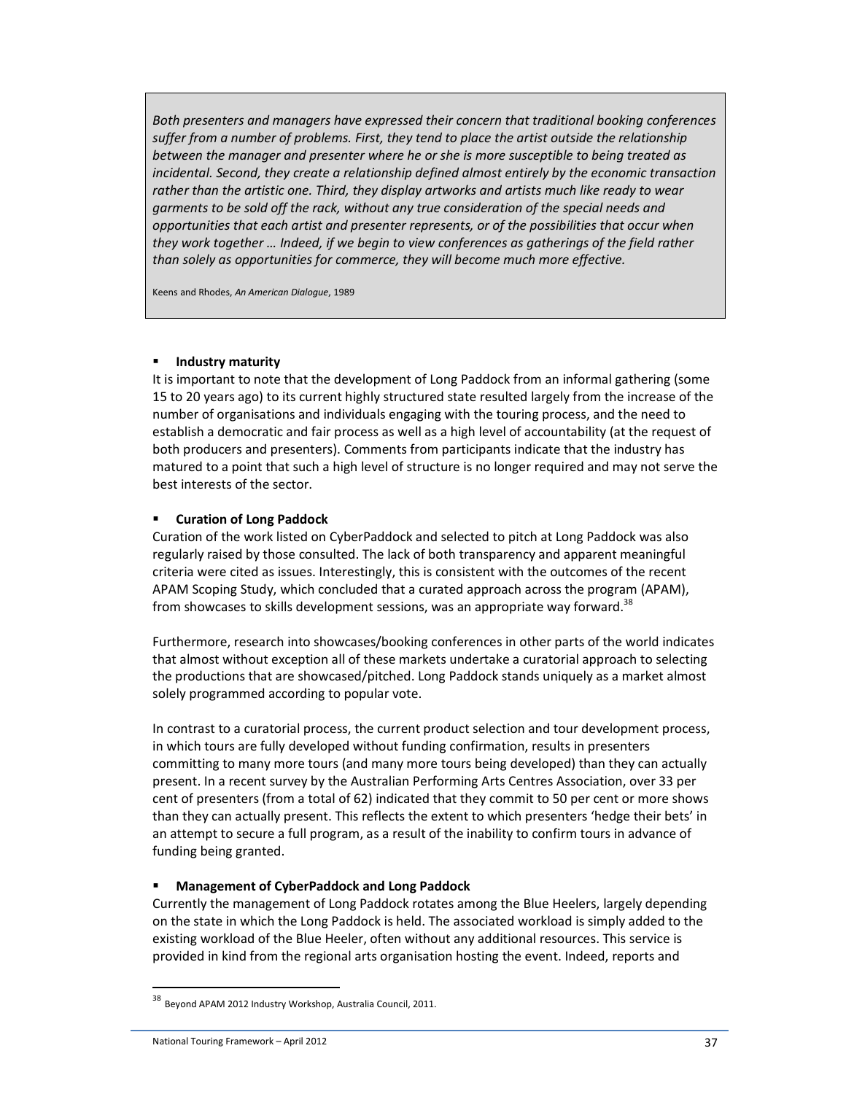*Both presenters and managers have expressed their concern that traditional booking conferences suffer from a number of problems. First, they tend to place the artist outside the relationship between the manager and presenter where he or she is more susceptible to being treated as incidental. Second, they create a relationship defined almost entirely by the economic transaction rather than the artistic one. Third, they display artworks and artists much like ready to wear garments to be sold off the rack, without any true consideration of the special needs and opportunities that each artist and presenter represents, or of the possibilities that occur when they work together … Indeed, if we begin to view conferences as gatherings of the field rather than solely as opportunities for commerce, they will become much more effective.* 

Keens and Rhodes, *An American Dialogue*, 1989

#### **Industry maturity**

It is important to note that the development of Long Paddock from an informal gathering (some 15 to 20 years ago) to its current highly structured state resulted largely from the increase of the number of organisations and individuals engaging with the touring process, and the need to establish a democratic and fair process as well as a high level of accountability (at the request of both producers and presenters). Comments from participants indicate that the industry has matured to a point that such a high level of structure is no longer required and may not serve the best interests of the sector.

#### **Curation of Long Paddock**

Curation of the work listed on CyberPaddock and selected to pitch at Long Paddock was also regularly raised by those consulted. The lack of both transparency and apparent meaningful criteria were cited as issues. Interestingly, this is consistent with the outcomes of the recent APAM Scoping Study, which concluded that a curated approach across the program (APAM), from showcases to skills development sessions, was an appropriate way forward.<sup>38</sup>

Furthermore, research into showcases/booking conferences in other parts of the world indicates that almost without exception all of these markets undertake a curatorial approach to selecting the productions that are showcased/pitched. Long Paddock stands uniquely as a market almost solely programmed according to popular vote.

In contrast to a curatorial process, the current product selection and tour development process, in which tours are fully developed without funding confirmation, results in presenters committing to many more tours (and many more tours being developed) than they can actually present. In a recent survey by the Australian Performing Arts Centres Association, over 33 per cent of presenters (from a total of 62) indicated that they commit to 50 per cent or more shows than they can actually present. This reflects the extent to which presenters 'hedge their bets' in an attempt to secure a full program, as a result of the inability to confirm tours in advance of funding being granted.

#### **Management of CyberPaddock and Long Paddock**

Currently the management of Long Paddock rotates among the Blue Heelers, largely depending on the state in which the Long Paddock is held. The associated workload is simply added to the existing workload of the Blue Heeler, often without any additional resources. This service is provided in kind from the regional arts organisation hosting the event. Indeed, reports and

<sup>38</sup> Beyond APAM 2012 Industry Workshop, Australia Council, 2011.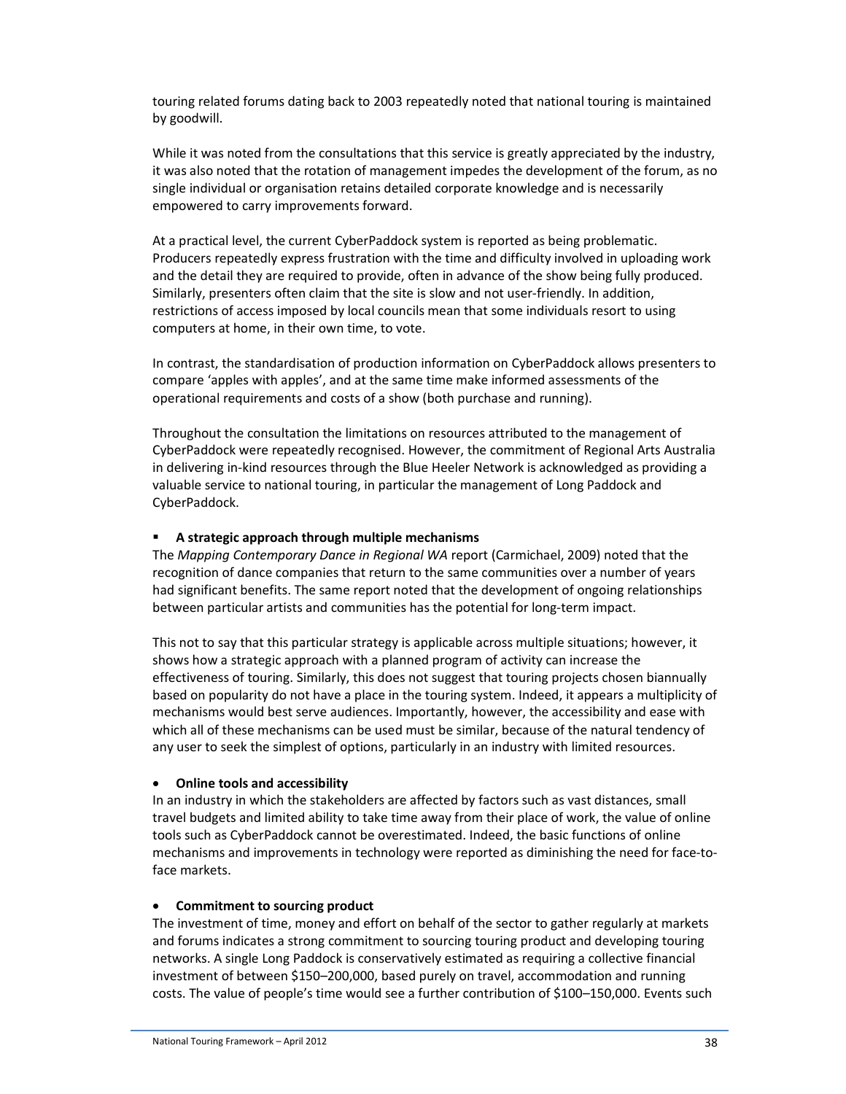touring related forums dating back to 2003 repeatedly noted that national touring is maintained by goodwill.

While it was noted from the consultations that this service is greatly appreciated by the industry, it was also noted that the rotation of management impedes the development of the forum, as no single individual or organisation retains detailed corporate knowledge and is necessarily empowered to carry improvements forward.

At a practical level, the current CyberPaddock system is reported as being problematic. Producers repeatedly express frustration with the time and difficulty involved in uploading work and the detail they are required to provide, often in advance of the show being fully produced. Similarly, presenters often claim that the site is slow and not user-friendly. In addition, restrictions of access imposed by local councils mean that some individuals resort to using computers at home, in their own time, to vote.

In contrast, the standardisation of production information on CyberPaddock allows presenters to compare 'apples with apples', and at the same time make informed assessments of the operational requirements and costs of a show (both purchase and running).

Throughout the consultation the limitations on resources attributed to the management of CyberPaddock were repeatedly recognised. However, the commitment of Regional Arts Australia in delivering in-kind resources through the Blue Heeler Network is acknowledged as providing a valuable service to national touring, in particular the management of Long Paddock and CyberPaddock.

### **A strategic approach through multiple mechanisms**

The *Mapping Contemporary Dance in Regional WA* report (Carmichael, 2009) noted that the recognition of dance companies that return to the same communities over a number of years had significant benefits. The same report noted that the development of ongoing relationships between particular artists and communities has the potential for long-term impact.

This not to say that this particular strategy is applicable across multiple situations; however, it shows how a strategic approach with a planned program of activity can increase the effectiveness of touring. Similarly, this does not suggest that touring projects chosen biannually based on popularity do not have a place in the touring system. Indeed, it appears a multiplicity of mechanisms would best serve audiences. Importantly, however, the accessibility and ease with which all of these mechanisms can be used must be similar, because of the natural tendency of any user to seek the simplest of options, particularly in an industry with limited resources.

#### • **Online tools and accessibility**

In an industry in which the stakeholders are affected by factors such as vast distances, small travel budgets and limited ability to take time away from their place of work, the value of online tools such as CyberPaddock cannot be overestimated. Indeed, the basic functions of online mechanisms and improvements in technology were reported as diminishing the need for face-toface markets.

#### • **Commitment to sourcing product**

The investment of time, money and effort on behalf of the sector to gather regularly at markets and forums indicates a strong commitment to sourcing touring product and developing touring networks. A single Long Paddock is conservatively estimated as requiring a collective financial investment of between \$150–200,000, based purely on travel, accommodation and running costs. The value of people's time would see a further contribution of \$100–150,000. Events such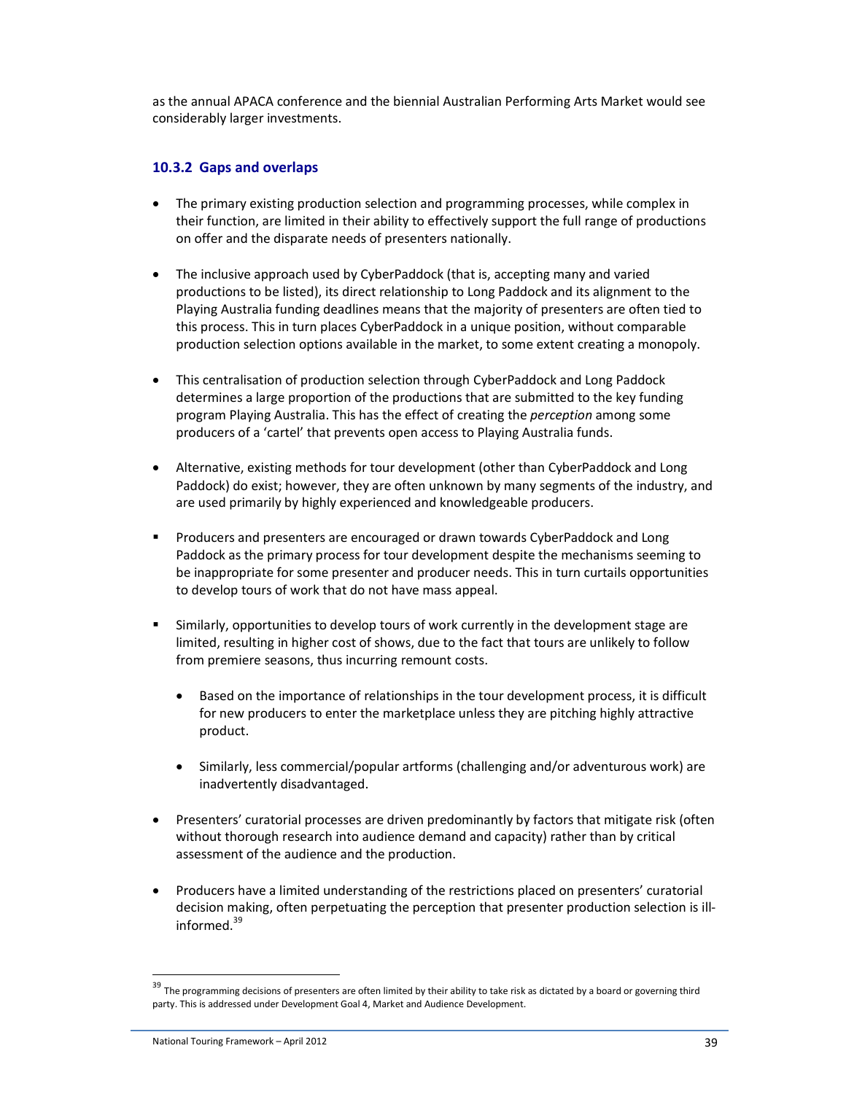as the annual APACA conference and the biennial Australian Performing Arts Market would see considerably larger investments.

## **10.3.2 Gaps and overlaps**

- The primary existing production selection and programming processes, while complex in their function, are limited in their ability to effectively support the full range of productions on offer and the disparate needs of presenters nationally.
- The inclusive approach used by CyberPaddock (that is, accepting many and varied productions to be listed), its direct relationship to Long Paddock and its alignment to the Playing Australia funding deadlines means that the majority of presenters are often tied to this process. This in turn places CyberPaddock in a unique position, without comparable production selection options available in the market, to some extent creating a monopoly.
- This centralisation of production selection through CyberPaddock and Long Paddock determines a large proportion of the productions that are submitted to the key funding program Playing Australia. This has the effect of creating the *perception* among some producers of a 'cartel' that prevents open access to Playing Australia funds.
- Alternative, existing methods for tour development (other than CyberPaddock and Long Paddock) do exist; however, they are often unknown by many segments of the industry, and are used primarily by highly experienced and knowledgeable producers.
- **Producers and presenters are encouraged or drawn towards CyberPaddock and Long** Paddock as the primary process for tour development despite the mechanisms seeming to be inappropriate for some presenter and producer needs. This in turn curtails opportunities to develop tours of work that do not have mass appeal.
- Similarly, opportunities to develop tours of work currently in the development stage are limited, resulting in higher cost of shows, due to the fact that tours are unlikely to follow from premiere seasons, thus incurring remount costs.
	- Based on the importance of relationships in the tour development process, it is difficult for new producers to enter the marketplace unless they are pitching highly attractive product.
	- Similarly, less commercial/popular artforms (challenging and/or adventurous work) are inadvertently disadvantaged.
- Presenters' curatorial processes are driven predominantly by factors that mitigate risk (often without thorough research into audience demand and capacity) rather than by critical assessment of the audience and the production.
- Producers have a limited understanding of the restrictions placed on presenters' curatorial decision making, often perpetuating the perception that presenter production selection is illinformed.<sup>39</sup>

l

<sup>&</sup>lt;sup>39</sup> The programming decisions of presenters are often limited by their ability to take risk as dictated by a board or governing third party. This is addressed under Development Goal 4, Market and Audience Development.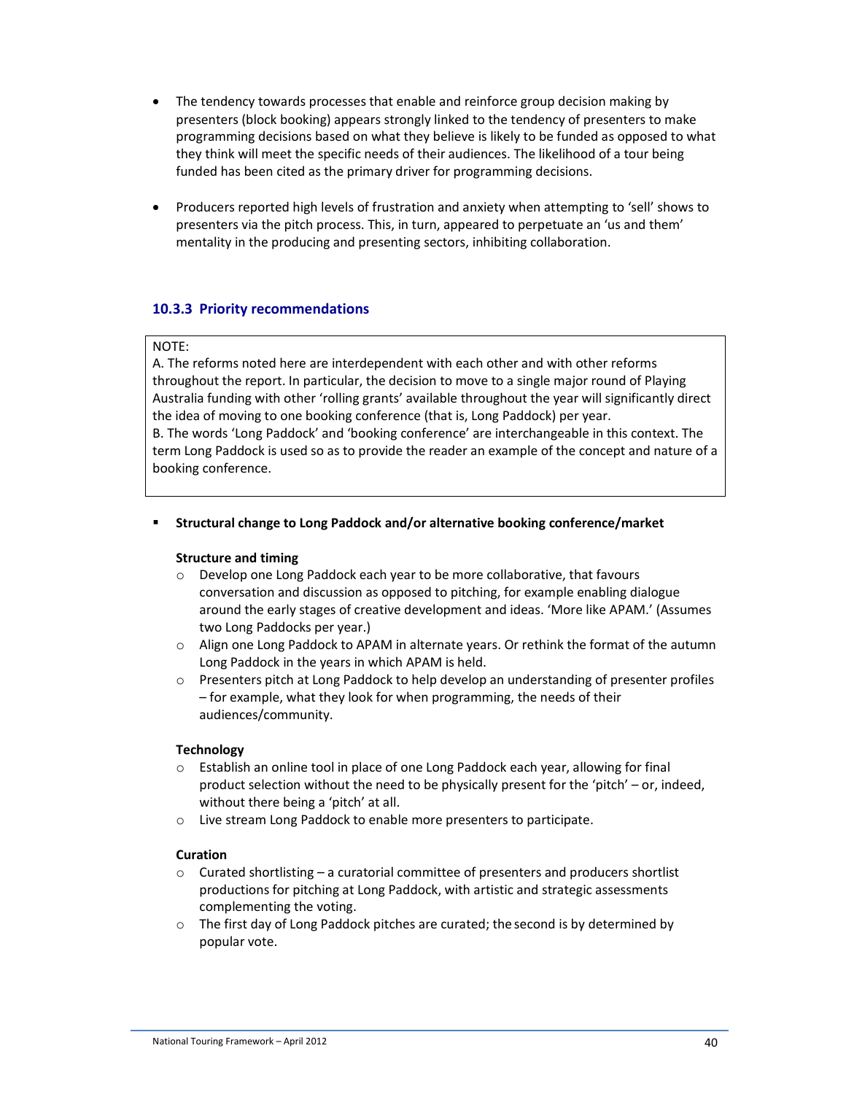- The tendency towards processes that enable and reinforce group decision making by presenters (block booking) appears strongly linked to the tendency of presenters to make programming decisions based on what they believe is likely to be funded as opposed to what they think will meet the specific needs of their audiences. The likelihood of a tour being funded has been cited as the primary driver for programming decisions.
- Producers reported high levels of frustration and anxiety when attempting to 'sell' shows to presenters via the pitch process. This, in turn, appeared to perpetuate an 'us and them' mentality in the producing and presenting sectors, inhibiting collaboration.

## **10.3.3 Priority recommendations**

#### NOTE:

A. The reforms noted here are interdependent with each other and with other reforms throughout the report. In particular, the decision to move to a single major round of Playing Australia funding with other 'rolling grants' available throughout the year will significantly direct the idea of moving to one booking conference (that is, Long Paddock) per year.

B. The words 'Long Paddock' and 'booking conference' are interchangeable in this context. The term Long Paddock is used so as to provide the reader an example of the concept and nature of a booking conference.

#### **Structural change to Long Paddock and/or alternative booking conference/market**

#### **Structure and timing**

- o Develop one Long Paddock each year to be more collaborative, that favours conversation and discussion as opposed to pitching, for example enabling dialogue around the early stages of creative development and ideas. 'More like APAM.' (Assumes two Long Paddocks per year.)
- o Align one Long Paddock to APAM in alternate years. Or rethink the format of the autumn Long Paddock in the years in which APAM is held.
- o Presenters pitch at Long Paddock to help develop an understanding of presenter profiles – for example, what they look for when programming, the needs of their audiences/community.

#### **Technology**

- o Establish an online tool in place of one Long Paddock each year, allowing for final product selection without the need to be physically present for the 'pitch' – or, indeed, without there being a 'pitch' at all.
- o Live stream Long Paddock to enable more presenters to participate.

#### **Curation**

- $\circ$  Curated shortlisting a curatorial committee of presenters and producers shortlist productions for pitching at Long Paddock, with artistic and strategic assessments complementing the voting.
- o The first day of Long Paddock pitches are curated; the second is by determined by popular vote.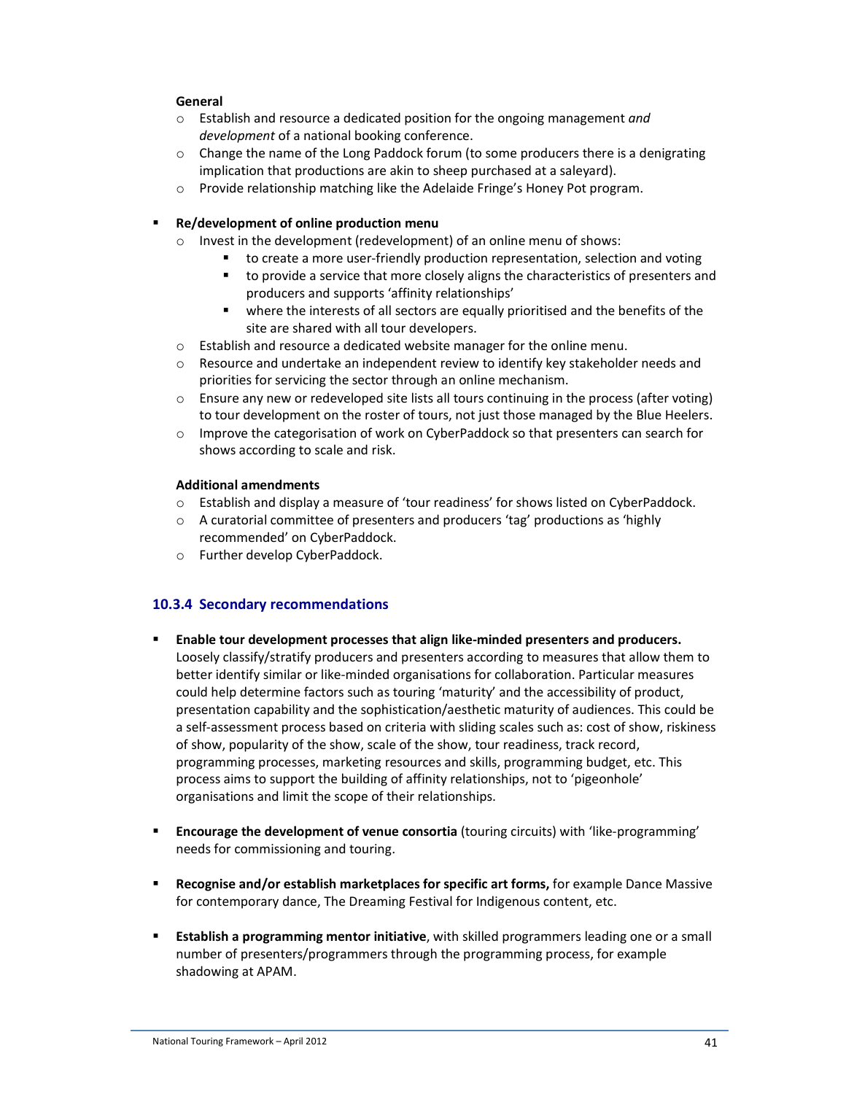#### **General**

- o Establish and resource a dedicated position for the ongoing management *and development* of a national booking conference.
- o Change the name of the Long Paddock forum (to some producers there is a denigrating implication that productions are akin to sheep purchased at a saleyard).
- o Provide relationship matching like the Adelaide Fringe's Honey Pot program.

### **Re/development of online production menu**

- o Invest in the development (redevelopment) of an online menu of shows:
	- to create a more user-friendly production representation, selection and voting
	- to provide a service that more closely aligns the characteristics of presenters and producers and supports 'affinity relationships'
	- **•** where the interests of all sectors are equally prioritised and the benefits of the site are shared with all tour developers.
- o Establish and resource a dedicated website manager for the online menu.
- $\circ$  Resource and undertake an independent review to identify key stakeholder needs and priorities for servicing the sector through an online mechanism.
- o Ensure any new or redeveloped site lists all tours continuing in the process (after voting) to tour development on the roster of tours, not just those managed by the Blue Heelers.
- o Improve the categorisation of work on CyberPaddock so that presenters can search for shows according to scale and risk.

#### **Additional amendments**

- o Establish and display a measure of 'tour readiness' for shows listed on CyberPaddock.
- o A curatorial committee of presenters and producers 'tag' productions as 'highly recommended' on CyberPaddock.
- o Further develop CyberPaddock.

## **10.3.4 Secondary recommendations**

- **Enable tour development processes that align like-minded presenters and producers.**  Loosely classify/stratify producers and presenters according to measures that allow them to better identify similar or like-minded organisations for collaboration. Particular measures could help determine factors such as touring 'maturity' and the accessibility of product, presentation capability and the sophistication/aesthetic maturity of audiences. This could be a self-assessment process based on criteria with sliding scales such as: cost of show, riskiness of show, popularity of the show, scale of the show, tour readiness, track record, programming processes, marketing resources and skills, programming budget, etc. This process aims to support the building of affinity relationships, not to 'pigeonhole' organisations and limit the scope of their relationships.
- **Encourage the development of venue consortia** (touring circuits) with 'like-programming' needs for commissioning and touring.
- **Recognise and/or establish marketplaces for specific art forms, for example Dance Massive** for contemporary dance, The Dreaming Festival for Indigenous content, etc.
- **Establish a programming mentor initiative**, with skilled programmers leading one or a small number of presenters/programmers through the programming process, for example shadowing at APAM.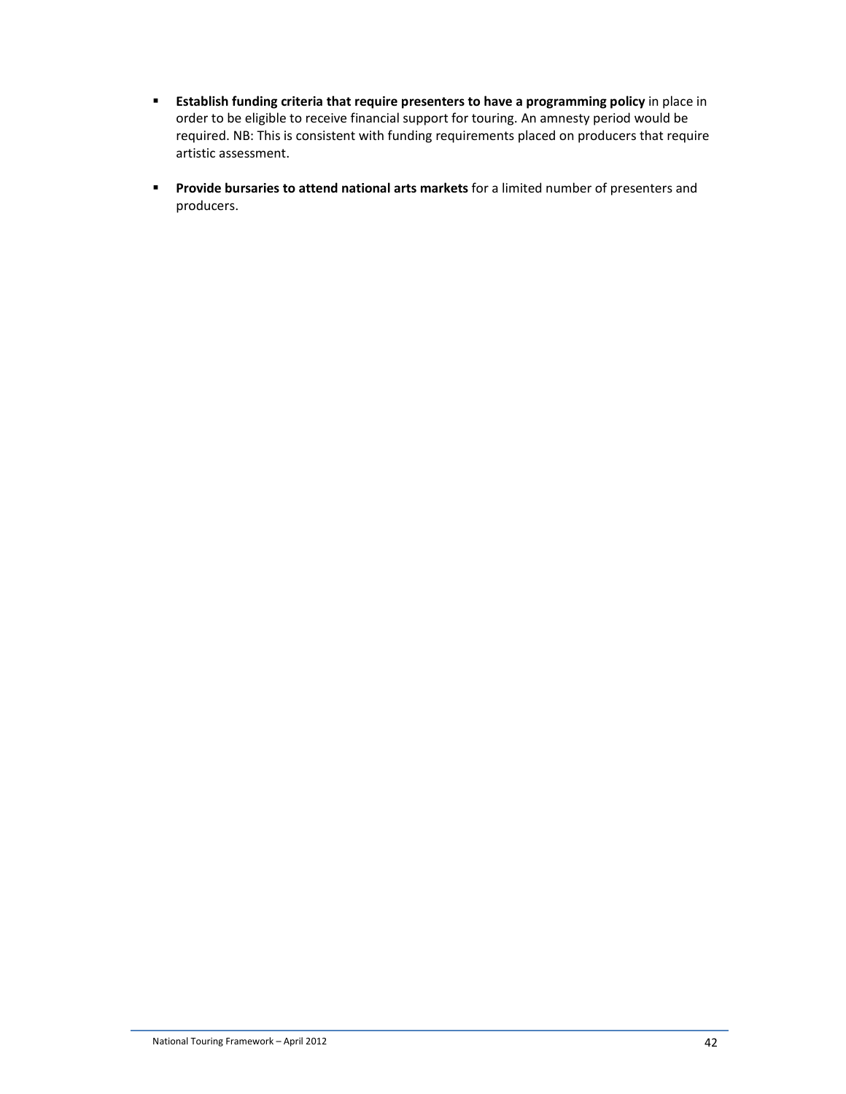- **Establish funding criteria that require presenters to have a programming policy** in place in order to be eligible to receive financial support for touring. An amnesty period would be required. NB: This is consistent with funding requirements placed on producers that require artistic assessment.
- **Provide bursaries to attend national arts markets** for a limited number of presenters and producers.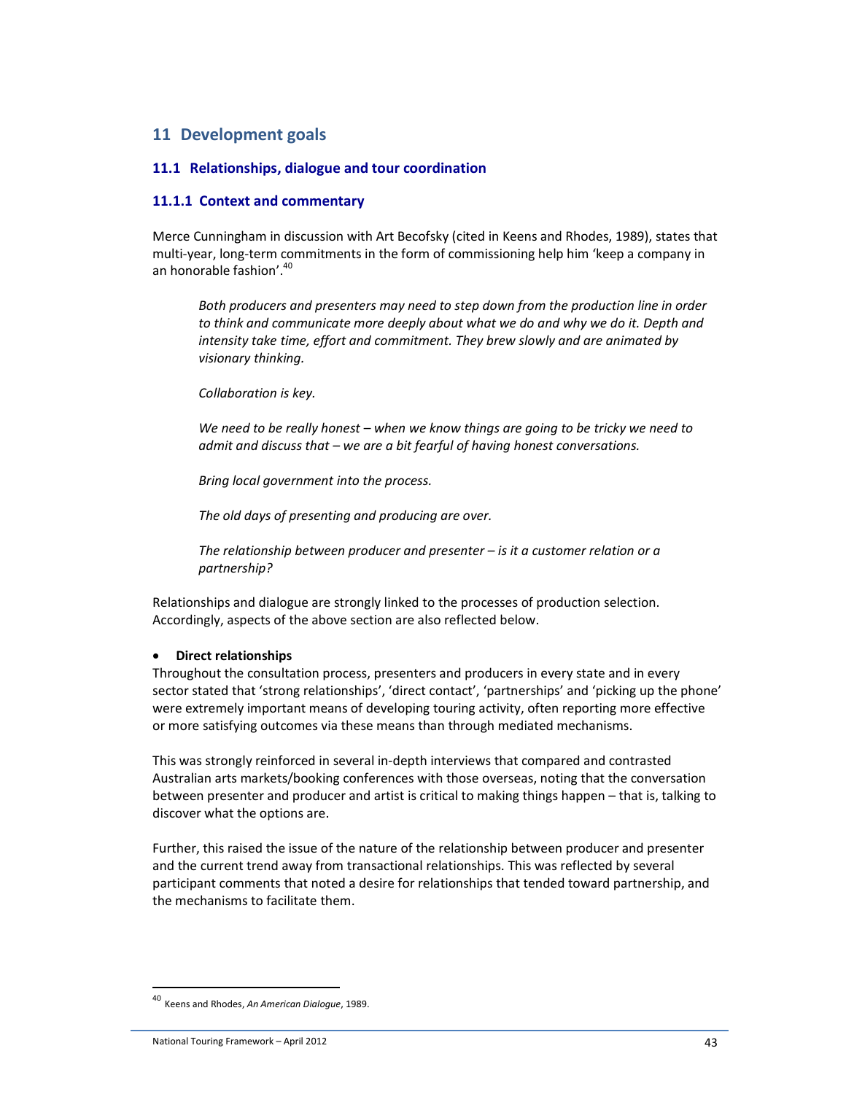## **11 Development goals**

#### **11.1 Relationships, dialogue and tour coordination**

### **11.1.1 Context and commentary**

Merce Cunningham in discussion with Art Becofsky (cited in Keens and Rhodes, 1989), states that multi-year, long-term commitments in the form of commissioning help him 'keep a company in an honorable fashion'. 40

*Both producers and presenters may need to step down from the production line in order to think and communicate more deeply about what we do and why we do it. Depth and intensity take time, effort and commitment. They brew slowly and are animated by visionary thinking.* 

*Collaboration is key.* 

*We need to be really honest – when we know things are going to be tricky we need to admit and discuss that – we are a bit fearful of having honest conversations.* 

*Bring local government into the process.* 

*The old days of presenting and producing are over.* 

*The relationship between producer and presenter – is it a customer relation or a partnership?* 

Relationships and dialogue are strongly linked to the processes of production selection. Accordingly, aspects of the above section are also reflected below.

#### • **Direct relationships**

Throughout the consultation process, presenters and producers in every state and in every sector stated that 'strong relationships', 'direct contact', 'partnerships' and 'picking up the phone' were extremely important means of developing touring activity, often reporting more effective or more satisfying outcomes via these means than through mediated mechanisms.

This was strongly reinforced in several in-depth interviews that compared and contrasted Australian arts markets/booking conferences with those overseas, noting that the conversation between presenter and producer and artist is critical to making things happen – that is, talking to discover what the options are.

Further, this raised the issue of the nature of the relationship between producer and presenter and the current trend away from transactional relationships. This was reflected by several participant comments that noted a desire for relationships that tended toward partnership, and the mechanisms to facilitate them.

<sup>40</sup> Keens and Rhodes, *An American Dialogue*, 1989.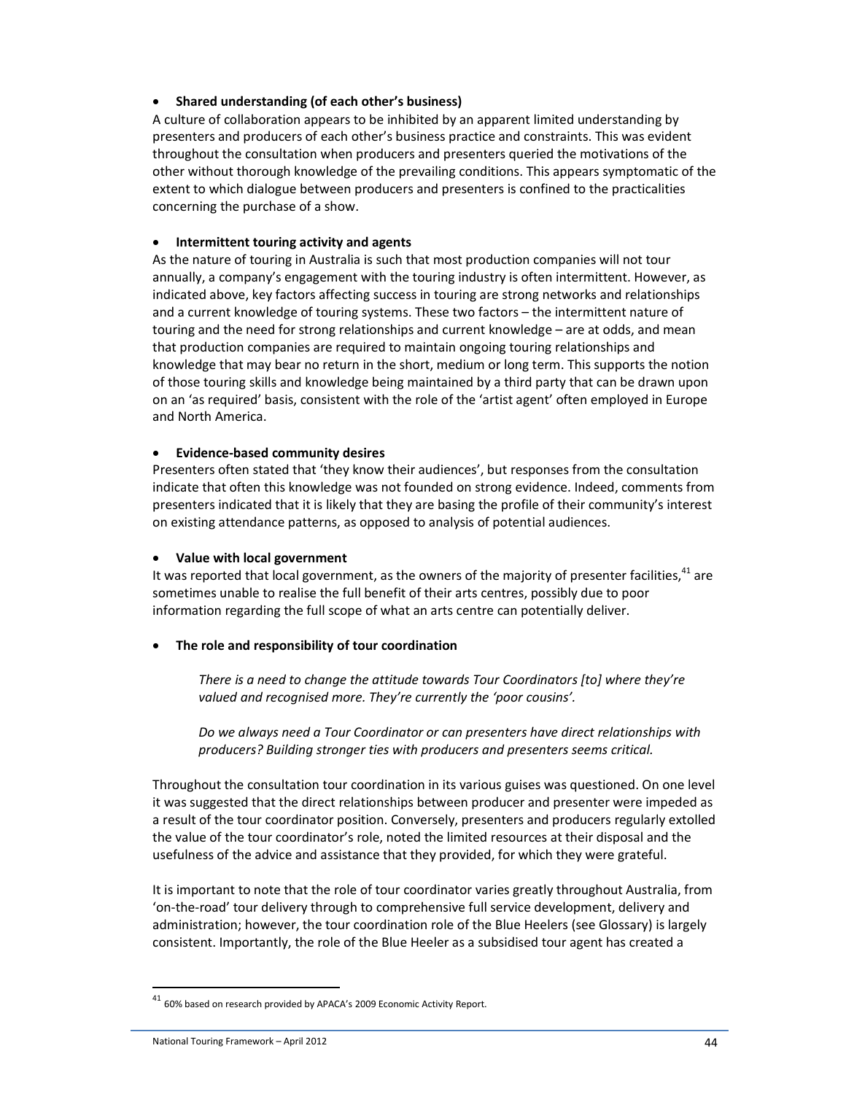### • **Shared understanding (of each other's business)**

A culture of collaboration appears to be inhibited by an apparent limited understanding by presenters and producers of each other's business practice and constraints. This was evident throughout the consultation when producers and presenters queried the motivations of the other without thorough knowledge of the prevailing conditions. This appears symptomatic of the extent to which dialogue between producers and presenters is confined to the practicalities concerning the purchase of a show.

### • **Intermittent touring activity and agents**

As the nature of touring in Australia is such that most production companies will not tour annually, a company's engagement with the touring industry is often intermittent. However, as indicated above, key factors affecting success in touring are strong networks and relationships and a current knowledge of touring systems. These two factors – the intermittent nature of touring and the need for strong relationships and current knowledge – are at odds, and mean that production companies are required to maintain ongoing touring relationships and knowledge that may bear no return in the short, medium or long term. This supports the notion of those touring skills and knowledge being maintained by a third party that can be drawn upon on an 'as required' basis, consistent with the role of the 'artist agent' often employed in Europe and North America.

### • **Evidence-based community desires**

Presenters often stated that 'they know their audiences', but responses from the consultation indicate that often this knowledge was not founded on strong evidence. Indeed, comments from presenters indicated that it is likely that they are basing the profile of their community's interest on existing attendance patterns, as opposed to analysis of potential audiences.

#### • **Value with local government**

It was reported that local government, as the owners of the majority of presenter facilities, $^{41}$  are sometimes unable to realise the full benefit of their arts centres, possibly due to poor information regarding the full scope of what an arts centre can potentially deliver.

## • **The role and responsibility of tour coordination**

*There is a need to change the attitude towards Tour Coordinators [to] where they're valued and recognised more. They're currently the 'poor cousins'.* 

*Do we always need a Tour Coordinator or can presenters have direct relationships with producers? Building stronger ties with producers and presenters seems critical.* 

Throughout the consultation tour coordination in its various guises was questioned. On one level it was suggested that the direct relationships between producer and presenter were impeded as a result of the tour coordinator position. Conversely, presenters and producers regularly extolled the value of the tour coordinator's role, noted the limited resources at their disposal and the usefulness of the advice and assistance that they provided, for which they were grateful.

It is important to note that the role of tour coordinator varies greatly throughout Australia, from 'on-the-road' tour delivery through to comprehensive full service development, delivery and administration; however, the tour coordination role of the Blue Heelers (see Glossary) is largely consistent. Importantly, the role of the Blue Heeler as a subsidised tour agent has created a

 $41$  60% based on research provided by APACA's 2009 Economic Activity Report.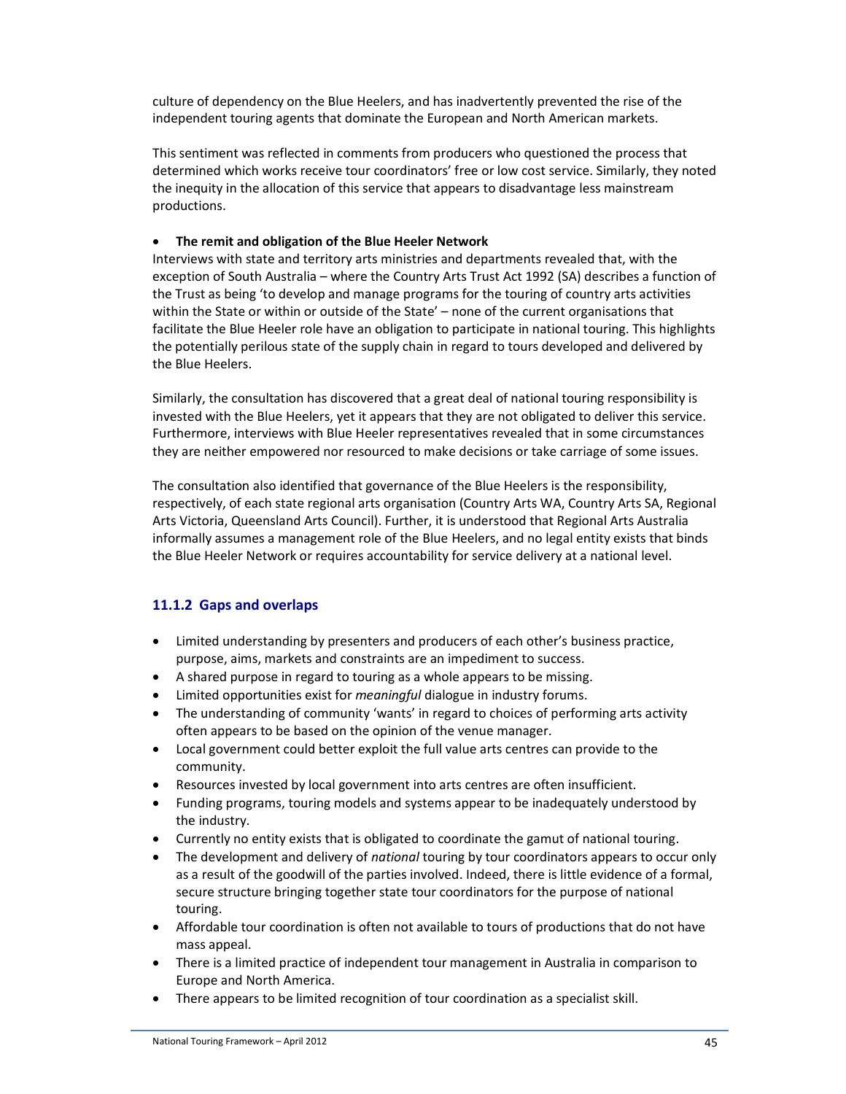culture of dependency on the Blue Heelers, and has inadvertently prevented the rise of the independent touring agents that dominate the European and North American markets.

This sentiment was reflected in comments from producers who questioned the process that determined which works receive tour coordinators' free or low cost service. Similarly, they noted the inequity in the allocation of this service that appears to disadvantage less mainstream productions.

### • **The remit and obligation of the Blue Heeler Network**

Interviews with state and territory arts ministries and departments revealed that, with the exception of South Australia – where the Country Arts Trust Act 1992 (SA) describes a function of the Trust as being 'to develop and manage programs for the touring of country arts activities within the State or within or outside of the State' – none of the current organisations that facilitate the Blue Heeler role have an obligation to participate in national touring. This highlights the potentially perilous state of the supply chain in regard to tours developed and delivered by the Blue Heelers.

Similarly, the consultation has discovered that a great deal of national touring responsibility is invested with the Blue Heelers, yet it appears that they are not obligated to deliver this service. Furthermore, interviews with Blue Heeler representatives revealed that in some circumstances they are neither empowered nor resourced to make decisions or take carriage of some issues.

The consultation also identified that governance of the Blue Heelers is the responsibility, respectively, of each state regional arts organisation (Country Arts WA, Country Arts SA, Regional Arts Victoria, Queensland Arts Council). Further, it is understood that Regional Arts Australia informally assumes a management role of the Blue Heelers, and no legal entity exists that binds the Blue Heeler Network or requires accountability for service delivery at a national level.

## **11.1.2 Gaps and overlaps**

- Limited understanding by presenters and producers of each other's business practice, purpose, aims, markets and constraints are an impediment to success.
- A shared purpose in regard to touring as a whole appears to be missing.
- Limited opportunities exist for *meaningful* dialogue in industry forums.
- The understanding of community 'wants' in regard to choices of performing arts activity often appears to be based on the opinion of the venue manager.
- Local government could better exploit the full value arts centres can provide to the community.
- Resources invested by local government into arts centres are often insufficient.
- Funding programs, touring models and systems appear to be inadequately understood by the industry.
- Currently no entity exists that is obligated to coordinate the gamut of national touring.
- The development and delivery of *national* touring by tour coordinators appears to occur only as a result of the goodwill of the parties involved. Indeed, there is little evidence of a formal, secure structure bringing together state tour coordinators for the purpose of national touring.
- Affordable tour coordination is often not available to tours of productions that do not have mass appeal.
- There is a limited practice of independent tour management in Australia in comparison to Europe and North America.
- There appears to be limited recognition of tour coordination as a specialist skill.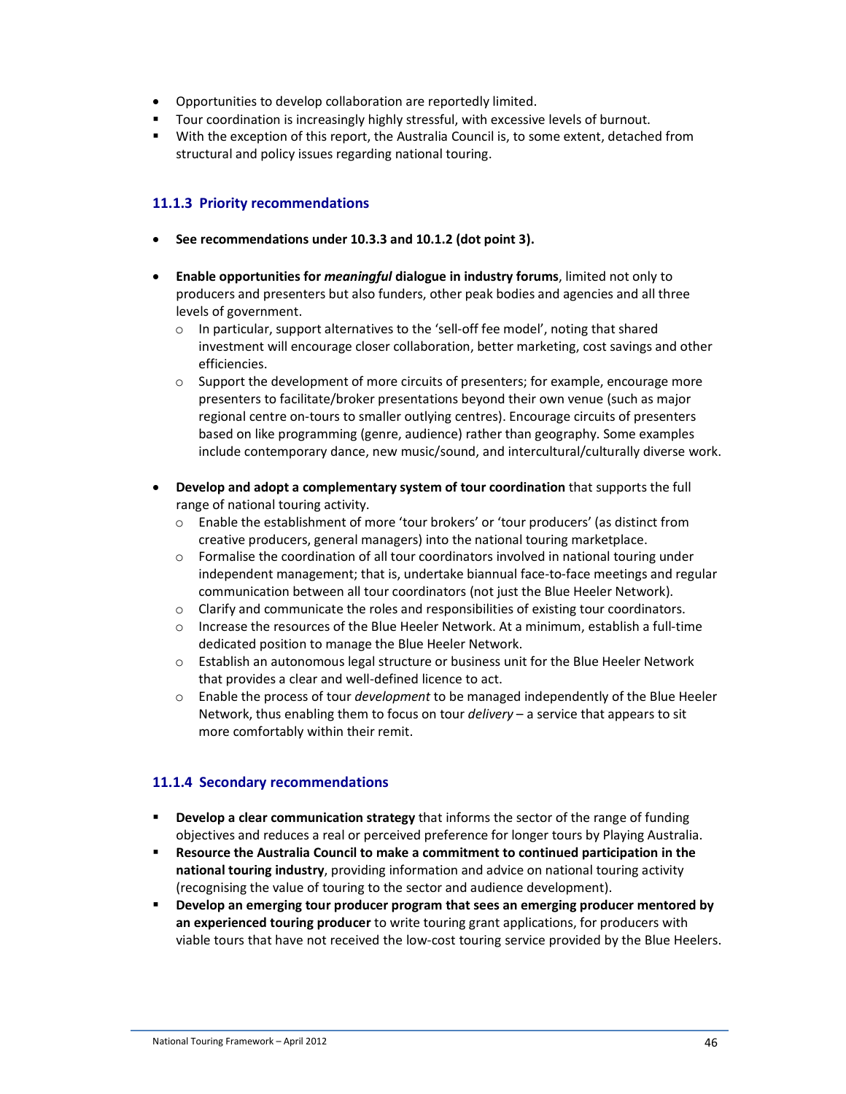- Opportunities to develop collaboration are reportedly limited.
- **T** Tour coordination is increasingly highly stressful, with excessive levels of burnout.
- With the exception of this report, the Australia Council is, to some extent, detached from structural and policy issues regarding national touring.

## **11.1.3 Priority recommendations**

- **See recommendations under 10.3.3 and 10.1.2 (dot point 3).**
- **Enable opportunities for** *meaningful* **dialogue in industry forums**, limited not only to producers and presenters but also funders, other peak bodies and agencies and all three levels of government.
	- $\circ$  In particular, support alternatives to the 'sell-off fee model', noting that shared investment will encourage closer collaboration, better marketing, cost savings and other efficiencies.
	- $\circ$  Support the development of more circuits of presenters; for example, encourage more presenters to facilitate/broker presentations beyond their own venue (such as major regional centre on-tours to smaller outlying centres). Encourage circuits of presenters based on like programming (genre, audience) rather than geography. Some examples include contemporary dance, new music/sound, and intercultural/culturally diverse work.
- **Develop and adopt a complementary system of tour coordination** that supports the full range of national touring activity.
	- o Enable the establishment of more 'tour brokers' or 'tour producers' (as distinct from creative producers, general managers) into the national touring marketplace.
	- $\circ$  Formalise the coordination of all tour coordinators involved in national touring under independent management; that is, undertake biannual face-to-face meetings and regular communication between all tour coordinators (not just the Blue Heeler Network).
	- o Clarify and communicate the roles and responsibilities of existing tour coordinators.
	- o Increase the resources of the Blue Heeler Network. At a minimum, establish a full-time dedicated position to manage the Blue Heeler Network.
	- o Establish an autonomous legal structure or business unit for the Blue Heeler Network that provides a clear and well-defined licence to act.
	- o Enable the process of tour *development* to be managed independently of the Blue Heeler Network, thus enabling them to focus on tour *delivery* – a service that appears to sit more comfortably within their remit.

## **11.1.4 Secondary recommendations**

- **Develop a clear communication strategy** that informs the sector of the range of funding objectives and reduces a real or perceived preference for longer tours by Playing Australia.
- **Resource the Australia Council to make a commitment to continued participation in the national touring industry**, providing information and advice on national touring activity (recognising the value of touring to the sector and audience development).
- **Develop an emerging tour producer program that sees an emerging producer mentored by an experienced touring producer** to write touring grant applications, for producers with viable tours that have not received the low-cost touring service provided by the Blue Heelers.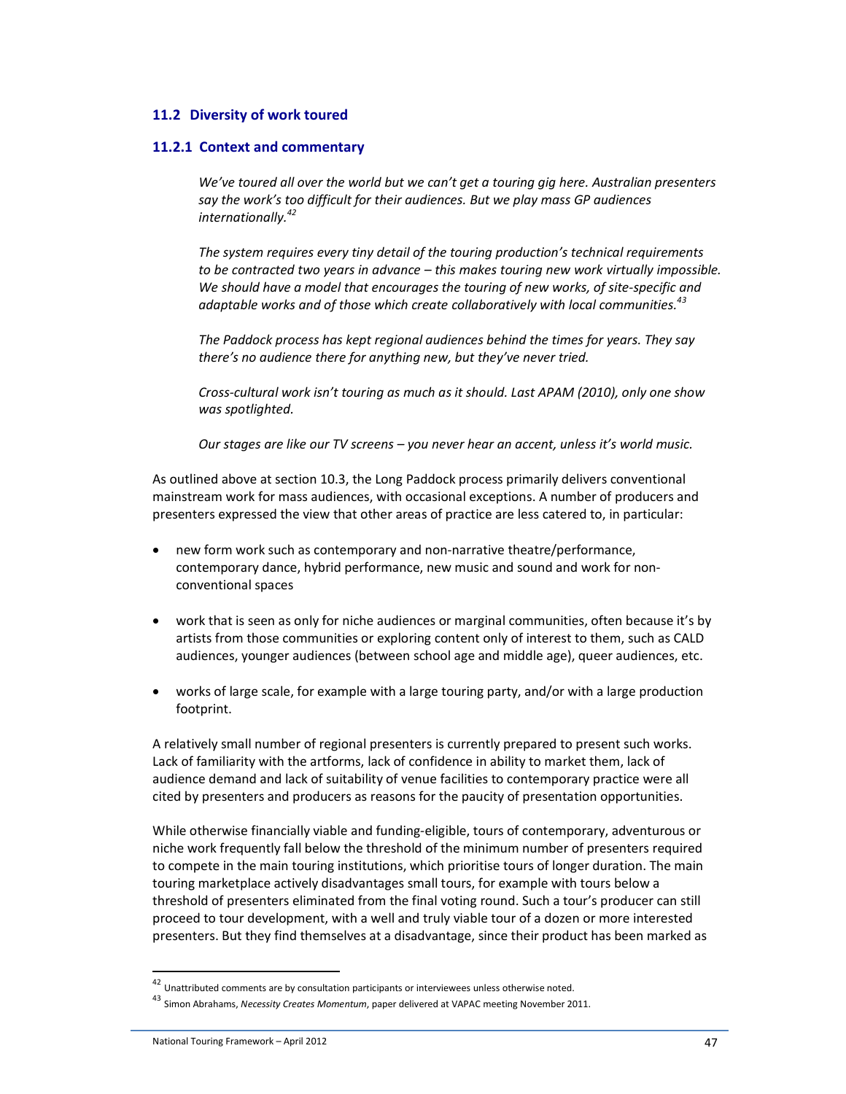#### **11.2 Diversity of work toured**

#### **11.2.1 Context and commentary**

*We've toured all over the world but we can't get a touring gig here. Australian presenters say the work's too difficult for their audiences. But we play mass GP audiences internationally.<sup>42</sup>*

*The system requires every tiny detail of the touring production's technical requirements to be contracted two years in advance – this makes touring new work virtually impossible. We should have a model that encourages the touring of new works, of site-specific and adaptable works and of those which create collaboratively with local communities.<sup>43</sup>*

*The Paddock process has kept regional audiences behind the times for years. They say there's no audience there for anything new, but they've never tried.* 

*Cross-cultural work isn't touring as much as it should. Last APAM (2010), only one show was spotlighted.* 

*Our stages are like our TV screens – you never hear an accent, unless it's world music.* 

As outlined above at section 10.3, the Long Paddock process primarily delivers conventional mainstream work for mass audiences, with occasional exceptions. A number of producers and presenters expressed the view that other areas of practice are less catered to, in particular:

- new form work such as contemporary and non-narrative theatre/performance, contemporary dance, hybrid performance, new music and sound and work for nonconventional spaces
- work that is seen as only for niche audiences or marginal communities, often because it's by artists from those communities or exploring content only of interest to them, such as CALD audiences, younger audiences (between school age and middle age), queer audiences, etc.
- works of large scale, for example with a large touring party, and/or with a large production footprint.

A relatively small number of regional presenters is currently prepared to present such works. Lack of familiarity with the artforms, lack of confidence in ability to market them, lack of audience demand and lack of suitability of venue facilities to contemporary practice were all cited by presenters and producers as reasons for the paucity of presentation opportunities.

While otherwise financially viable and funding-eligible, tours of contemporary, adventurous or niche work frequently fall below the threshold of the minimum number of presenters required to compete in the main touring institutions, which prioritise tours of longer duration. The main touring marketplace actively disadvantages small tours, for example with tours below a threshold of presenters eliminated from the final voting round. Such a tour's producer can still proceed to tour development, with a well and truly viable tour of a dozen or more interested presenters. But they find themselves at a disadvantage, since their product has been marked as

l

 $42$  Unattributed comments are by consultation participants or interviewees unless otherwise noted.

<sup>43</sup> Simon Abrahams, *Necessity Creates Momentum*, paper delivered at VAPAC meeting November 2011.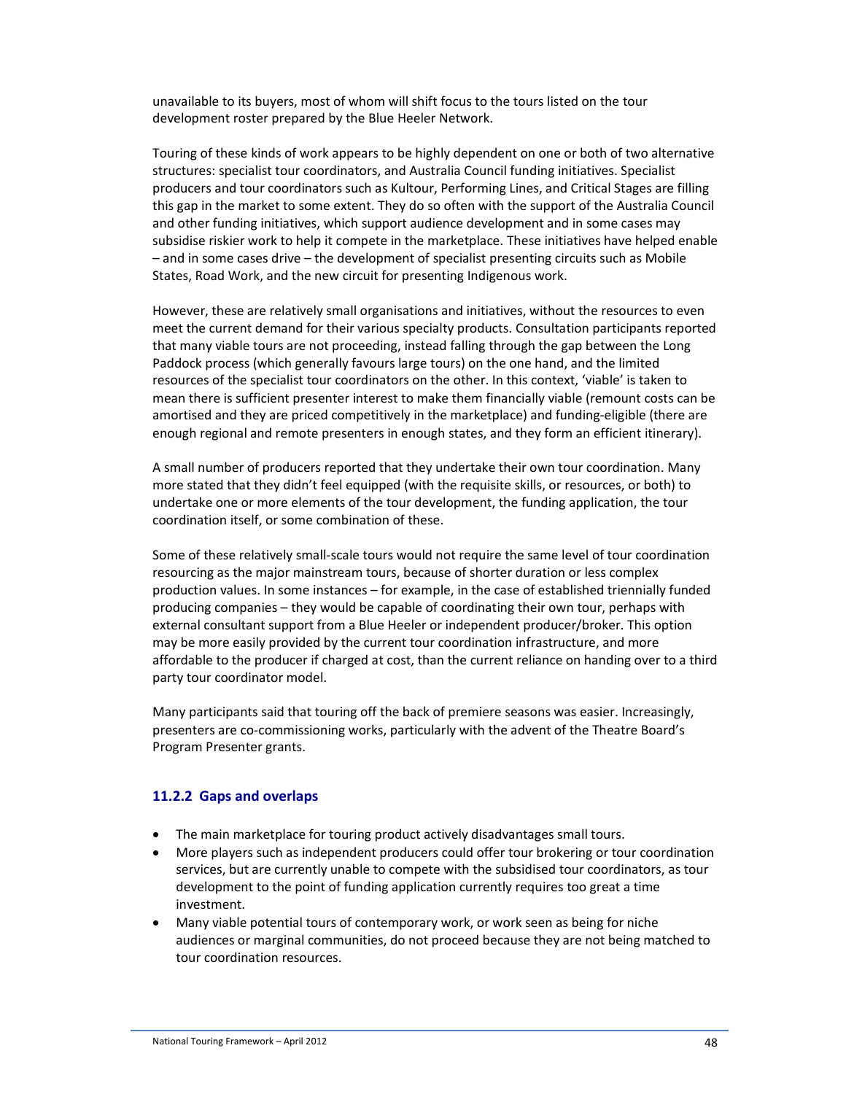unavailable to its buyers, most of whom will shift focus to the tours listed on the tour development roster prepared by the Blue Heeler Network.

Touring of these kinds of work appears to be highly dependent on one or both of two alternative structures: specialist tour coordinators, and Australia Council funding initiatives. Specialist producers and tour coordinators such as Kultour, Performing Lines, and Critical Stages are filling this gap in the market to some extent. They do so often with the support of the Australia Council and other funding initiatives, which support audience development and in some cases may subsidise riskier work to help it compete in the marketplace. These initiatives have helped enable – and in some cases drive – the development of specialist presenting circuits such as Mobile States, Road Work, and the new circuit for presenting Indigenous work.

However, these are relatively small organisations and initiatives, without the resources to even meet the current demand for their various specialty products. Consultation participants reported that many viable tours are not proceeding, instead falling through the gap between the Long Paddock process (which generally favours large tours) on the one hand, and the limited resources of the specialist tour coordinators on the other. In this context, 'viable' is taken to mean there is sufficient presenter interest to make them financially viable (remount costs can be amortised and they are priced competitively in the marketplace) and funding-eligible (there are enough regional and remote presenters in enough states, and they form an efficient itinerary).

A small number of producers reported that they undertake their own tour coordination. Many more stated that they didn't feel equipped (with the requisite skills, or resources, or both) to undertake one or more elements of the tour development, the funding application, the tour coordination itself, or some combination of these.

Some of these relatively small-scale tours would not require the same level of tour coordination resourcing as the major mainstream tours, because of shorter duration or less complex production values. In some instances – for example, in the case of established triennially funded producing companies – they would be capable of coordinating their own tour, perhaps with external consultant support from a Blue Heeler or independent producer/broker. This option may be more easily provided by the current tour coordination infrastructure, and more affordable to the producer if charged at cost, than the current reliance on handing over to a third party tour coordinator model.

Many participants said that touring off the back of premiere seasons was easier. Increasingly, presenters are co-commissioning works, particularly with the advent of the Theatre Board's Program Presenter grants.

## **11.2.2 Gaps and overlaps**

- The main marketplace for touring product actively disadvantages small tours.
- More players such as independent producers could offer tour brokering or tour coordination services, but are currently unable to compete with the subsidised tour coordinators, as tour development to the point of funding application currently requires too great a time investment.
- Many viable potential tours of contemporary work, or work seen as being for niche audiences or marginal communities, do not proceed because they are not being matched to tour coordination resources.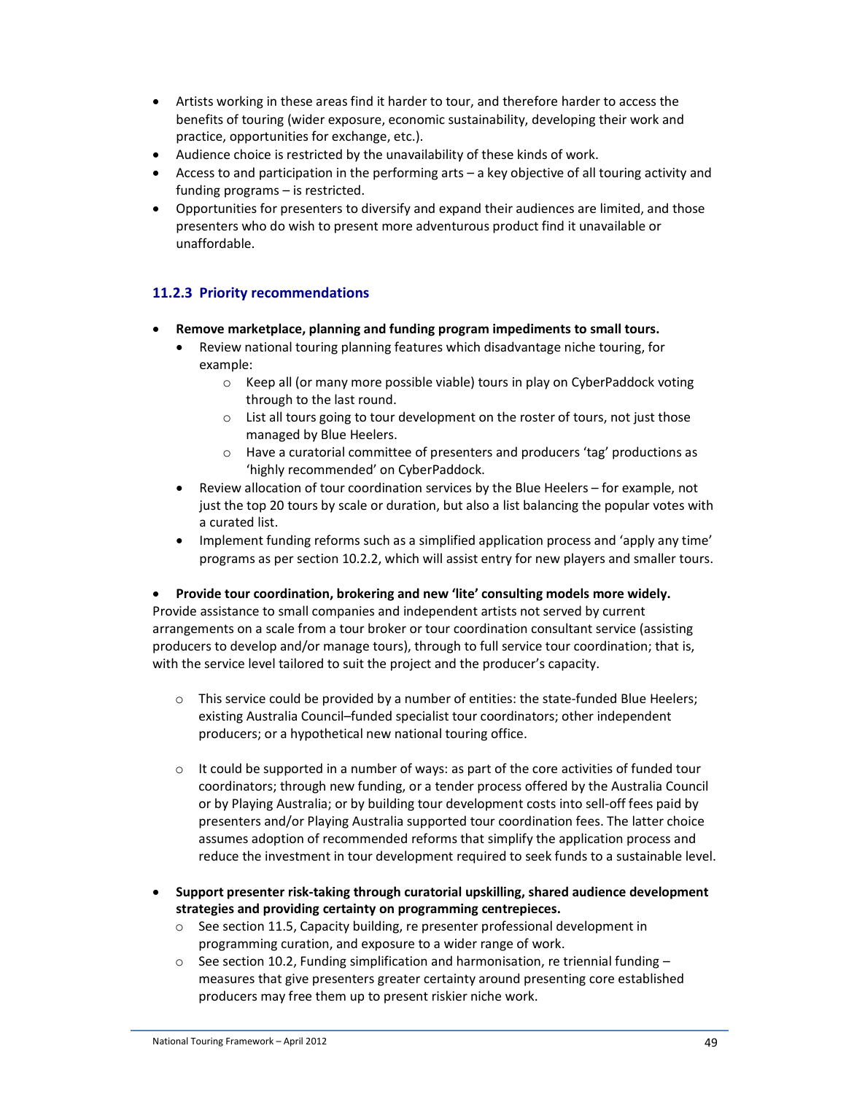- Artists working in these areas find it harder to tour, and therefore harder to access the benefits of touring (wider exposure, economic sustainability, developing their work and practice, opportunities for exchange, etc.).
- Audience choice is restricted by the unavailability of these kinds of work.
- Access to and participation in the performing arts a key objective of all touring activity and funding programs – is restricted.
- Opportunities for presenters to diversify and expand their audiences are limited, and those presenters who do wish to present more adventurous product find it unavailable or unaffordable.

## **11.2.3 Priority recommendations**

- **Remove marketplace, planning and funding program impediments to small tours.** 
	- Review national touring planning features which disadvantage niche touring, for example:
		- $\circ$  Keep all (or many more possible viable) tours in play on CyberPaddock voting through to the last round.
		- o List all tours going to tour development on the roster of tours, not just those managed by Blue Heelers.
		- o Have a curatorial committee of presenters and producers 'tag' productions as 'highly recommended' on CyberPaddock.
	- Review allocation of tour coordination services by the Blue Heelers for example, not just the top 20 tours by scale or duration, but also a list balancing the popular votes with a curated list.
	- Implement funding reforms such as a simplified application process and 'apply any time' programs as per section 10.2.2, which will assist entry for new players and smaller tours.

## • **Provide tour coordination, brokering and new 'lite' consulting models more widely.**

Provide assistance to small companies and independent artists not served by current arrangements on a scale from a tour broker or tour coordination consultant service (assisting producers to develop and/or manage tours), through to full service tour coordination; that is, with the service level tailored to suit the project and the producer's capacity.

- o This service could be provided by a number of entities: the state-funded Blue Heelers; existing Australia Council–funded specialist tour coordinators; other independent producers; or a hypothetical new national touring office.
- $\circ$  It could be supported in a number of ways: as part of the core activities of funded tour coordinators; through new funding, or a tender process offered by the Australia Council or by Playing Australia; or by building tour development costs into sell-off fees paid by presenters and/or Playing Australia supported tour coordination fees. The latter choice assumes adoption of recommended reforms that simplify the application process and reduce the investment in tour development required to seek funds to a sustainable level.
- **Support presenter risk-taking through curatorial upskilling, shared audience development strategies and providing certainty on programming centrepieces.** 
	- o See section 11.5, Capacity building, re presenter professional development in programming curation, and exposure to a wider range of work.
	- $\circ$  See section 10.2, Funding simplification and harmonisation, re triennial funding measures that give presenters greater certainty around presenting core established producers may free them up to present riskier niche work.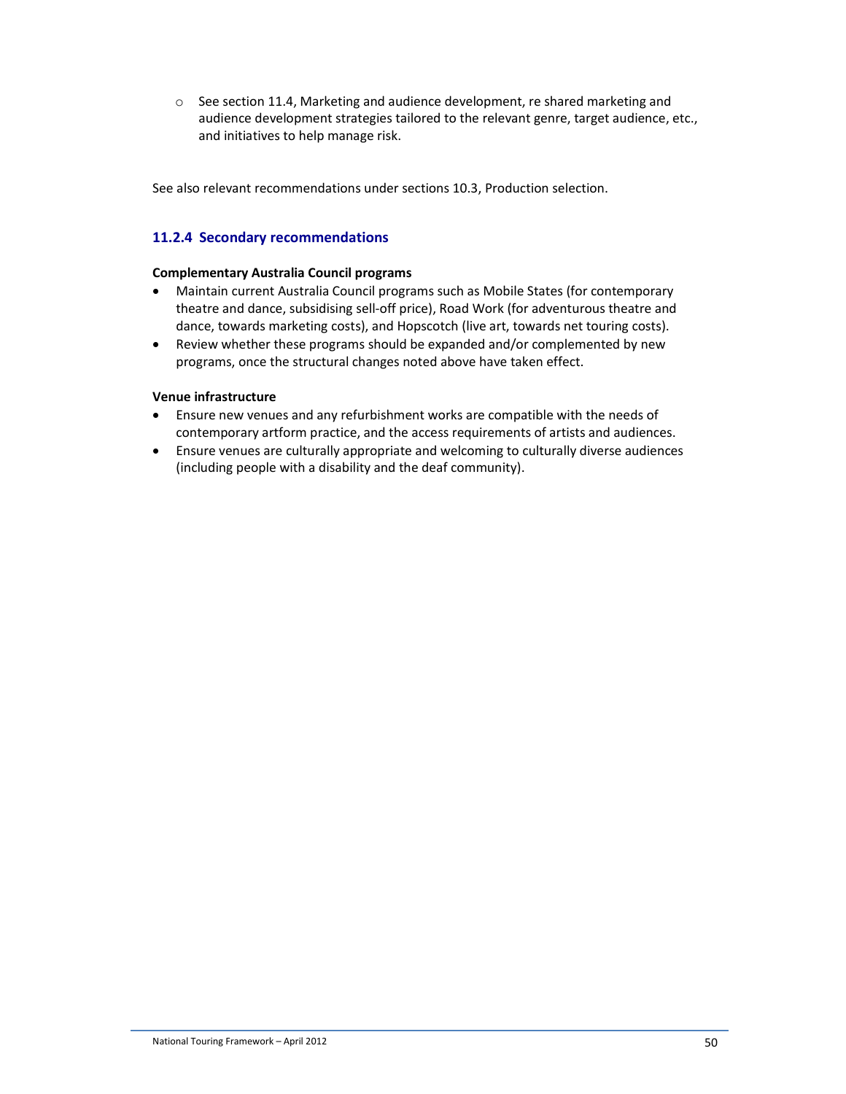$\circ$  See section 11.4, Marketing and audience development, re shared marketing and audience development strategies tailored to the relevant genre, target audience, etc., and initiatives to help manage risk.

See also relevant recommendations under sections 10.3, Production selection.

## **11.2.4 Secondary recommendations**

### **Complementary Australia Council programs**

- Maintain current Australia Council programs such as Mobile States (for contemporary theatre and dance, subsidising sell-off price), Road Work (for adventurous theatre and dance, towards marketing costs), and Hopscotch (live art, towards net touring costs).
- Review whether these programs should be expanded and/or complemented by new programs, once the structural changes noted above have taken effect.

### **Venue infrastructure**

- Ensure new venues and any refurbishment works are compatible with the needs of contemporary artform practice, and the access requirements of artists and audiences.
- Ensure venues are culturally appropriate and welcoming to culturally diverse audiences (including people with a disability and the deaf community).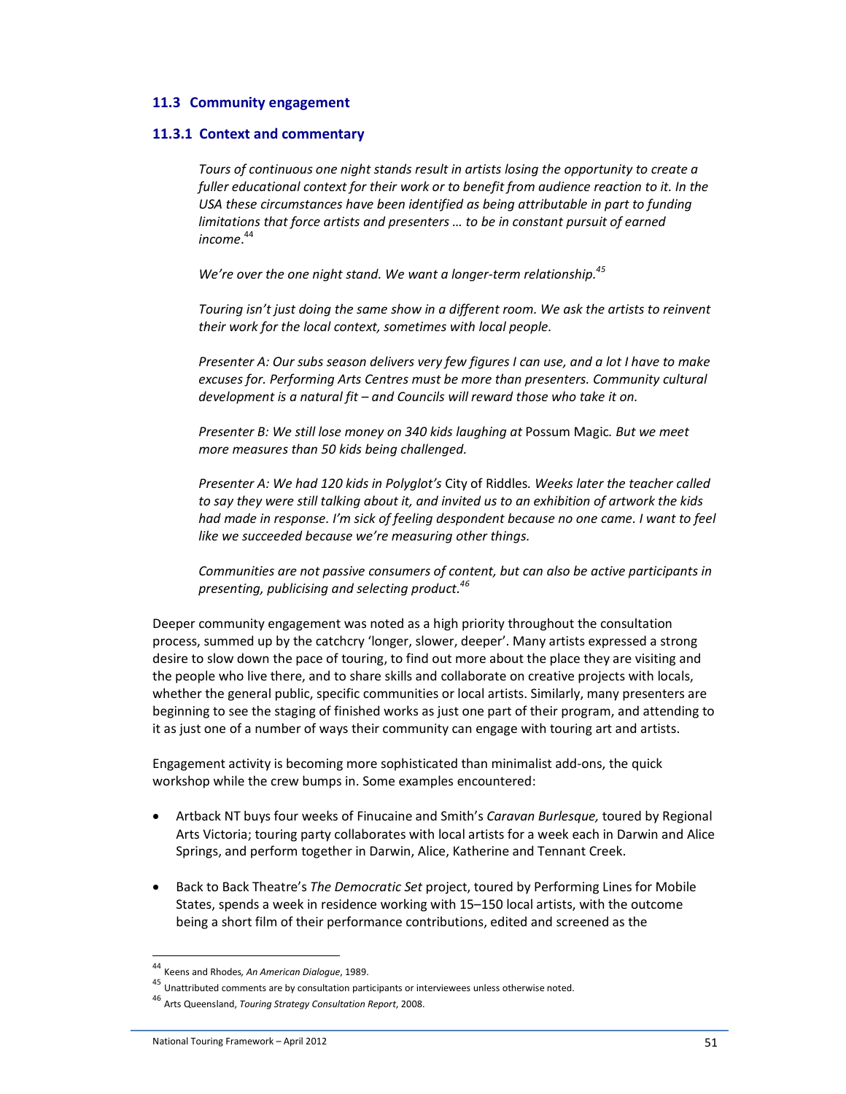#### **11.3 Community engagement**

#### **11.3.1 Context and commentary**

*Tours of continuous one night stands result in artists losing the opportunity to create a fuller educational context for their work or to benefit from audience reaction to it. In the USA these circumstances have been identified as being attributable in part to funding limitations that force artists and presenters … to be in constant pursuit of earned income*. 44

*We're over the one night stand. We want a longer-term relationship.<sup>45</sup>*

*Touring isn't just doing the same show in a different room. We ask the artists to reinvent their work for the local context, sometimes with local people.* 

*Presenter A: Our subs season delivers very few figures I can use, and a lot I have to make excuses for. Performing Arts Centres must be more than presenters. Community cultural development is a natural fit – and Councils will reward those who take it on.* 

*Presenter B: We still lose money on 340 kids laughing at* Possum Magic*. But we meet more measures than 50 kids being challenged.* 

*Presenter A: We had 120 kids in Polyglot's* City of Riddles*. Weeks later the teacher called to say they were still talking about it, and invited us to an exhibition of artwork the kids had made in response. I'm sick of feeling despondent because no one came. I want to feel like we succeeded because we're measuring other things.* 

*Communities are not passive consumers of content, but can also be active participants in presenting, publicising and selecting product.<sup>46</sup>*

Deeper community engagement was noted as a high priority throughout the consultation process, summed up by the catchcry 'longer, slower, deeper'. Many artists expressed a strong desire to slow down the pace of touring, to find out more about the place they are visiting and the people who live there, and to share skills and collaborate on creative projects with locals, whether the general public, specific communities or local artists. Similarly, many presenters are beginning to see the staging of finished works as just one part of their program, and attending to it as just one of a number of ways their community can engage with touring art and artists.

Engagement activity is becoming more sophisticated than minimalist add-ons, the quick workshop while the crew bumps in. Some examples encountered:

- Artback NT buys four weeks of Finucaine and Smith's *Caravan Burlesque,* toured by Regional Arts Victoria; touring party collaborates with local artists for a week each in Darwin and Alice Springs, and perform together in Darwin, Alice, Katherine and Tennant Creek.
- Back to Back Theatre's *The Democratic Set* project, toured by Performing Lines for Mobile States, spends a week in residence working with 15–150 local artists, with the outcome being a short film of their performance contributions, edited and screened as the

l

<sup>44</sup> Keens and Rhodes*, An American Dialogue*, 1989.

 $45$  Unattributed comments are by consultation participants or interviewees unless otherwise noted.

<sup>46</sup> Arts Queensland, *Touring Strategy Consultation Report*, 2008.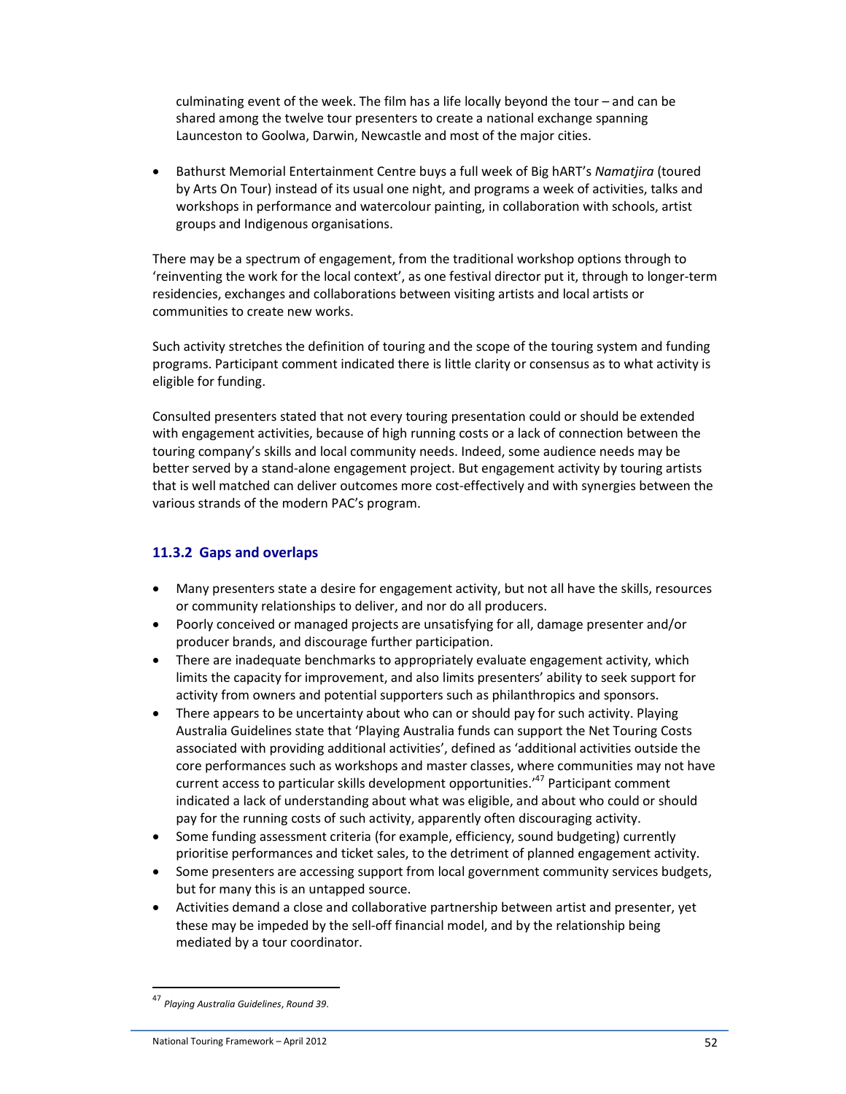culminating event of the week. The film has a life locally beyond the tour – and can be shared among the twelve tour presenters to create a national exchange spanning Launceston to Goolwa, Darwin, Newcastle and most of the major cities.

• Bathurst Memorial Entertainment Centre buys a full week of Big hART's *Namatjira* (toured by Arts On Tour) instead of its usual one night, and programs a week of activities, talks and workshops in performance and watercolour painting, in collaboration with schools, artist groups and Indigenous organisations.

There may be a spectrum of engagement, from the traditional workshop options through to 'reinventing the work for the local context', as one festival director put it, through to longer-term residencies, exchanges and collaborations between visiting artists and local artists or communities to create new works.

Such activity stretches the definition of touring and the scope of the touring system and funding programs. Participant comment indicated there is little clarity or consensus as to what activity is eligible for funding.

Consulted presenters stated that not every touring presentation could or should be extended with engagement activities, because of high running costs or a lack of connection between the touring company's skills and local community needs. Indeed, some audience needs may be better served by a stand-alone engagement project. But engagement activity by touring artists that is well matched can deliver outcomes more cost-effectively and with synergies between the various strands of the modern PAC's program.

## **11.3.2 Gaps and overlaps**

- Many presenters state a desire for engagement activity, but not all have the skills, resources or community relationships to deliver, and nor do all producers.
- Poorly conceived or managed projects are unsatisfying for all, damage presenter and/or producer brands, and discourage further participation.
- There are inadequate benchmarks to appropriately evaluate engagement activity, which limits the capacity for improvement, and also limits presenters' ability to seek support for activity from owners and potential supporters such as philanthropics and sponsors.
- There appears to be uncertainty about who can or should pay for such activity. Playing Australia Guidelines state that 'Playing Australia funds can support the Net Touring Costs associated with providing additional activities', defined as 'additional activities outside the core performances such as workshops and master classes, where communities may not have current access to particular skills development opportunities.'<sup>47</sup> Participant comment indicated a lack of understanding about what was eligible, and about who could or should pay for the running costs of such activity, apparently often discouraging activity.
- Some funding assessment criteria (for example, efficiency, sound budgeting) currently prioritise performances and ticket sales, to the detriment of planned engagement activity.
- Some presenters are accessing support from local government community services budgets, but for many this is an untapped source.
- Activities demand a close and collaborative partnership between artist and presenter, yet these may be impeded by the sell-off financial model, and by the relationship being mediated by a tour coordinator.

<sup>47</sup> *Playing Australia Guidelines*, *Round 39*.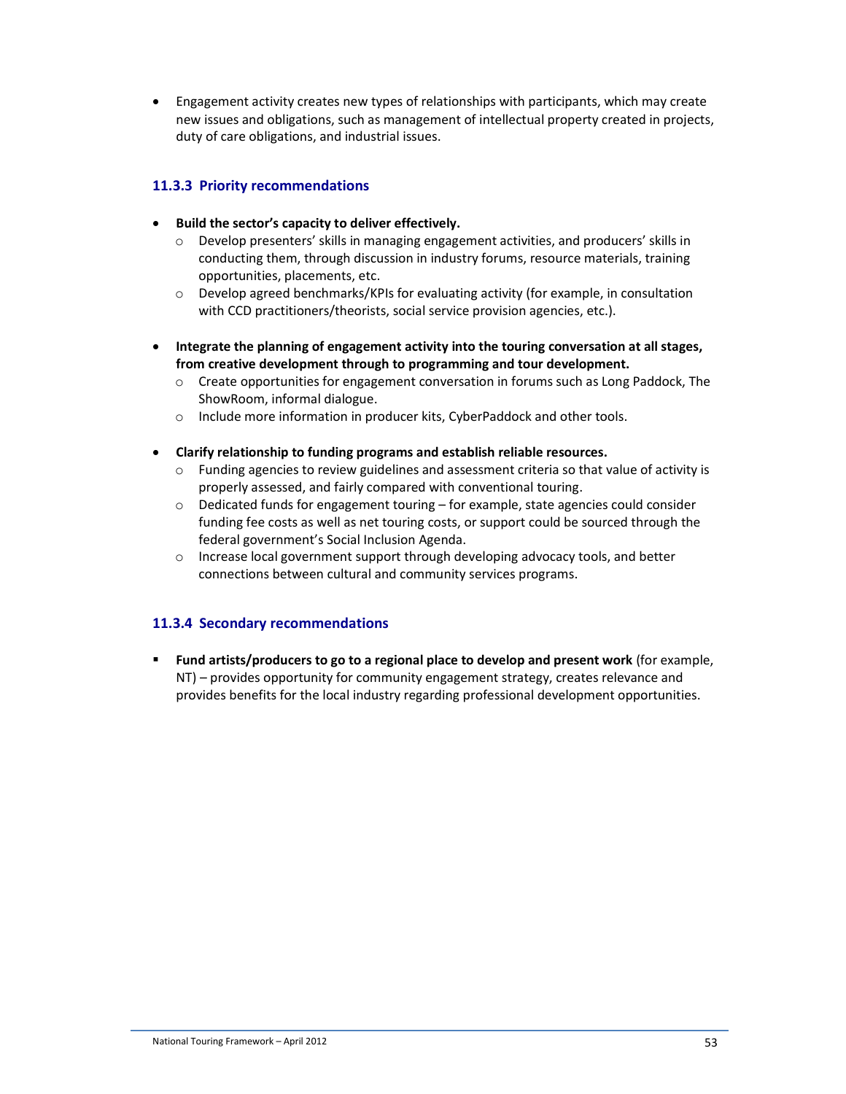• Engagement activity creates new types of relationships with participants, which may create new issues and obligations, such as management of intellectual property created in projects, duty of care obligations, and industrial issues.

## **11.3.3 Priority recommendations**

- **Build the sector's capacity to deliver effectively.**
	- o Develop presenters' skills in managing engagement activities, and producers' skills in conducting them, through discussion in industry forums, resource materials, training opportunities, placements, etc.
	- o Develop agreed benchmarks/KPIs for evaluating activity (for example, in consultation with CCD practitioners/theorists, social service provision agencies, etc.).
- **Integrate the planning of engagement activity into the touring conversation at all stages, from creative development through to programming and tour development.** 
	- $\circ$  Create opportunities for engagement conversation in forums such as Long Paddock, The ShowRoom, informal dialogue.
	- o Include more information in producer kits, CyberPaddock and other tools.
- **Clarify relationship to funding programs and establish reliable resources.** 
	- o Funding agencies to review guidelines and assessment criteria so that value of activity is properly assessed, and fairly compared with conventional touring.
	- $\circ$  Dedicated funds for engagement touring for example, state agencies could consider funding fee costs as well as net touring costs, or support could be sourced through the federal government's Social Inclusion Agenda.
	- $\circ$  Increase local government support through developing advocacy tools, and better connections between cultural and community services programs.

## **11.3.4 Secondary recommendations**

 **Fund artists/producers to go to a regional place to develop and present work** (for example, NT) – provides opportunity for community engagement strategy, creates relevance and provides benefits for the local industry regarding professional development opportunities.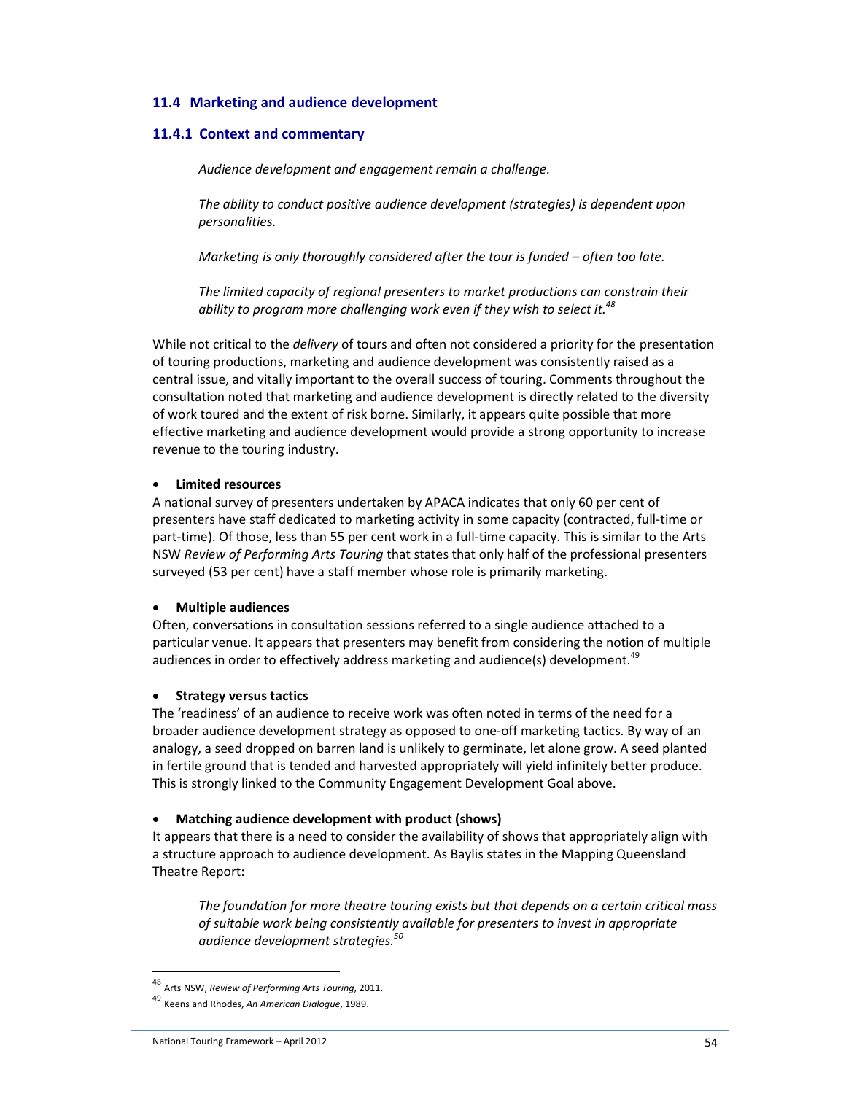## **11.4 Marketing and audience development**

## **11.4.1 Context and commentary**

*Audience development and engagement remain a challenge.* 

*The ability to conduct positive audience development (strategies) is dependent upon personalities.* 

*Marketing is only thoroughly considered after the tour is funded – often too late.* 

*The limited capacity of regional presenters to market productions can constrain their ability to program more challenging work even if they wish to select it.<sup>48</sup>*

While not critical to the *delivery* of tours and often not considered a priority for the presentation of touring productions, marketing and audience development was consistently raised as a central issue, and vitally important to the overall success of touring. Comments throughout the consultation noted that marketing and audience development is directly related to the diversity of work toured and the extent of risk borne. Similarly, it appears quite possible that more effective marketing and audience development would provide a strong opportunity to increase revenue to the touring industry.

#### • **Limited resources**

A national survey of presenters undertaken by APACA indicates that only 60 per cent of presenters have staff dedicated to marketing activity in some capacity (contracted, full-time or part-time). Of those, less than 55 per cent work in a full-time capacity. This is similar to the Arts NSW *Review of Performing Arts Touring* that states that only half of the professional presenters surveyed (53 per cent) have a staff member whose role is primarily marketing.

#### • **Multiple audiences**

Often, conversations in consultation sessions referred to a single audience attached to a particular venue. It appears that presenters may benefit from considering the notion of multiple audiences in order to effectively address marketing and audience(s) development.<sup>49</sup>

#### • **Strategy versus tactics**

The 'readiness' of an audience to receive work was often noted in terms of the need for a broader audience development strategy as opposed to one-off marketing tactics. By way of an analogy, a seed dropped on barren land is unlikely to germinate, let alone grow. A seed planted in fertile ground that is tended and harvested appropriately will yield infinitely better produce. This is strongly linked to the Community Engagement Development Goal above.

#### • **Matching audience development with product (shows)**

It appears that there is a need to consider the availability of shows that appropriately align with a structure approach to audience development. As Baylis states in the Mapping Queensland Theatre Report:

*The foundation for more theatre touring exists but that depends on a certain critical mass of suitable work being consistently available for presenters to invest in appropriate audience development strategies.<sup>50</sup>*

l

<sup>48</sup> Arts NSW, *Review of Performing Arts Touring*, 2011.

<sup>49</sup> Keens and Rhodes, *An American Dialogue*, 1989.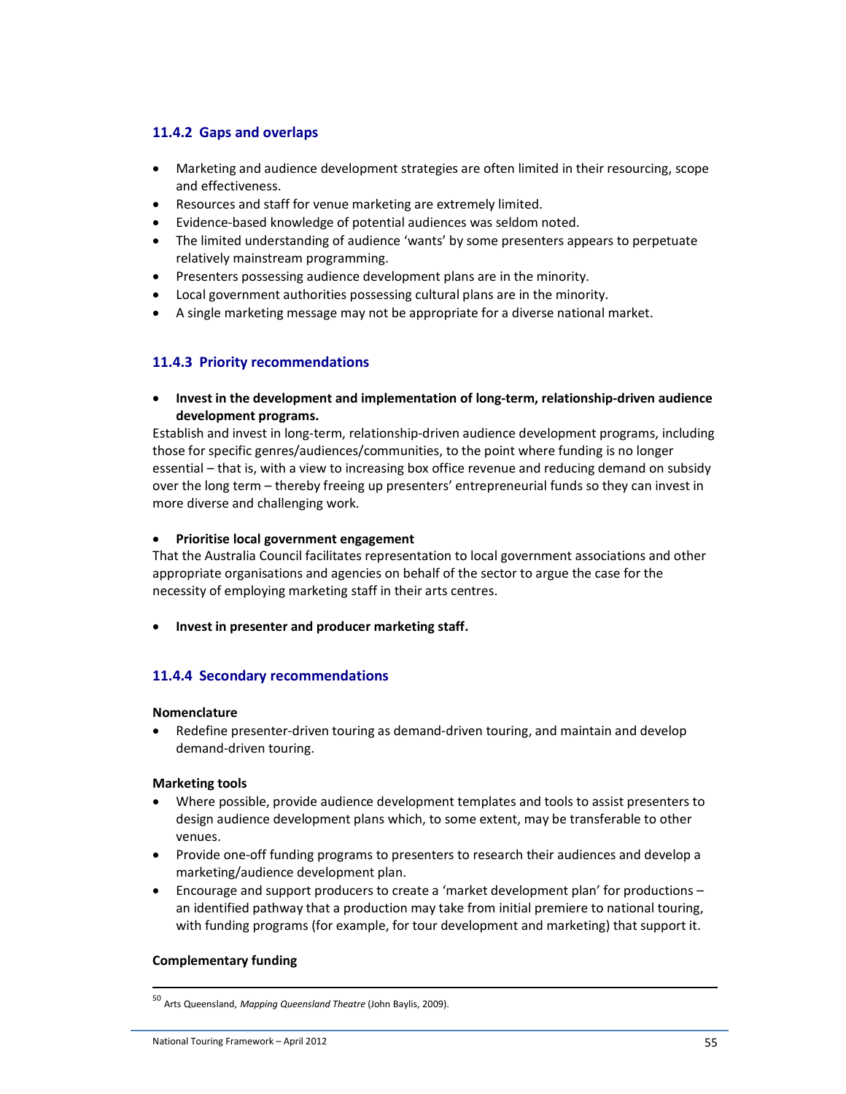## **11.4.2 Gaps and overlaps**

- Marketing and audience development strategies are often limited in their resourcing, scope and effectiveness.
- Resources and staff for venue marketing are extremely limited.
- Evidence-based knowledge of potential audiences was seldom noted.
- The limited understanding of audience 'wants' by some presenters appears to perpetuate relatively mainstream programming.
- Presenters possessing audience development plans are in the minority.
- Local government authorities possessing cultural plans are in the minority.
- A single marketing message may not be appropriate for a diverse national market.

## **11.4.3 Priority recommendations**

• **Invest in the development and implementation of long-term, relationship-driven audience development programs.** 

Establish and invest in long-term, relationship-driven audience development programs, including those for specific genres/audiences/communities, to the point where funding is no longer essential – that is, with a view to increasing box office revenue and reducing demand on subsidy over the long term – thereby freeing up presenters' entrepreneurial funds so they can invest in more diverse and challenging work.

#### • **Prioritise local government engagement**

That the Australia Council facilitates representation to local government associations and other appropriate organisations and agencies on behalf of the sector to argue the case for the necessity of employing marketing staff in their arts centres.

• **Invest in presenter and producer marketing staff.** 

## **11.4.4 Secondary recommendations**

#### **Nomenclature**

• Redefine presenter-driven touring as demand-driven touring, and maintain and develop demand-driven touring.

#### **Marketing tools**

- Where possible, provide audience development templates and tools to assist presenters to design audience development plans which, to some extent, may be transferable to other venues.
- Provide one-off funding programs to presenters to research their audiences and develop a marketing/audience development plan.
- Encourage and support producers to create a 'market development plan' for productions an identified pathway that a production may take from initial premiere to national touring, with funding programs (for example, for tour development and marketing) that support it.

#### **Complementary funding**

<sup>50</sup> Arts Queensland, *Mapping Queensland Theatre* (John Baylis, 2009).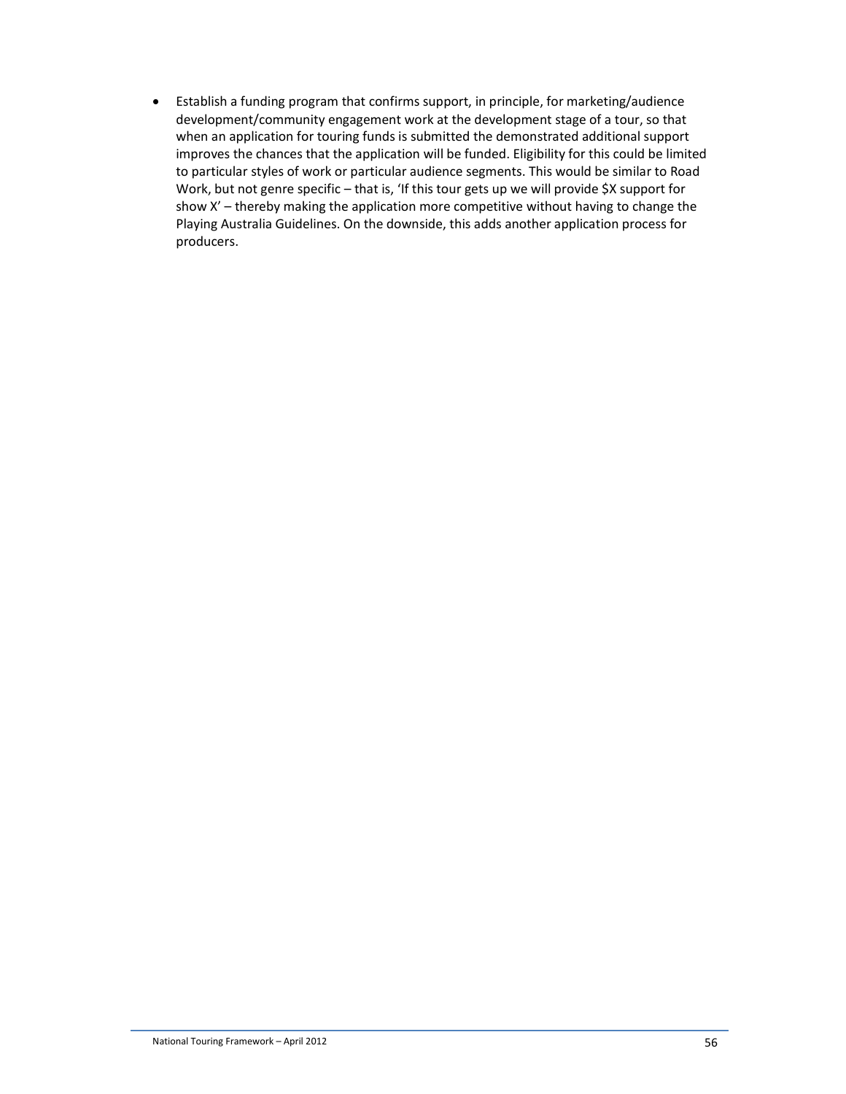• Establish a funding program that confirms support, in principle, for marketing/audience development/community engagement work at the development stage of a tour, so that when an application for touring funds is submitted the demonstrated additional support improves the chances that the application will be funded. Eligibility for this could be limited to particular styles of work or particular audience segments. This would be similar to Road Work, but not genre specific - that is, 'If this tour gets up we will provide \$X support for show X' – thereby making the application more competitive without having to change the Playing Australia Guidelines. On the downside, this adds another application process for producers.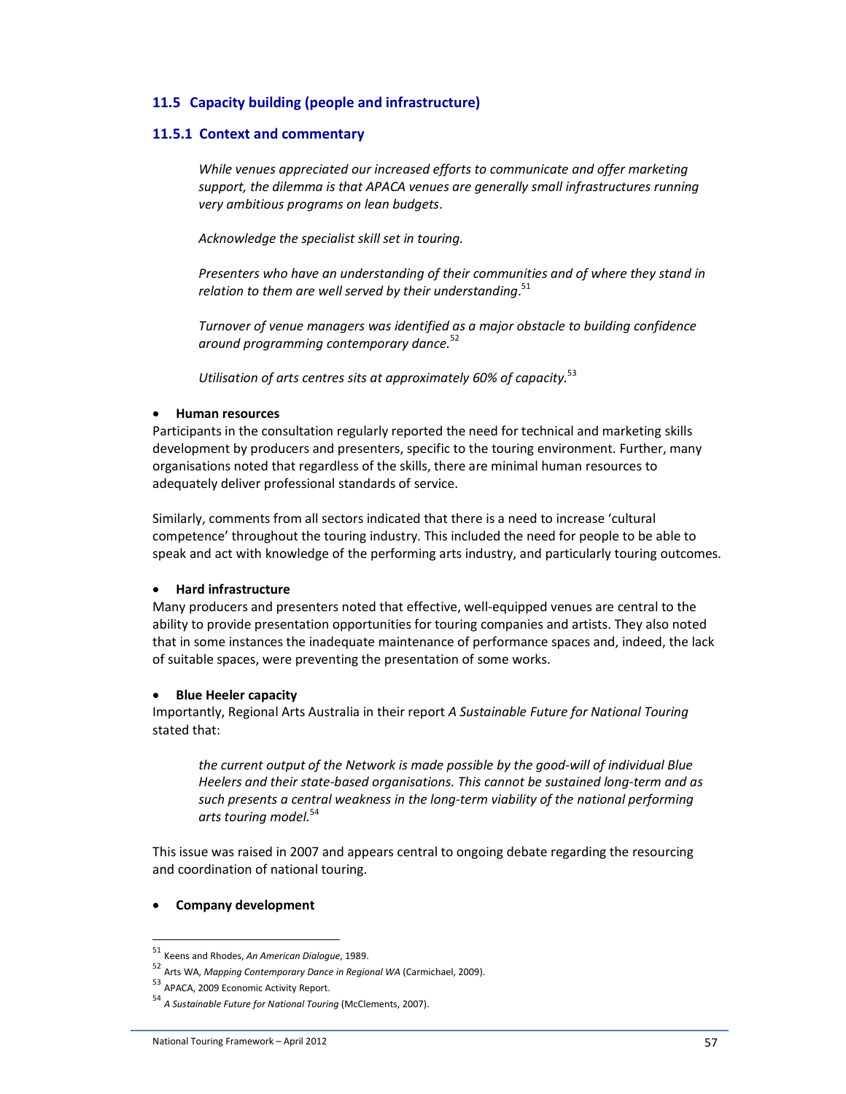## **11.5 Capacity building (people and infrastructure)**

#### **11.5.1 Context and commentary**

*While venues appreciated our increased efforts to communicate and offer marketing support, the dilemma is that APACA venues are generally small infrastructures running very ambitious programs on lean budgets.* 

*Acknowledge the specialist skill set in touring.* 

*Presenters who have an understanding of their communities and of where they stand in relation to them are well served by their understanding*. 51

*Turnover of venue managers was identified as a major obstacle to building confidence around programming contemporary dance.*<sup>52</sup>

*Utilisation of arts centres sits at approximately 60% of capacity.*<sup>53</sup>

#### • **Human resources**

Participants in the consultation regularly reported the need for technical and marketing skills development by producers and presenters, specific to the touring environment. Further, many organisations noted that regardless of the skills, there are minimal human resources to adequately deliver professional standards of service.

Similarly, comments from all sectors indicated that there is a need to increase 'cultural competence' throughout the touring industry. This included the need for people to be able to speak and act with knowledge of the performing arts industry, and particularly touring outcomes.

#### • **Hard infrastructure**

Many producers and presenters noted that effective, well-equipped venues are central to the ability to provide presentation opportunities for touring companies and artists. They also noted that in some instances the inadequate maintenance of performance spaces and, indeed, the lack of suitable spaces, were preventing the presentation of some works.

#### • **Blue Heeler capacity**

Importantly, Regional Arts Australia in their report *A Sustainable Future for National Touring* stated that:

*the current output of the Network is made possible by the good-will of individual Blue Heelers and their state-based organisations. This cannot be sustained long-term and as such presents a central weakness in the long-term viability of the national performing arts touring model.*<sup>54</sup>

This issue was raised in 2007 and appears central to ongoing debate regarding the resourcing and coordination of national touring.

#### • **Company development**

<sup>51</sup> Keens and Rhodes, *An American Dialogue*, 1989.

<sup>52</sup> Arts WA, *Mapping Contemporary Dance in Regional WA* (Carmichael, 2009).

<sup>53</sup> APACA, 2009 Economic Activity Report.

<sup>54</sup> *A Sustainable Future for National Touring* (McClements, 2007).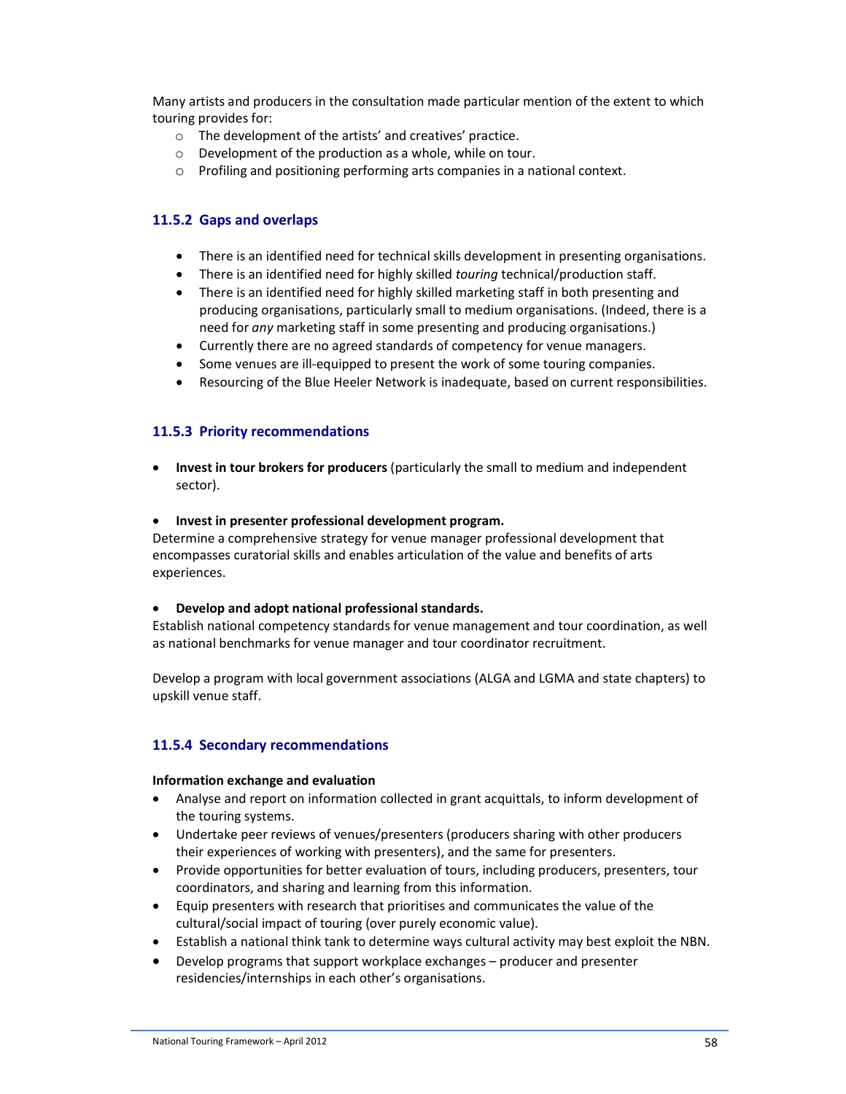Many artists and producers in the consultation made particular mention of the extent to which touring provides for:

- o The development of the artists' and creatives' practice.
- o Development of the production as a whole, while on tour.
- o Profiling and positioning performing arts companies in a national context.

## **11.5.2 Gaps and overlaps**

- There is an identified need for technical skills development in presenting organisations.
- There is an identified need for highly skilled *touring* technical/production staff.
- There is an identified need for highly skilled marketing staff in both presenting and producing organisations, particularly small to medium organisations. (Indeed, there is a need for *any* marketing staff in some presenting and producing organisations.)
- Currently there are no agreed standards of competency for venue managers.
- Some venues are ill-equipped to present the work of some touring companies.
- Resourcing of the Blue Heeler Network is inadequate, based on current responsibilities.

### **11.5.3 Priority recommendations**

• **Invest in tour brokers for producers** (particularly the small to medium and independent sector).

#### • **Invest in presenter professional development program.**

Determine a comprehensive strategy for venue manager professional development that encompasses curatorial skills and enables articulation of the value and benefits of arts experiences.

#### • **Develop and adopt national professional standards.**

Establish national competency standards for venue management and tour coordination, as well as national benchmarks for venue manager and tour coordinator recruitment.

Develop a program with local government associations (ALGA and LGMA and state chapters) to upskill venue staff.

## **11.5.4 Secondary recommendations**

#### **Information exchange and evaluation**

- Analyse and report on information collected in grant acquittals, to inform development of the touring systems.
- Undertake peer reviews of venues/presenters (producers sharing with other producers their experiences of working with presenters), and the same for presenters.
- Provide opportunities for better evaluation of tours, including producers, presenters, tour coordinators, and sharing and learning from this information.
- Equip presenters with research that prioritises and communicates the value of the cultural/social impact of touring (over purely economic value).
- Establish a national think tank to determine ways cultural activity may best exploit the NBN.
- Develop programs that support workplace exchanges producer and presenter residencies/internships in each other's organisations.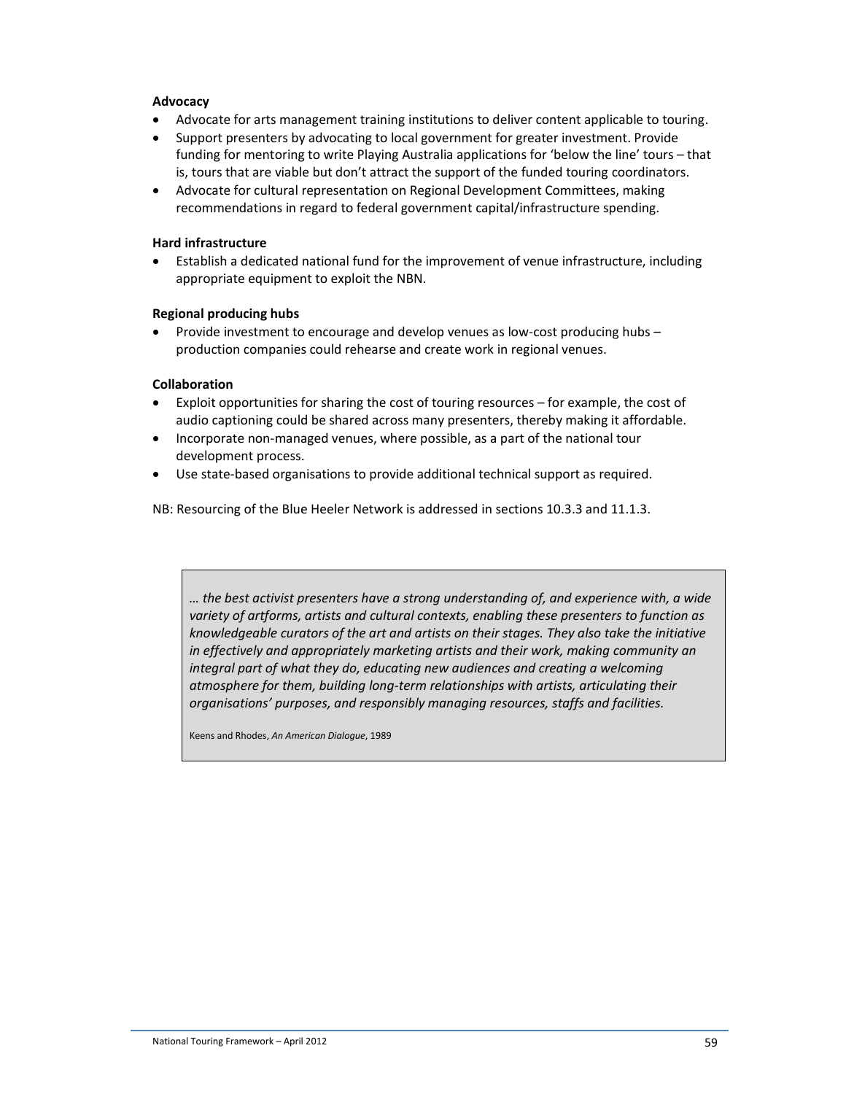#### **Advocacy**

- Advocate for arts management training institutions to deliver content applicable to touring.
- Support presenters by advocating to local government for greater investment. Provide funding for mentoring to write Playing Australia applications for 'below the line' tours – that is, tours that are viable but don't attract the support of the funded touring coordinators.
- Advocate for cultural representation on Regional Development Committees, making recommendations in regard to federal government capital/infrastructure spending.

#### **Hard infrastructure**

• Establish a dedicated national fund for the improvement of venue infrastructure, including appropriate equipment to exploit the NBN.

#### **Regional producing hubs**

• Provide investment to encourage and develop venues as low-cost producing hubs – production companies could rehearse and create work in regional venues.

#### **Collaboration**

- Exploit opportunities for sharing the cost of touring resources for example, the cost of audio captioning could be shared across many presenters, thereby making it affordable.
- Incorporate non-managed venues, where possible, as a part of the national tour development process.
- Use state-based organisations to provide additional technical support as required.

NB: Resourcing of the Blue Heeler Network is addressed in sections 10.3.3 and 11.1.3.

*… the best activist presenters have a strong understanding of, and experience with, a wide variety of artforms, artists and cultural contexts, enabling these presenters to function as knowledgeable curators of the art and artists on their stages. They also take the initiative in effectively and appropriately marketing artists and their work, making community an integral part of what they do, educating new audiences and creating a welcoming atmosphere for them, building long-term relationships with artists, articulating their organisations' purposes, and responsibly managing resources, staffs and facilities.* 

Keens and Rhodes, *An American Dialogue*, 1989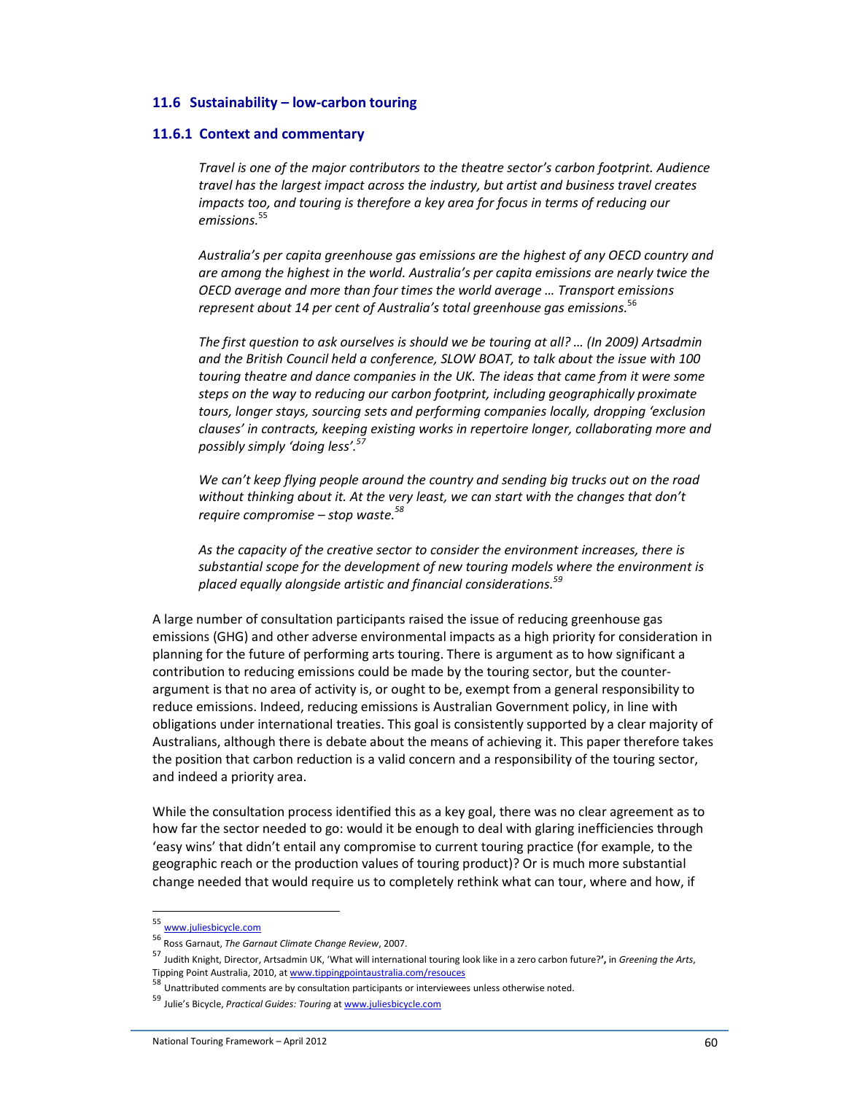#### **11.6 Sustainability – low-carbon touring**

#### **11.6.1 Context and commentary**

*Travel is one of the major contributors to the theatre sector's carbon footprint. Audience travel has the largest impact across the industry, but artist and business travel creates impacts too, and touring is therefore a key area for focus in terms of reducing our emissions.*<sup>55</sup>

*Australia's per capita greenhouse gas emissions are the highest of any OECD country and are among the highest in the world. Australia's per capita emissions are nearly twice the OECD average and more than four times the world average … Transport emissions represent about 14 per cent of Australia's total greenhouse gas emissions.*<sup>56</sup>

*The first question to ask ourselves is should we be touring at all? … (In 2009) Artsadmin and the British Council held a conference, SLOW BOAT, to talk about the issue with 100 touring theatre and dance companies in the UK. The ideas that came from it were some steps on the way to reducing our carbon footprint, including geographically proximate tours, longer stays, sourcing sets and performing companies locally, dropping 'exclusion clauses' in contracts, keeping existing works in repertoire longer, collaborating more and possibly simply 'doing less'.<sup>57</sup>*

*We can't keep flying people around the country and sending big trucks out on the road without thinking about it. At the very least, we can start with the changes that don't require compromise – stop waste.<sup>58</sup>*

*As the capacity of the creative sector to consider the environment increases, there is substantial scope for the development of new touring models where the environment is placed equally alongside artistic and financial considerations.<sup>59</sup>*

A large number of consultation participants raised the issue of reducing greenhouse gas emissions (GHG) and other adverse environmental impacts as a high priority for consideration in planning for the future of performing arts touring. There is argument as to how significant a contribution to reducing emissions could be made by the touring sector, but the counterargument is that no area of activity is, or ought to be, exempt from a general responsibility to reduce emissions. Indeed, reducing emissions is Australian Government policy, in line with obligations under international treaties. This goal is consistently supported by a clear majority of Australians, although there is debate about the means of achieving it. This paper therefore takes the position that carbon reduction is a valid concern and a responsibility of the touring sector, and indeed a priority area.

While the consultation process identified this as a key goal, there was no clear agreement as to how far the sector needed to go: would it be enough to deal with glaring inefficiencies through 'easy wins' that didn't entail any compromise to current touring practice (for example, to the geographic reach or the production values of touring product)? Or is much more substantial change needed that would require us to completely rethink what can tour, where and how, if

l

<sup>55</sup> www.juliesbicycle.com

<sup>56</sup> Ross Garnaut, *The Garnaut Climate Change Review*, 2007.

<sup>57</sup> Judith Knight, Director, Artsadmin UK, 'What will international touring look like in a zero carbon future?**',** in *Greening the Arts*, Tipping Point Australia, 2010, at www.tippingpointaustralia.com/resouces

<sup>58</sup> Unattributed comments are by consultation participants or interviewees unless otherwise noted.

<sup>59</sup> Julie's Bicycle, *Practical Guides: Touring* at www.juliesbicycle.com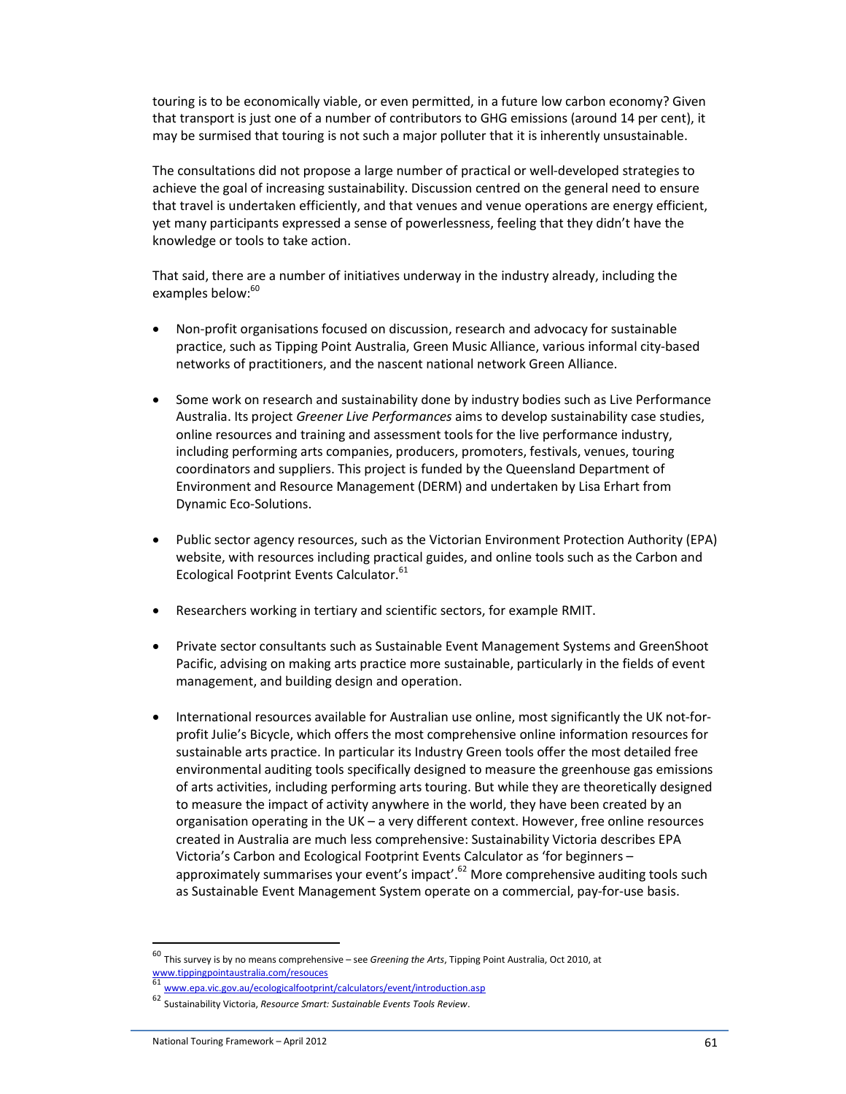touring is to be economically viable, or even permitted, in a future low carbon economy? Given that transport is just one of a number of contributors to GHG emissions (around 14 per cent), it may be surmised that touring is not such a major polluter that it is inherently unsustainable.

The consultations did not propose a large number of practical or well-developed strategies to achieve the goal of increasing sustainability. Discussion centred on the general need to ensure that travel is undertaken efficiently, and that venues and venue operations are energy efficient, yet many participants expressed a sense of powerlessness, feeling that they didn't have the knowledge or tools to take action.

That said, there are a number of initiatives underway in the industry already, including the examples below:<sup>60</sup>

- Non-profit organisations focused on discussion, research and advocacy for sustainable practice, such as Tipping Point Australia, Green Music Alliance, various informal city-based networks of practitioners, and the nascent national network Green Alliance.
- Some work on research and sustainability done by industry bodies such as Live Performance Australia. Its project *Greener Live Performances* aims to develop sustainability case studies, online resources and training and assessment tools for the live performance industry, including performing arts companies, producers, promoters, festivals, venues, touring coordinators and suppliers. This project is funded by the Queensland Department of Environment and Resource Management (DERM) and undertaken by Lisa Erhart from Dynamic Eco-Solutions.
- Public sector agency resources, such as the Victorian Environment Protection Authority (EPA) website, with resources including practical guides, and online tools such as the Carbon and Ecological Footprint Events Calculator.<sup>61</sup>
- Researchers working in tertiary and scientific sectors, for example RMIT.
- Private sector consultants such as Sustainable Event Management Systems and GreenShoot Pacific, advising on making arts practice more sustainable, particularly in the fields of event management, and building design and operation.
- International resources available for Australian use online, most significantly the UK not-forprofit Julie's Bicycle, which offers the most comprehensive online information resources for sustainable arts practice. In particular its Industry Green tools offer the most detailed free environmental auditing tools specifically designed to measure the greenhouse gas emissions of arts activities, including performing arts touring. But while they are theoretically designed to measure the impact of activity anywhere in the world, they have been created by an organisation operating in the UK – a very different context. However, free online resources created in Australia are much less comprehensive: Sustainability Victoria describes EPA Victoria's Carbon and Ecological Footprint Events Calculator as 'for beginners – approximately summarises your event's impact'. $62$  More comprehensive auditing tools such as Sustainable Event Management System operate on a commercial, pay-for-use basis.

l

<sup>60</sup> This survey is by no means comprehensive – see *Greening the Arts*, Tipping Point Australia, Oct 2010, at www.tippingpointaustralia.com/resouces

<sup>61</sup> www.epa.vic.gov.au/ecologicalfootprint/calculators/event/introduction.asp

<sup>62</sup> Sustainability Victoria, *Resource Smart: Sustainable Events Tools Review*.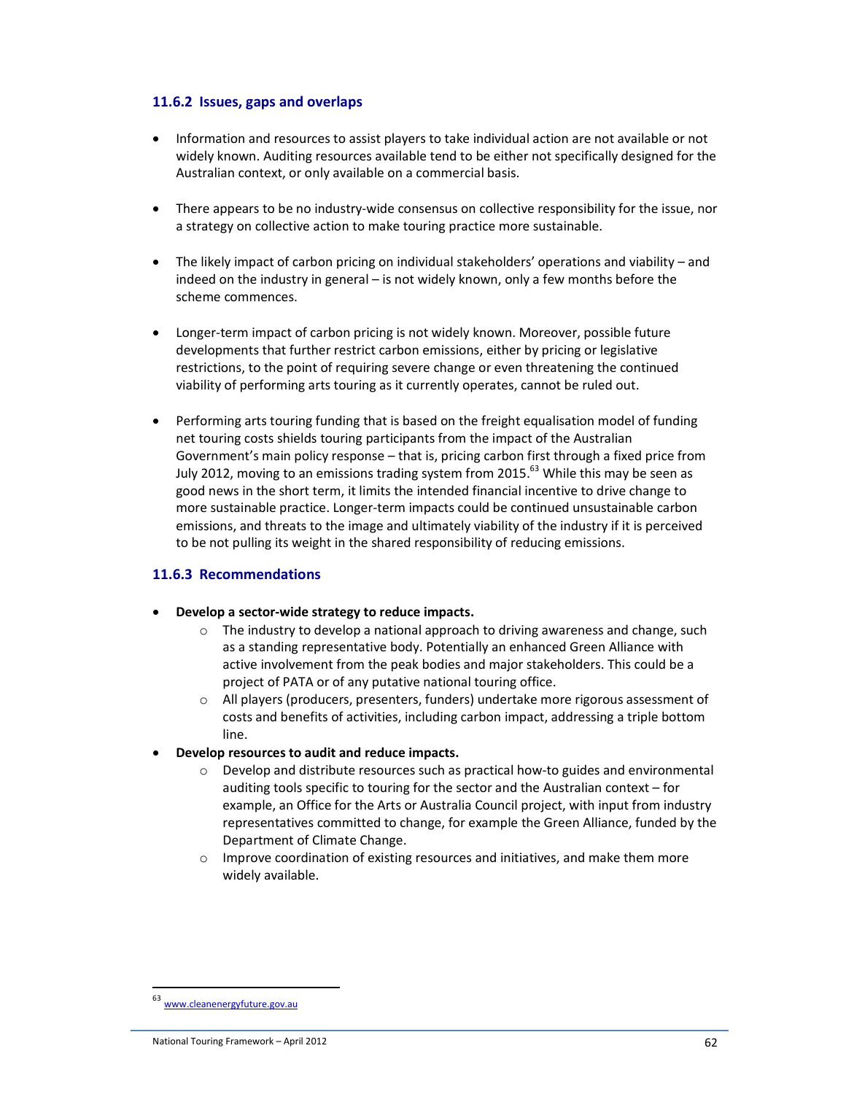### **11.6.2 Issues, gaps and overlaps**

- Information and resources to assist players to take individual action are not available or not widely known. Auditing resources available tend to be either not specifically designed for the Australian context, or only available on a commercial basis.
- There appears to be no industry-wide consensus on collective responsibility for the issue, nor a strategy on collective action to make touring practice more sustainable.
- The likely impact of carbon pricing on individual stakeholders' operations and viability and indeed on the industry in general – is not widely known, only a few months before the scheme commences.
- Longer-term impact of carbon pricing is not widely known. Moreover, possible future developments that further restrict carbon emissions, either by pricing or legislative restrictions, to the point of requiring severe change or even threatening the continued viability of performing arts touring as it currently operates, cannot be ruled out.
- Performing arts touring funding that is based on the freight equalisation model of funding net touring costs shields touring participants from the impact of the Australian Government's main policy response – that is, pricing carbon first through a fixed price from July 2012, moving to an emissions trading system from 2015.<sup>63</sup> While this may be seen as good news in the short term, it limits the intended financial incentive to drive change to more sustainable practice. Longer-term impacts could be continued unsustainable carbon emissions, and threats to the image and ultimately viability of the industry if it is perceived to be not pulling its weight in the shared responsibility of reducing emissions.

## **11.6.3 Recommendations**

#### • **Develop a sector-wide strategy to reduce impacts.**

- o The industry to develop a national approach to driving awareness and change, such as a standing representative body. Potentially an enhanced Green Alliance with active involvement from the peak bodies and major stakeholders. This could be a project of PATA or of any putative national touring office.
- $\circ$  All players (producers, presenters, funders) undertake more rigorous assessment of costs and benefits of activities, including carbon impact, addressing a triple bottom line.
- **Develop resources to audit and reduce impacts.** 
	- $\circ$  Develop and distribute resources such as practical how-to guides and environmental auditing tools specific to touring for the sector and the Australian context – for example, an Office for the Arts or Australia Council project, with input from industry representatives committed to change, for example the Green Alliance, funded by the Department of Climate Change.
	- o Improve coordination of existing resources and initiatives, and make them more widely available.

<sup>63</sup> www.cleanenergyfuture.gov.au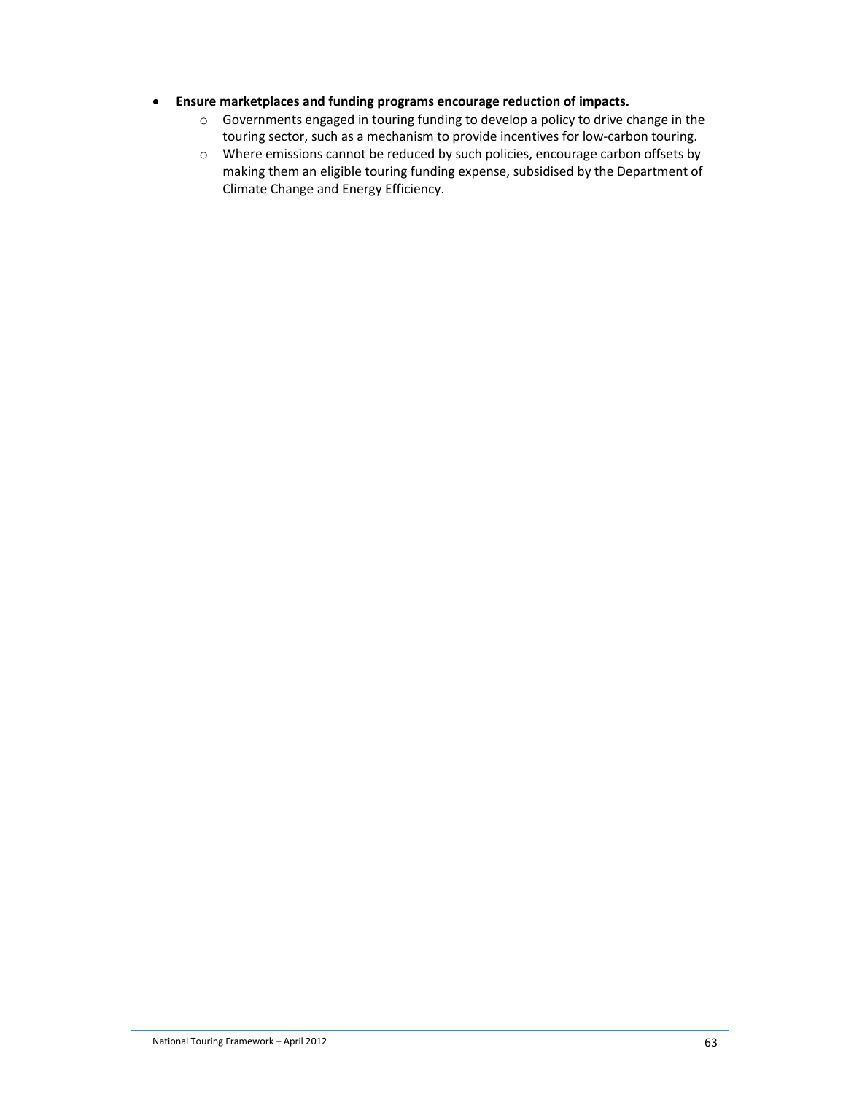- **Ensure marketplaces and funding programs encourage reduction of impacts.** 
	- o Governments engaged in touring funding to develop a policy to drive change in the touring sector, such as a mechanism to provide incentives for low-carbon touring.
	- o Where emissions cannot be reduced by such policies, encourage carbon offsets by making them an eligible touring funding expense, subsidised by the Department of Climate Change and Energy Efficiency.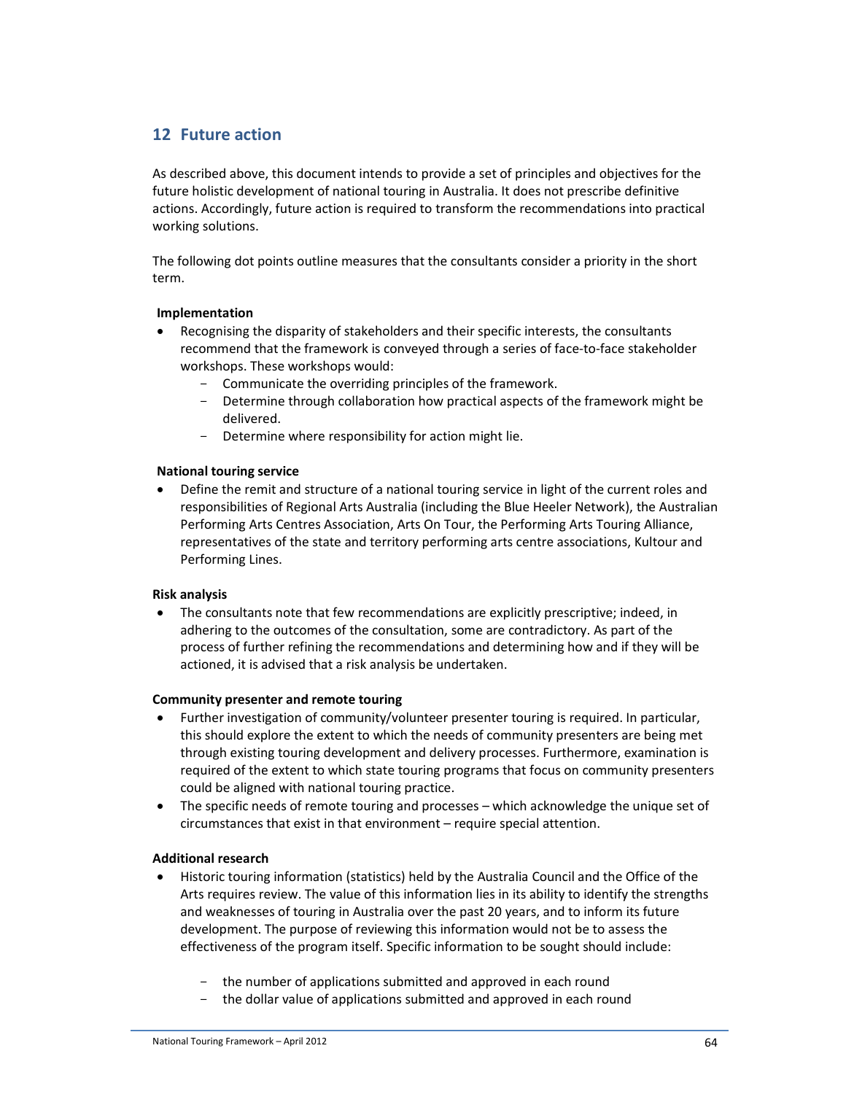## **12 Future action**

As described above, this document intends to provide a set of principles and objectives for the future holistic development of national touring in Australia. It does not prescribe definitive actions. Accordingly, future action is required to transform the recommendations into practical working solutions.

The following dot points outline measures that the consultants consider a priority in the short term.

#### **Implementation**

- Recognising the disparity of stakeholders and their specific interests, the consultants recommend that the framework is conveyed through a series of face-to-face stakeholder workshops. These workshops would:
	- Communicate the overriding principles of the framework.
	- Determine through collaboration how practical aspects of the framework might be delivered.
	- Determine where responsibility for action might lie.

### **National touring service**

• Define the remit and structure of a national touring service in light of the current roles and responsibilities of Regional Arts Australia (including the Blue Heeler Network), the Australian Performing Arts Centres Association, Arts On Tour, the Performing Arts Touring Alliance, representatives of the state and territory performing arts centre associations, Kultour and Performing Lines.

#### **Risk analysis**

• The consultants note that few recommendations are explicitly prescriptive; indeed, in adhering to the outcomes of the consultation, some are contradictory. As part of the process of further refining the recommendations and determining how and if they will be actioned, it is advised that a risk analysis be undertaken.

#### **Community presenter and remote touring**

- Further investigation of community/volunteer presenter touring is required. In particular, this should explore the extent to which the needs of community presenters are being met through existing touring development and delivery processes. Furthermore, examination is required of the extent to which state touring programs that focus on community presenters could be aligned with national touring practice.
- The specific needs of remote touring and processes which acknowledge the unique set of circumstances that exist in that environment – require special attention.

## **Additional research**

- Historic touring information (statistics) held by the Australia Council and the Office of the Arts requires review. The value of this information lies in its ability to identify the strengths and weaknesses of touring in Australia over the past 20 years, and to inform its future development. The purpose of reviewing this information would not be to assess the effectiveness of the program itself. Specific information to be sought should include:
	- the number of applications submitted and approved in each round
	- the dollar value of applications submitted and approved in each round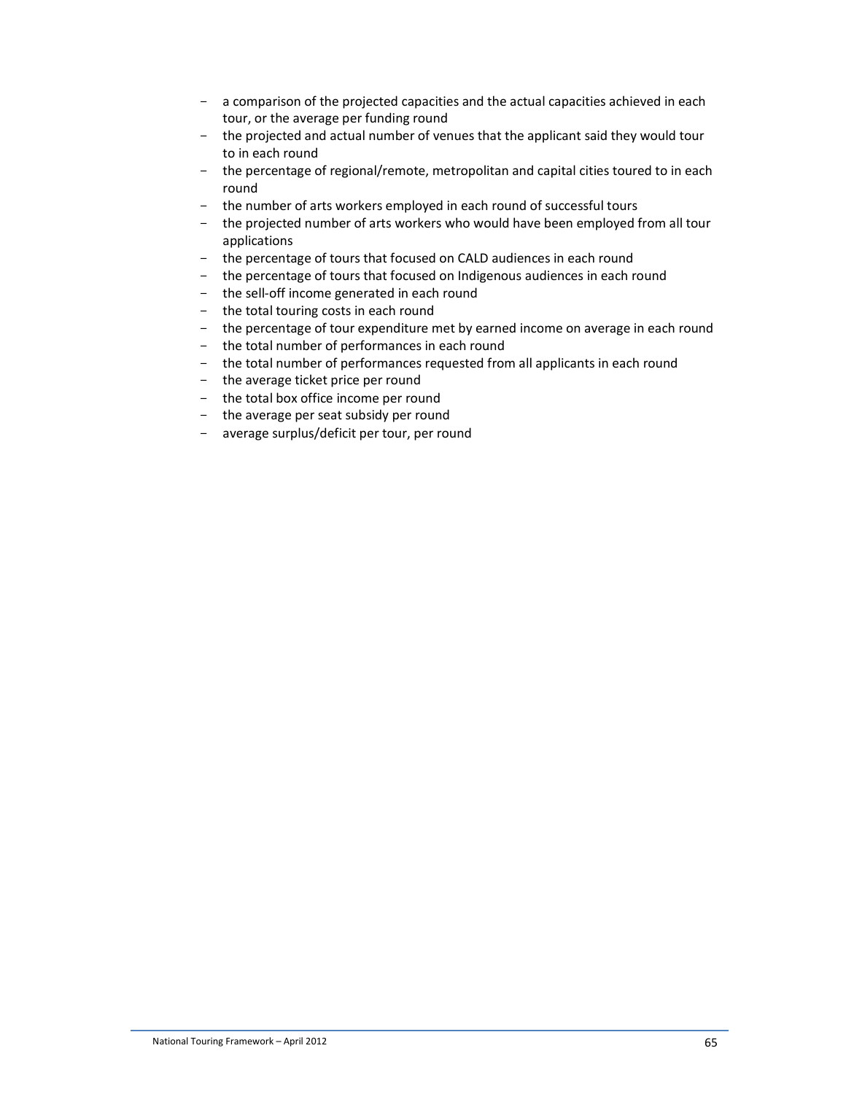- a comparison of the projected capacities and the actual capacities achieved in each tour, or the average per funding round
- the projected and actual number of venues that the applicant said they would tour to in each round
- the percentage of regional/remote, metropolitan and capital cities toured to in each round
- the number of arts workers employed in each round of successful tours
- the projected number of arts workers who would have been employed from all tour applications
- the percentage of tours that focused on CALD audiences in each round
- the percentage of tours that focused on Indigenous audiences in each round
- the sell-off income generated in each round
- the total touring costs in each round
- the percentage of tour expenditure met by earned income on average in each round
- the total number of performances in each round
- the total number of performances requested from all applicants in each round
- the average ticket price per round
- the total box office income per round
- the average per seat subsidy per round
- average surplus/deficit per tour, per round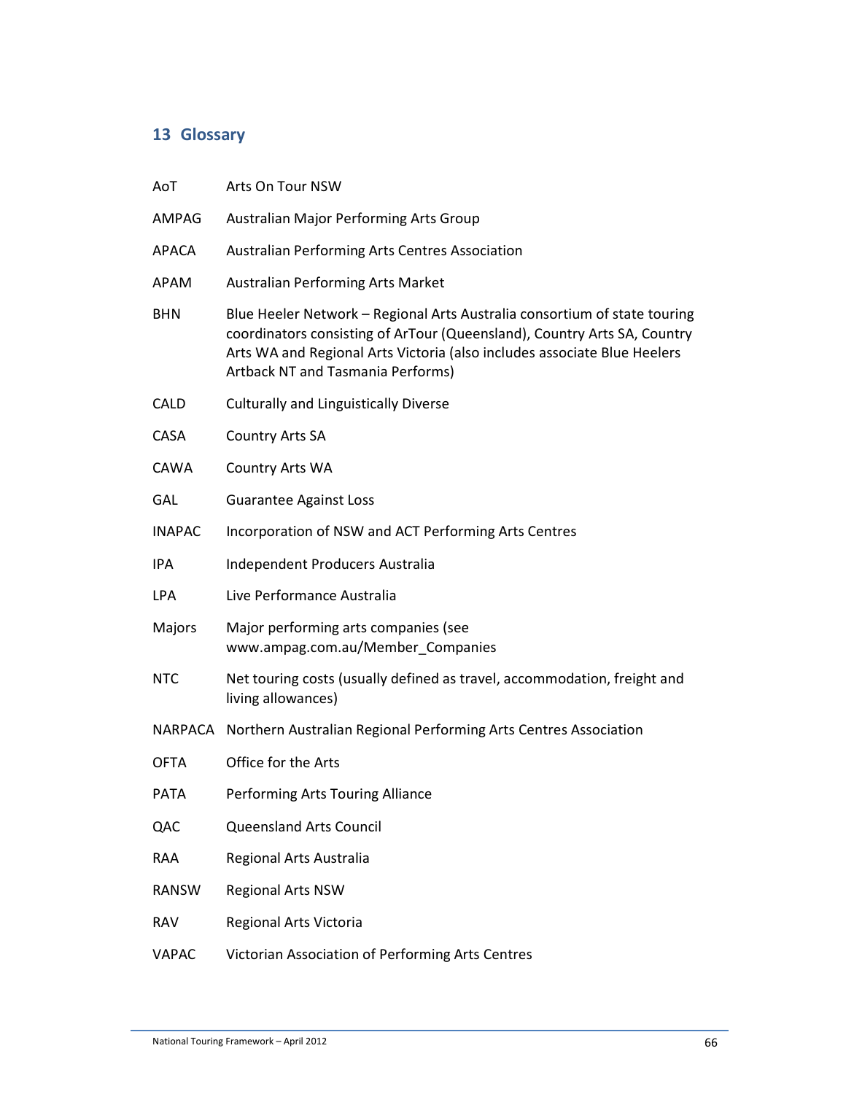# **13 Glossary**

| AoT           | Arts On Tour NSW                                                                                                                                                                                                                                                              |  |  |  |
|---------------|-------------------------------------------------------------------------------------------------------------------------------------------------------------------------------------------------------------------------------------------------------------------------------|--|--|--|
| <b>AMPAG</b>  | Australian Major Performing Arts Group                                                                                                                                                                                                                                        |  |  |  |
| APACA         | Australian Performing Arts Centres Association                                                                                                                                                                                                                                |  |  |  |
| APAM          | Australian Performing Arts Market                                                                                                                                                                                                                                             |  |  |  |
| <b>BHN</b>    | Blue Heeler Network - Regional Arts Australia consortium of state touring<br>coordinators consisting of ArTour (Queensland), Country Arts SA, Country<br>Arts WA and Regional Arts Victoria (also includes associate Blue Heelers<br><b>Artback NT and Tasmania Performs)</b> |  |  |  |
| <b>CALD</b>   | <b>Culturally and Linguistically Diverse</b>                                                                                                                                                                                                                                  |  |  |  |
| CASA          | <b>Country Arts SA</b>                                                                                                                                                                                                                                                        |  |  |  |
| CAWA          | Country Arts WA                                                                                                                                                                                                                                                               |  |  |  |
| GAL           | <b>Guarantee Against Loss</b>                                                                                                                                                                                                                                                 |  |  |  |
| <b>INAPAC</b> | Incorporation of NSW and ACT Performing Arts Centres                                                                                                                                                                                                                          |  |  |  |
| <b>IPA</b>    | Independent Producers Australia                                                                                                                                                                                                                                               |  |  |  |
| <b>LPA</b>    | Live Performance Australia                                                                                                                                                                                                                                                    |  |  |  |
| Majors        | Major performing arts companies (see<br>www.ampag.com.au/Member_Companies                                                                                                                                                                                                     |  |  |  |
| <b>NTC</b>    | Net touring costs (usually defined as travel, accommodation, freight and<br>living allowances)                                                                                                                                                                                |  |  |  |
|               | NARPACA Northern Australian Regional Performing Arts Centres Association                                                                                                                                                                                                      |  |  |  |
| <b>OFTA</b>   | Office for the Arts                                                                                                                                                                                                                                                           |  |  |  |
| PATA          | Performing Arts Touring Alliance                                                                                                                                                                                                                                              |  |  |  |
| QAC           | Queensland Arts Council                                                                                                                                                                                                                                                       |  |  |  |
| RAA           | Regional Arts Australia                                                                                                                                                                                                                                                       |  |  |  |
| <b>RANSW</b>  | <b>Regional Arts NSW</b>                                                                                                                                                                                                                                                      |  |  |  |
| <b>RAV</b>    | Regional Arts Victoria                                                                                                                                                                                                                                                        |  |  |  |
| <b>VAPAC</b>  | Victorian Association of Performing Arts Centres                                                                                                                                                                                                                              |  |  |  |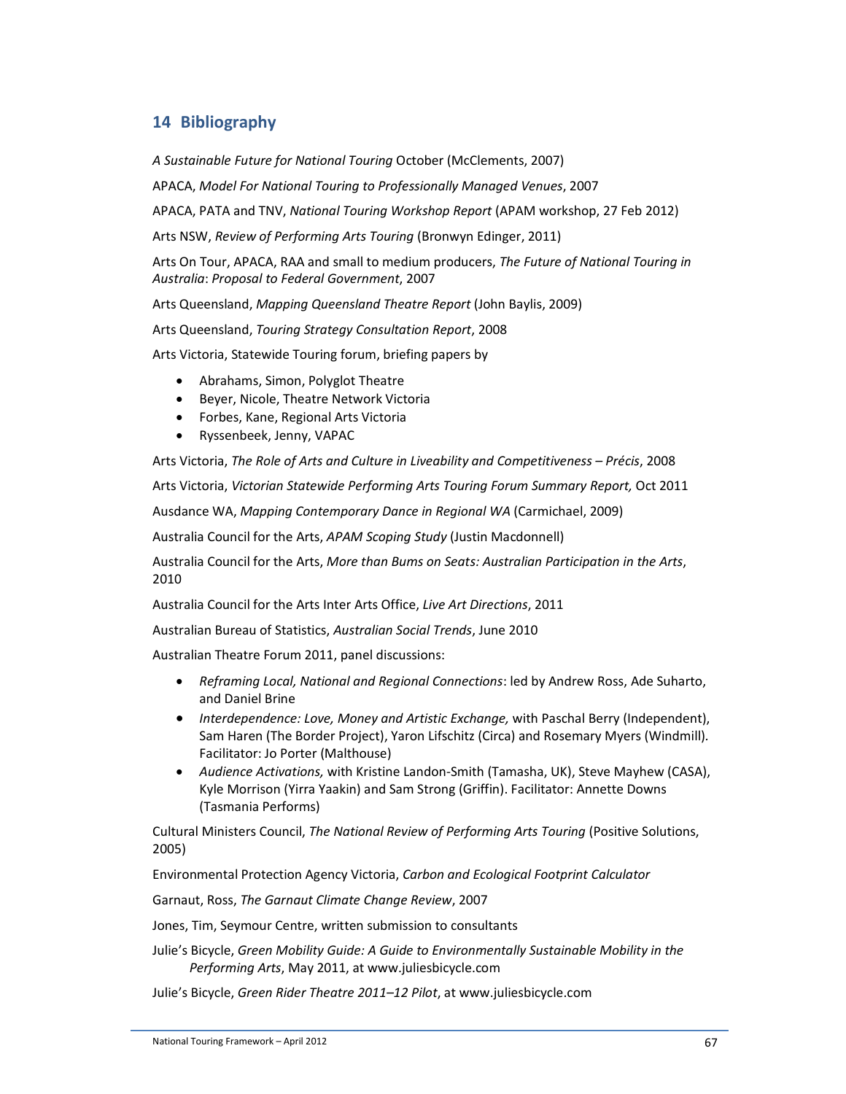## **14 Bibliography**

*A Sustainable Future for National Touring* October (McClements, 2007)

APACA, *Model For National Touring to Professionally Managed Venues*, 2007

APACA, PATA and TNV, *National Touring Workshop Report* (APAM workshop, 27 Feb 2012)

Arts NSW, *Review of Performing Arts Touring* (Bronwyn Edinger, 2011)

Arts On Tour, APACA, RAA and small to medium producers, *The Future of National Touring in Australia*: *Proposal to Federal Government*, 2007

Arts Queensland, *Mapping Queensland Theatre Report* (John Baylis, 2009)

Arts Queensland, *Touring Strategy Consultation Report*, 2008

Arts Victoria, Statewide Touring forum, briefing papers by

- Abrahams, Simon, Polyglot Theatre
- Beyer, Nicole, Theatre Network Victoria
- Forbes, Kane, Regional Arts Victoria
- Ryssenbeek, Jenny, VAPAC

Arts Victoria, *The Role of Arts and Culture in Liveability and Competitiveness – Précis*, 2008

Arts Victoria, *Victorian Statewide Performing Arts Touring Forum Summary Report,* Oct 2011

Ausdance WA, *Mapping Contemporary Dance in Regional WA* (Carmichael, 2009)

Australia Council for the Arts, *APAM Scoping Study* (Justin Macdonnell)

Australia Council for the Arts, *More than Bums on Seats: Australian Participation in the Arts*, 2010

Australia Council for the Arts Inter Arts Office, *Live Art Directions*, 2011

Australian Bureau of Statistics, *Australian Social Trends*, June 2010

Australian Theatre Forum 2011, panel discussions:

- *Reframing Local, National and Regional Connections*: led by Andrew Ross, Ade Suharto, and Daniel Brine
- *Interdependence: Love, Money and Artistic Exchange,* with Paschal Berry (Independent), Sam Haren (The Border Project), Yaron Lifschitz (Circa) and Rosemary Myers (Windmill)*.*  Facilitator: Jo Porter (Malthouse)
- *Audience Activations,* with Kristine Landon-Smith (Tamasha, UK), Steve Mayhew (CASA), Kyle Morrison (Yirra Yaakin) and Sam Strong (Griffin). Facilitator: Annette Downs (Tasmania Performs)

Cultural Ministers Council, *The National Review of Performing Arts Touring* (Positive Solutions, 2005)

Environmental Protection Agency Victoria, *Carbon and Ecological Footprint Calculator*

Garnaut, Ross, *The Garnaut Climate Change Review*, 2007

Jones, Tim, Seymour Centre, written submission to consultants

Julie's Bicycle, *Green Mobility Guide: A Guide to Environmentally Sustainable Mobility in the Performing Arts*, May 2011, at www.juliesbicycle.com

Julie's Bicycle, *Green Rider Theatre 2011–12 Pilot*, at www.juliesbicycle.com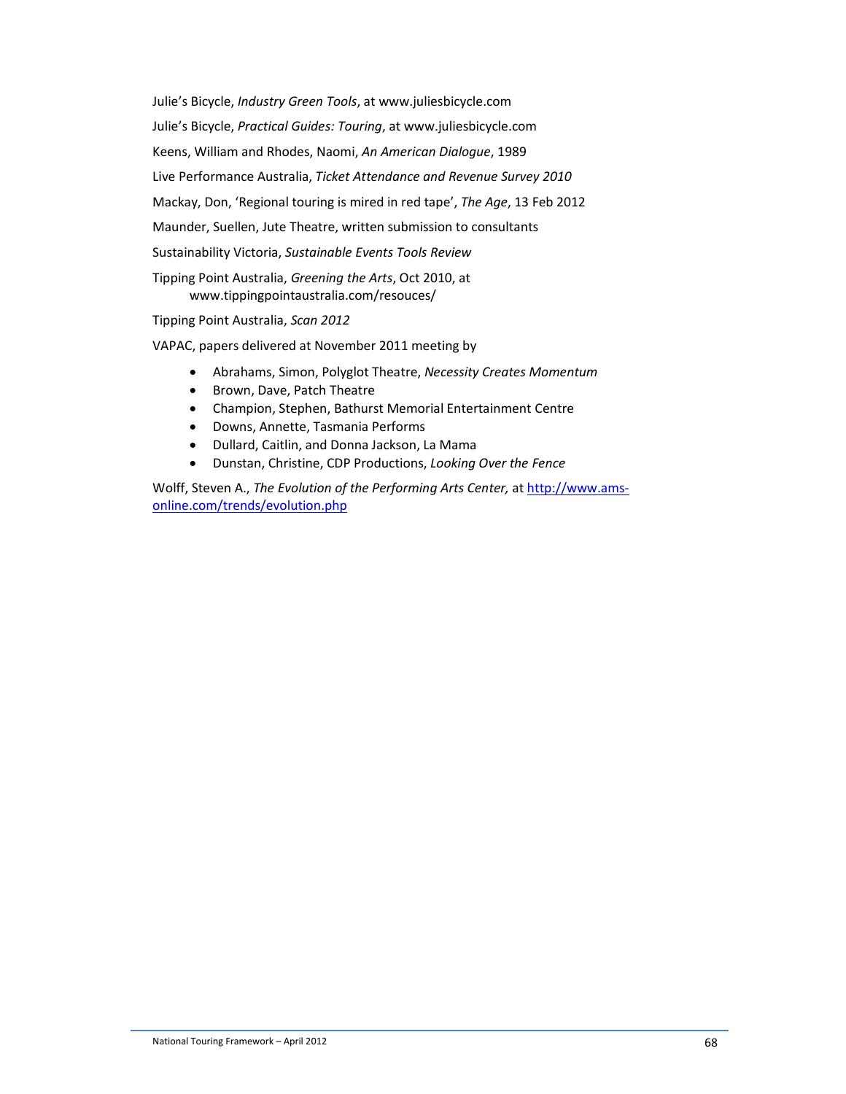Julie's Bicycle, *Industry Green Tools*, at www.juliesbicycle.com Julie's Bicycle, *Practical Guides: Touring*, at www.juliesbicycle.com Keens, William and Rhodes, Naomi, *An American Dialogue*, 1989 Live Performance Australia, *Ticket Attendance and Revenue Survey 2010* Mackay, Don, 'Regional touring is mired in red tape', *The Age*, 13 Feb 2012 Maunder, Suellen, Jute Theatre, written submission to consultants Sustainability Victoria, *Sustainable Events Tools Review* Tipping Point Australia, *Greening the Arts*, Oct 2010, at

www.tippingpointaustralia.com/resouces/

Tipping Point Australia, *Scan 2012* 

VAPAC, papers delivered at November 2011 meeting by

- Abrahams, Simon, Polyglot Theatre, *Necessity Creates Momentum*
- Brown, Dave, Patch Theatre
- Champion, Stephen, Bathurst Memorial Entertainment Centre
- Downs, Annette, Tasmania Performs
- Dullard, Caitlin, and Donna Jackson, La Mama
- Dunstan, Christine, CDP Productions, *Looking Over the Fence*

Wolff, Steven A., *The Evolution of the Performing Arts Center,* at http://www.amsonline.com/trends/evolution.php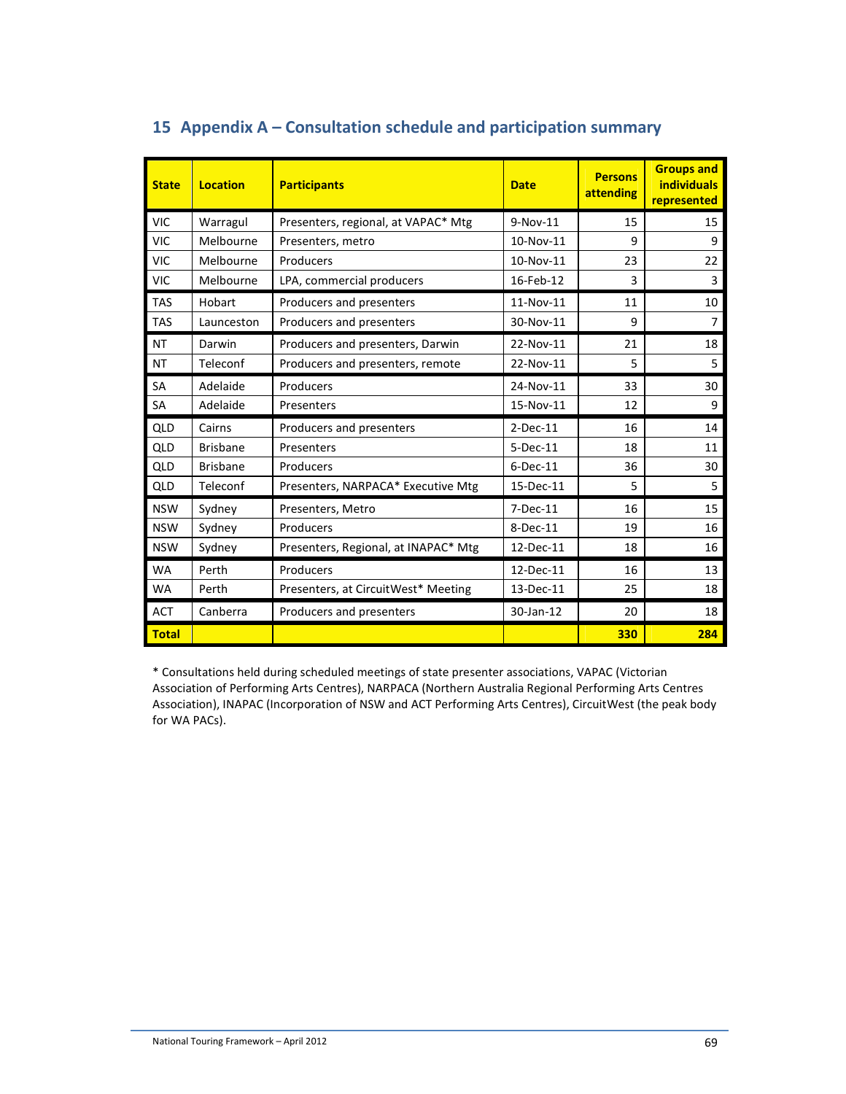| <b>State</b> | <b>Location</b> | <b>Participants</b>                  | <b>Date</b> | <b>Persons</b><br>attending | <b>Groups and</b><br><b>individuals</b><br>represented |
|--------------|-----------------|--------------------------------------|-------------|-----------------------------|--------------------------------------------------------|
| <b>VIC</b>   | Warragul        | Presenters, regional, at VAPAC* Mtg  | $9-Nov-11$  | 15                          | 15                                                     |
| <b>VIC</b>   | Melbourne       | Presenters, metro                    | 10-Nov-11   | 9                           | 9                                                      |
| <b>VIC</b>   | Melbourne       | Producers                            | 10-Nov-11   | 23                          | 22                                                     |
| <b>VIC</b>   | Melbourne       | LPA, commercial producers            | 16-Feb-12   | 3                           | 3                                                      |
| <b>TAS</b>   | Hobart          | Producers and presenters             | 11-Nov-11   | 11                          | 10                                                     |
| <b>TAS</b>   | Launceston      | Producers and presenters             | 30-Nov-11   | 9                           | 7                                                      |
| <b>NT</b>    | Darwin          | Producers and presenters, Darwin     | 22-Nov-11   | 21                          | 18                                                     |
| <b>NT</b>    | Teleconf        | Producers and presenters, remote     | 22-Nov-11   | 5                           | 5                                                      |
| <b>SA</b>    | Adelaide        | Producers                            | 24-Nov-11   | 33                          | 30                                                     |
| <b>SA</b>    | Adelaide        | Presenters                           | 15-Nov-11   | 12                          | 9                                                      |
| <b>QLD</b>   | Cairns          | Producers and presenters             | $2$ -Dec-11 | 16                          | 14                                                     |
| <b>QLD</b>   | <b>Brisbane</b> | Presenters                           | 5-Dec-11    | 18                          | 11                                                     |
| <b>QLD</b>   | <b>Brisbane</b> | Producers                            | $6$ -Dec-11 | 36                          | 30                                                     |
| QLD          | Teleconf        | Presenters, NARPACA* Executive Mtg   | 15-Dec-11   | 5                           | 5                                                      |
| <b>NSW</b>   | Sydney          | Presenters, Metro                    | 7-Dec-11    | 16                          | 15                                                     |
| <b>NSW</b>   | Sydney          | Producers                            | 8-Dec-11    | 19                          | 16                                                     |
| <b>NSW</b>   | Sydney          | Presenters, Regional, at INAPAC* Mtg | 12-Dec-11   | 18                          | 16                                                     |
| <b>WA</b>    | Perth           | Producers                            | 12-Dec-11   | 16                          | 13                                                     |
| <b>WA</b>    | Perth           | Presenters, at CircuitWest* Meeting  | 13-Dec-11   | 25                          | 18                                                     |
| <b>ACT</b>   | Canberra        | Producers and presenters             | 30-Jan-12   | 20                          | 18                                                     |
| <b>Total</b> |                 |                                      |             | 330                         | 284                                                    |

# **15 Appendix A – Consultation schedule and participation summary**

\* Consultations held during scheduled meetings of state presenter associations, VAPAC (Victorian Association of Performing Arts Centres), NARPACA (Northern Australia Regional Performing Arts Centres Association), INAPAC (Incorporation of NSW and ACT Performing Arts Centres), CircuitWest (the peak body for WA PACs).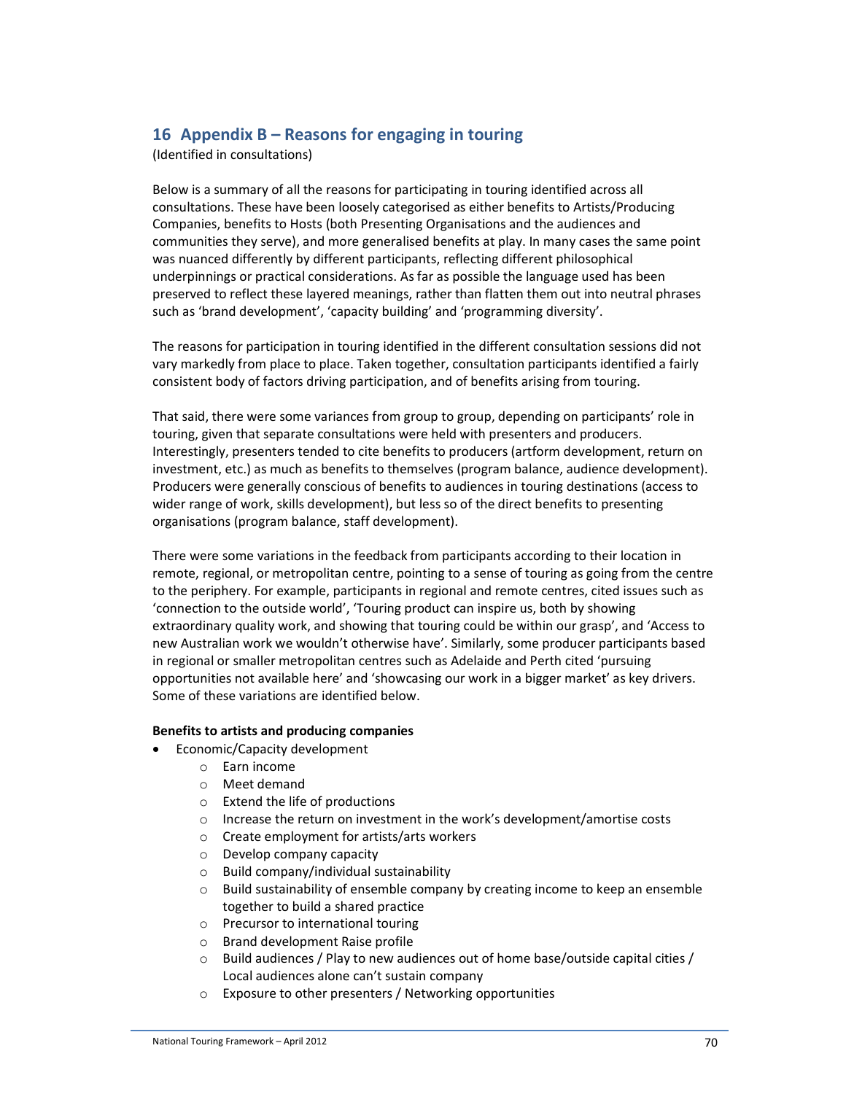## **16 Appendix B – Reasons for engaging in touring**

(Identified in consultations)

Below is a summary of all the reasons for participating in touring identified across all consultations. These have been loosely categorised as either benefits to Artists/Producing Companies, benefits to Hosts (both Presenting Organisations and the audiences and communities they serve), and more generalised benefits at play. In many cases the same point was nuanced differently by different participants, reflecting different philosophical underpinnings or practical considerations. As far as possible the language used has been preserved to reflect these layered meanings, rather than flatten them out into neutral phrases such as 'brand development', 'capacity building' and 'programming diversity'.

The reasons for participation in touring identified in the different consultation sessions did not vary markedly from place to place. Taken together, consultation participants identified a fairly consistent body of factors driving participation, and of benefits arising from touring.

That said, there were some variances from group to group, depending on participants' role in touring, given that separate consultations were held with presenters and producers. Interestingly, presenters tended to cite benefits to producers (artform development, return on investment, etc.) as much as benefits to themselves (program balance, audience development). Producers were generally conscious of benefits to audiences in touring destinations (access to wider range of work, skills development), but less so of the direct benefits to presenting organisations (program balance, staff development).

There were some variations in the feedback from participants according to their location in remote, regional, or metropolitan centre, pointing to a sense of touring as going from the centre to the periphery. For example, participants in regional and remote centres, cited issues such as 'connection to the outside world', 'Touring product can inspire us, both by showing extraordinary quality work, and showing that touring could be within our grasp', and 'Access to new Australian work we wouldn't otherwise have'. Similarly, some producer participants based in regional or smaller metropolitan centres such as Adelaide and Perth cited 'pursuing opportunities not available here' and 'showcasing our work in a bigger market' as key drivers. Some of these variations are identified below.

#### **Benefits to artists and producing companies**

- Economic/Capacity development
	- o Earn income
		- o Meet demand
		- o Extend the life of productions
		- o Increase the return on investment in the work's development/amortise costs
		- o Create employment for artists/arts workers
		- o Develop company capacity
		- o Build company/individual sustainability
		- o Build sustainability of ensemble company by creating income to keep an ensemble together to build a shared practice
		- o Precursor to international touring
		- o Brand development Raise profile
		- $\circ$  Build audiences / Play to new audiences out of home base/outside capital cities / Local audiences alone can't sustain company
		- o Exposure to other presenters / Networking opportunities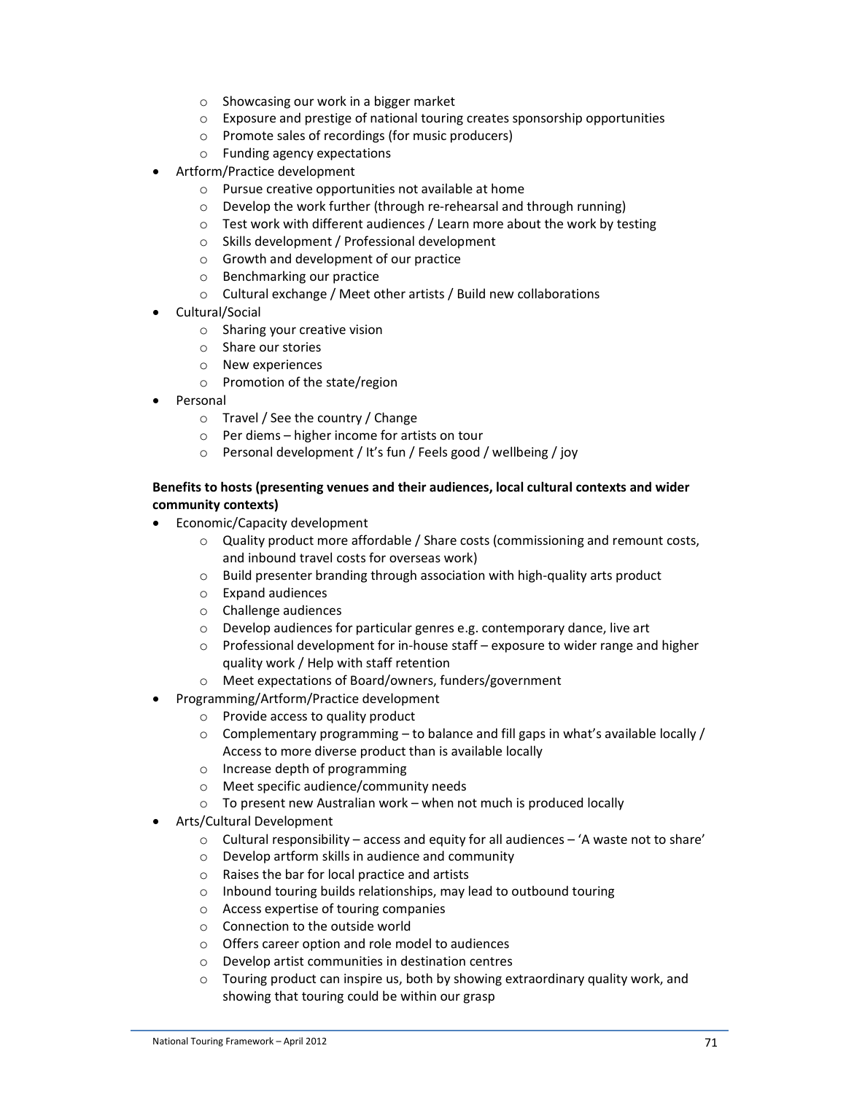- o Showcasing our work in a bigger market
- $\circ$  Exposure and prestige of national touring creates sponsorship opportunities
- o Promote sales of recordings (for music producers)
- o Funding agency expectations
- Artform/Practice development
	- o Pursue creative opportunities not available at home
	- o Develop the work further (through re-rehearsal and through running)
	- o Test work with different audiences / Learn more about the work by testing
	- o Skills development / Professional development
	- o Growth and development of our practice
	- o Benchmarking our practice
	- o Cultural exchange / Meet other artists / Build new collaborations
- Cultural/Social
	- o Sharing your creative vision
	- o Share our stories
	- o New experiences
	- o Promotion of the state/region
- Personal
	- o Travel / See the country / Change
	- o Per diems higher income for artists on tour
	- o Personal development / It's fun / Feels good / wellbeing / joy

### **Benefits to hosts (presenting venues and their audiences, local cultural contexts and wider community contexts)**

- Economic/Capacity development
	- o Quality product more affordable / Share costs (commissioning and remount costs, and inbound travel costs for overseas work)
	- o Build presenter branding through association with high-quality arts product
	- o Expand audiences
	- o Challenge audiences
	- o Develop audiences for particular genres e.g. contemporary dance, live art
	- $\circ$  Professional development for in-house staff exposure to wider range and higher quality work / Help with staff retention
	- o Meet expectations of Board/owners, funders/government
- Programming/Artform/Practice development
	- o Provide access to quality product
	- $\circ$  Complementary programming to balance and fill gaps in what's available locally / Access to more diverse product than is available locally
	- o Increase depth of programming
	- o Meet specific audience/community needs
	- $\circ$  To present new Australian work when not much is produced locally
- Arts/Cultural Development
	- $\circ$  Cultural responsibility access and equity for all audiences 'A waste not to share'
	- o Develop artform skills in audience and community
	- o Raises the bar for local practice and artists
	- o Inbound touring builds relationships, may lead to outbound touring
	- o Access expertise of touring companies
	- o Connection to the outside world
	- o Offers career option and role model to audiences
	- o Develop artist communities in destination centres
	- o Touring product can inspire us, both by showing extraordinary quality work, and showing that touring could be within our grasp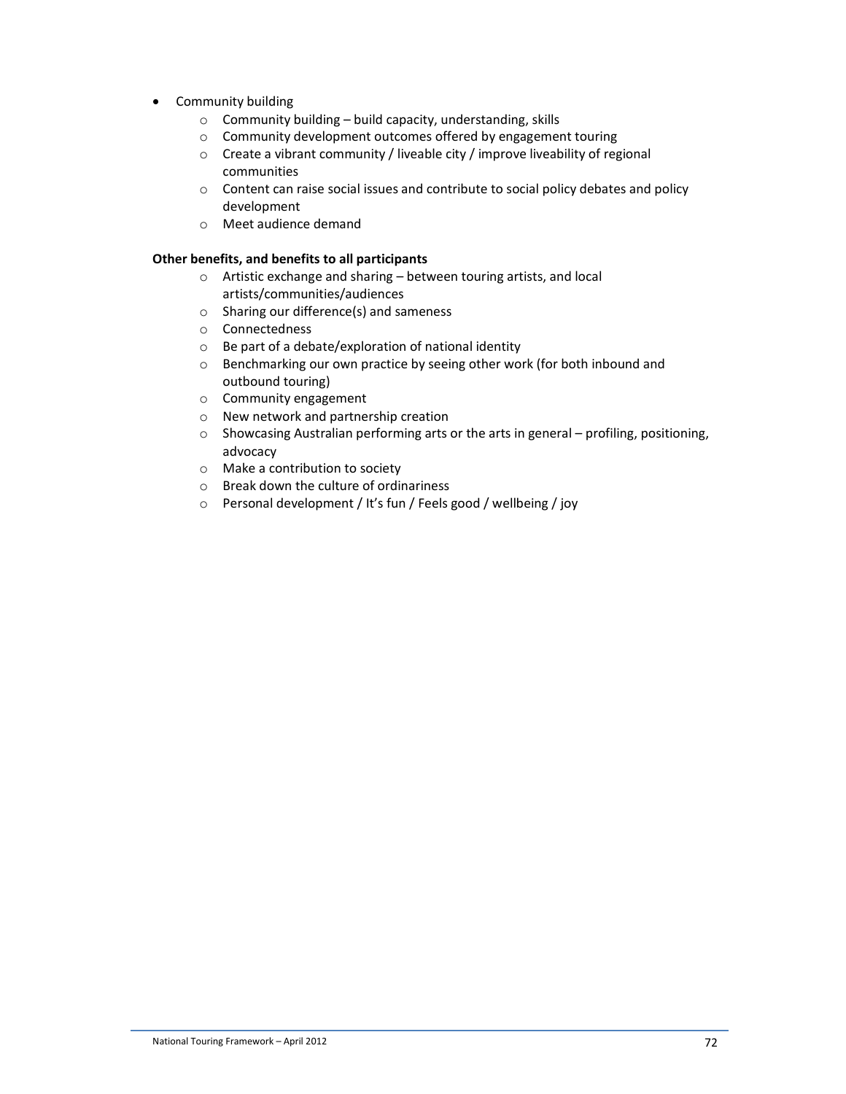- Community building
	- $\circ$  Community building build capacity, understanding, skills
	- o Community development outcomes offered by engagement touring
	- o Create a vibrant community / liveable city / improve liveability of regional communities
	- o Content can raise social issues and contribute to social policy debates and policy development
	- o Meet audience demand

### **Other benefits, and benefits to all participants**

- o Artistic exchange and sharing between touring artists, and local artists/communities/audiences
- o Sharing our difference(s) and sameness
- o Connectedness
- o Be part of a debate/exploration of national identity
- o Benchmarking our own practice by seeing other work (for both inbound and outbound touring)
- o Community engagement
- o New network and partnership creation
- o Showcasing Australian performing arts or the arts in general profiling, positioning, advocacy
- o Make a contribution to society
- o Break down the culture of ordinariness
- o Personal development / It's fun / Feels good / wellbeing / joy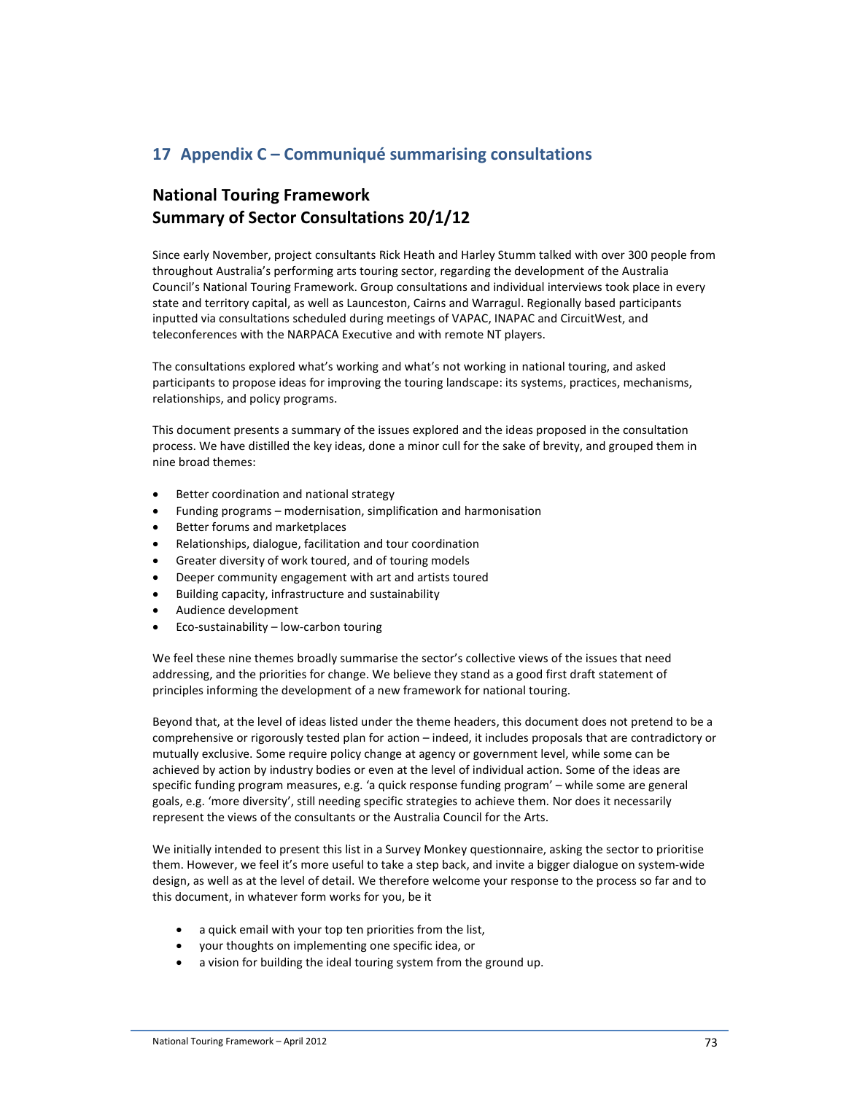# **17 Appendix C – Communiqué summarising consultations**

# **National Touring Framework Summary of Sector Consultations 20/1/12**

Since early November, project consultants Rick Heath and Harley Stumm talked with over 300 people from throughout Australia's performing arts touring sector, regarding the development of the Australia Council's National Touring Framework. Group consultations and individual interviews took place in every state and territory capital, as well as Launceston, Cairns and Warragul. Regionally based participants inputted via consultations scheduled during meetings of VAPAC, INAPAC and CircuitWest, and teleconferences with the NARPACA Executive and with remote NT players.

The consultations explored what's working and what's not working in national touring, and asked participants to propose ideas for improving the touring landscape: its systems, practices, mechanisms, relationships, and policy programs.

This document presents a summary of the issues explored and the ideas proposed in the consultation process. We have distilled the key ideas, done a minor cull for the sake of brevity, and grouped them in nine broad themes:

- Better coordination and national strategy
- Funding programs modernisation, simplification and harmonisation
- Better forums and marketplaces
- Relationships, dialogue, facilitation and tour coordination
- Greater diversity of work toured, and of touring models
- Deeper community engagement with art and artists toured
- Building capacity, infrastructure and sustainability
- Audience development
- Eco-sustainability low-carbon touring

We feel these nine themes broadly summarise the sector's collective views of the issues that need addressing, and the priorities for change. We believe they stand as a good first draft statement of principles informing the development of a new framework for national touring.

Beyond that, at the level of ideas listed under the theme headers, this document does not pretend to be a comprehensive or rigorously tested plan for action – indeed, it includes proposals that are contradictory or mutually exclusive. Some require policy change at agency or government level, while some can be achieved by action by industry bodies or even at the level of individual action. Some of the ideas are specific funding program measures, e.g. 'a quick response funding program' – while some are general goals, e.g. 'more diversity', still needing specific strategies to achieve them. Nor does it necessarily represent the views of the consultants or the Australia Council for the Arts.

We initially intended to present this list in a Survey Monkey questionnaire, asking the sector to prioritise them. However, we feel it's more useful to take a step back, and invite a bigger dialogue on system-wide design, as well as at the level of detail. We therefore welcome your response to the process so far and to this document, in whatever form works for you, be it

- a quick email with your top ten priorities from the list,
- your thoughts on implementing one specific idea, or
- a vision for building the ideal touring system from the ground up.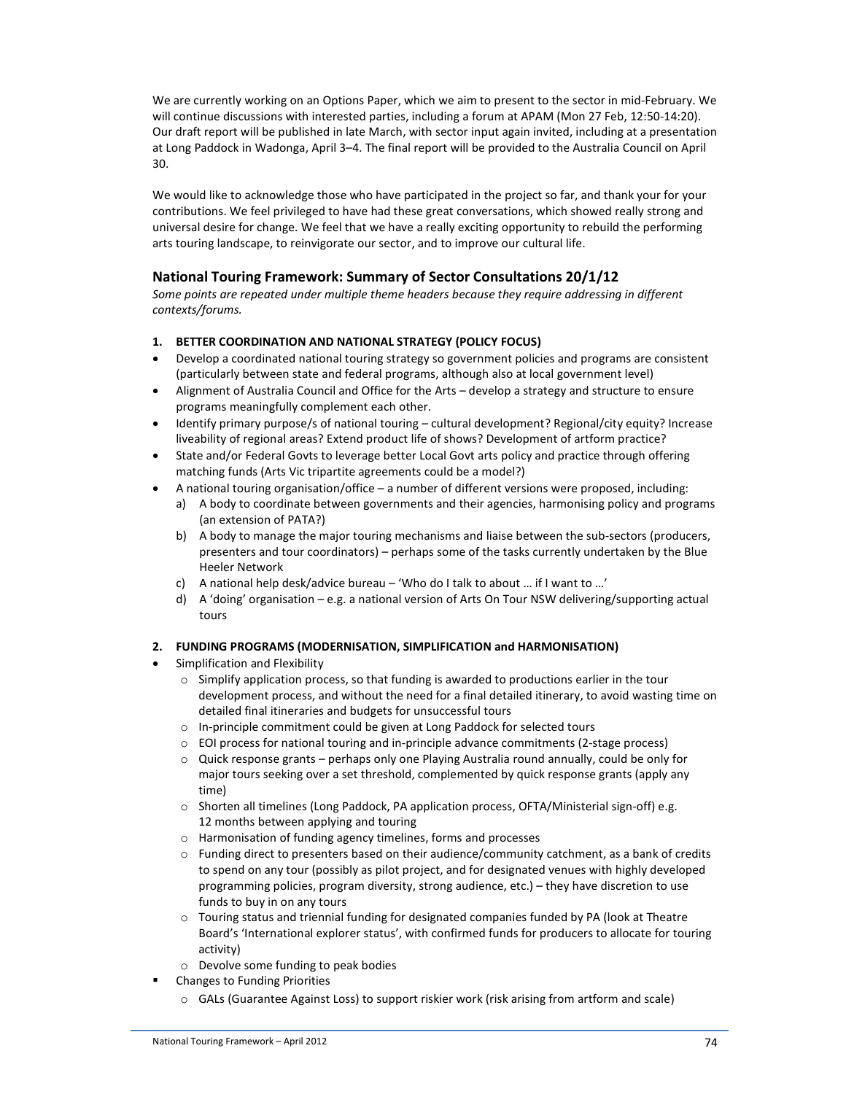We are currently working on an Options Paper, which we aim to present to the sector in mid-February. We will continue discussions with interested parties, including a forum at APAM (Mon 27 Feb, 12:50-14:20). Our draft report will be published in late March, with sector input again invited, including at a presentation at Long Paddock in Wadonga, April 3–4. The final report will be provided to the Australia Council on April 30.

We would like to acknowledge those who have participated in the project so far, and thank your for your contributions. We feel privileged to have had these great conversations, which showed really strong and universal desire for change. We feel that we have a really exciting opportunity to rebuild the performing arts touring landscape, to reinvigorate our sector, and to improve our cultural life.

### **National Touring Framework: Summary of Sector Consultations 20/1/12**

*Some points are repeated under multiple theme headers because they require addressing in different contexts/forums.* 

- **1. BETTER COORDINATION AND NATIONAL STRATEGY (POLICY FOCUS)**
- Develop a coordinated national touring strategy so government policies and programs are consistent (particularly between state and federal programs, although also at local government level)
- Alignment of Australia Council and Office for the Arts develop a strategy and structure to ensure programs meaningfully complement each other.
- Identify primary purpose/s of national touring cultural development? Regional/city equity? Increase liveability of regional areas? Extend product life of shows? Development of artform practice?
- State and/or Federal Govts to leverage better Local Govt arts policy and practice through offering matching funds (Arts Vic tripartite agreements could be a model?)
- A national touring organisation/office a number of different versions were proposed, including:
	- a) A body to coordinate between governments and their agencies, harmonising policy and programs (an extension of PATA?)
	- b) A body to manage the major touring mechanisms and liaise between the sub-sectors (producers, presenters and tour coordinators) – perhaps some of the tasks currently undertaken by the Blue Heeler Network
	- c) A national help desk/advice bureau 'Who do I talk to about … if I want to …'
	- d) A 'doing' organisation e.g. a national version of Arts On Tour NSW delivering/supporting actual tours

#### **2. FUNDING PROGRAMS (MODERNISATION, SIMPLIFICATION and HARMONISATION)**

- Simplification and Flexibility
	- $\circ$  Simplify application process, so that funding is awarded to productions earlier in the tour development process, and without the need for a final detailed itinerary, to avoid wasting time on detailed final itineraries and budgets for unsuccessful tours
	- o In-principle commitment could be given at Long Paddock for selected tours
	- o EOI process for national touring and in-principle advance commitments (2-stage process)
	- o Quick response grants perhaps only one Playing Australia round annually, could be only for major tours seeking over a set threshold, complemented by quick response grants (apply any time)
	- o Shorten all timelines (Long Paddock, PA application process, OFTA/Ministerial sign-off) e.g. 12 months between applying and touring
	- o Harmonisation of funding agency timelines, forms and processes
	- $\circ$  Funding direct to presenters based on their audience/community catchment, as a bank of credits to spend on any tour (possibly as pilot project, and for designated venues with highly developed programming policies, program diversity, strong audience, etc.) – they have discretion to use funds to buy in on any tours
	- o Touring status and triennial funding for designated companies funded by PA (look at Theatre Board's 'International explorer status', with confirmed funds for producers to allocate for touring activity)
	- o Devolve some funding to peak bodies
- Changes to Funding Priorities
	- o GALs (Guarantee Against Loss) to support riskier work (risk arising from artform and scale)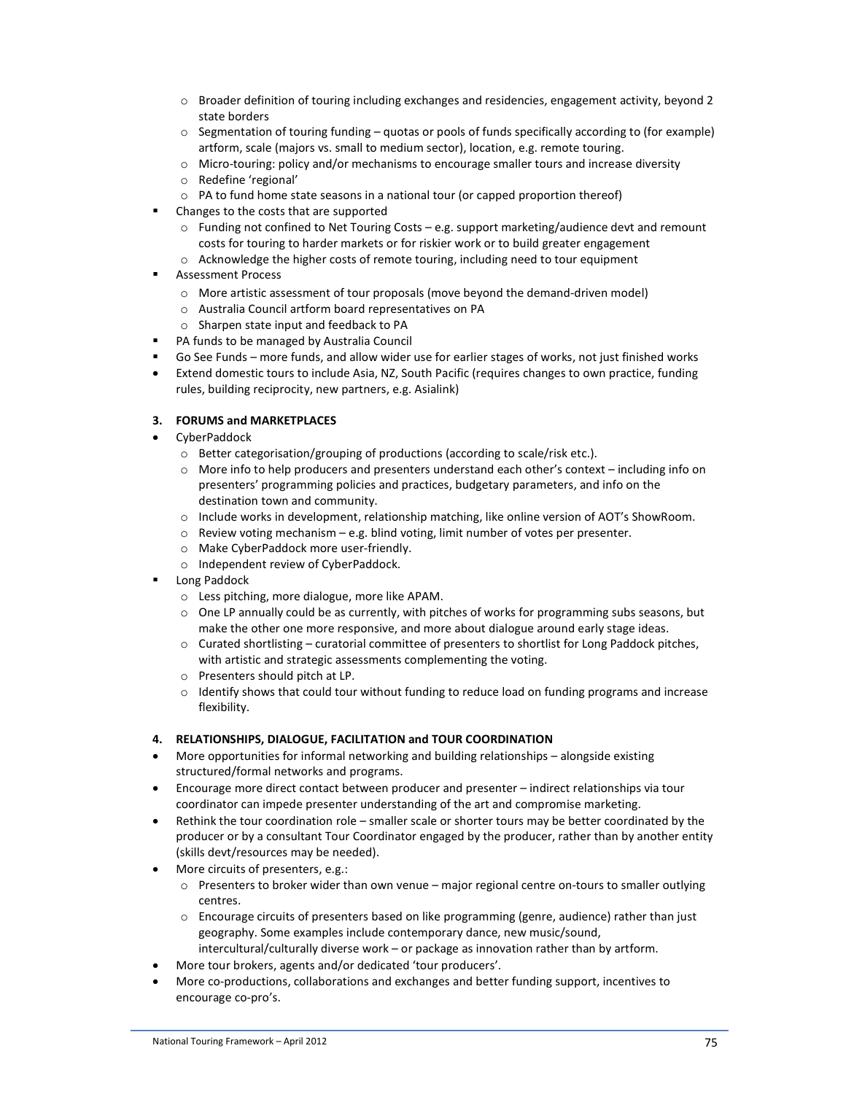- $\circ$  Broader definition of touring including exchanges and residencies, engagement activity, beyond 2 state borders
- o Segmentation of touring funding quotas or pools of funds specifically according to (for example) artform, scale (majors vs. small to medium sector), location, e.g. remote touring.
- $\circ$  Micro-touring: policy and/or mechanisms to encourage smaller tours and increase diversity
- o Redefine 'regional'
- o PA to fund home state seasons in a national tour (or capped proportion thereof)
- Changes to the costs that are supported
	- o Funding not confined to Net Touring Costs e.g. support marketing/audience devt and remount costs for touring to harder markets or for riskier work or to build greater engagement
	- o Acknowledge the higher costs of remote touring, including need to tour equipment
- Assessment Process
	- o More artistic assessment of tour proposals (move beyond the demand-driven model)
	- o Australia Council artform board representatives on PA
	- o Sharpen state input and feedback to PA
- PA funds to be managed by Australia Council
- Go See Funds more funds, and allow wider use for earlier stages of works, not just finished works
- Extend domestic tours to include Asia, NZ, South Pacific (requires changes to own practice, funding rules, building reciprocity, new partners, e.g. Asialink)

#### **3. FORUMS and MARKETPLACES**

- CyberPaddock
	- o Better categorisation/grouping of productions (according to scale/risk etc.).
	- o More info to help producers and presenters understand each other's context including info on presenters' programming policies and practices, budgetary parameters, and info on the destination town and community.
	- o Include works in development, relationship matching, like online version of AOT's ShowRoom.
	- o Review voting mechanism e.g. blind voting, limit number of votes per presenter.
	- o Make CyberPaddock more user-friendly.
	- o Independent review of CyberPaddock.
- Long Paddock
	- o Less pitching, more dialogue, more like APAM.
	- $\circ$  One LP annually could be as currently, with pitches of works for programming subs seasons, but make the other one more responsive, and more about dialogue around early stage ideas.
	- $\circ$  Curated shortlisting curatorial committee of presenters to shortlist for Long Paddock pitches, with artistic and strategic assessments complementing the voting.
	- o Presenters should pitch at LP.
	- o Identify shows that could tour without funding to reduce load on funding programs and increase flexibility.

#### **4. RELATIONSHIPS, DIALOGUE, FACILITATION and TOUR COORDINATION**

- More opportunities for informal networking and building relationships alongside existing structured/formal networks and programs.
- Encourage more direct contact between producer and presenter indirect relationships via tour coordinator can impede presenter understanding of the art and compromise marketing.
- Rethink the tour coordination role smaller scale or shorter tours may be better coordinated by the producer or by a consultant Tour Coordinator engaged by the producer, rather than by another entity (skills devt/resources may be needed).
- More circuits of presenters, e.g.:
	- o Presenters to broker wider than own venue major regional centre on-tours to smaller outlying centres.
	- o Encourage circuits of presenters based on like programming (genre, audience) rather than just geography. Some examples include contemporary dance, new music/sound, intercultural/culturally diverse work – or package as innovation rather than by artform.
- More tour brokers, agents and/or dedicated 'tour producers'.
- More co-productions, collaborations and exchanges and better funding support, incentives to encourage co-pro's.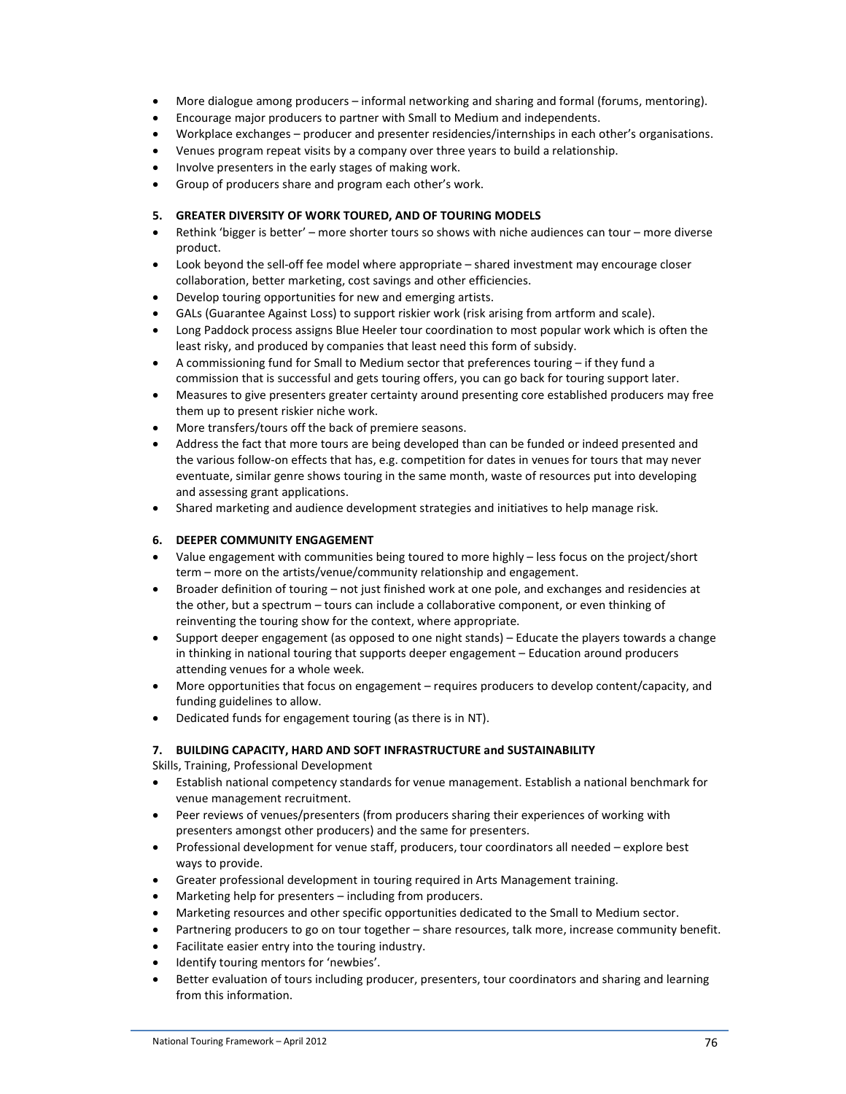- More dialogue among producers informal networking and sharing and formal (forums, mentoring).
- Encourage major producers to partner with Small to Medium and independents.
- Workplace exchanges producer and presenter residencies/internships in each other's organisations.
- Venues program repeat visits by a company over three years to build a relationship.
- Involve presenters in the early stages of making work.
- Group of producers share and program each other's work.

#### **5. GREATER DIVERSITY OF WORK TOURED, AND OF TOURING MODELS**

- Rethink 'bigger is better' more shorter tours so shows with niche audiences can tour more diverse product.
- Look beyond the sell-off fee model where appropriate shared investment may encourage closer collaboration, better marketing, cost savings and other efficiencies.
- Develop touring opportunities for new and emerging artists.
- GALs (Guarantee Against Loss) to support riskier work (risk arising from artform and scale).
- Long Paddock process assigns Blue Heeler tour coordination to most popular work which is often the least risky, and produced by companies that least need this form of subsidy.
- A commissioning fund for Small to Medium sector that preferences touring if they fund a commission that is successful and gets touring offers, you can go back for touring support later.
- Measures to give presenters greater certainty around presenting core established producers may free them up to present riskier niche work.
- More transfers/tours off the back of premiere seasons.
- Address the fact that more tours are being developed than can be funded or indeed presented and the various follow-on effects that has, e.g. competition for dates in venues for tours that may never eventuate, similar genre shows touring in the same month, waste of resources put into developing and assessing grant applications.
- Shared marketing and audience development strategies and initiatives to help manage risk.

#### **6. DEEPER COMMUNITY ENGAGEMENT**

- Value engagement with communities being toured to more highly less focus on the project/short term – more on the artists/venue/community relationship and engagement.
- Broader definition of touring not just finished work at one pole, and exchanges and residencies at the other, but a spectrum – tours can include a collaborative component, or even thinking of reinventing the touring show for the context, where appropriate.
- Support deeper engagement (as opposed to one night stands) Educate the players towards a change in thinking in national touring that supports deeper engagement – Education around producers attending venues for a whole week.
- More opportunities that focus on engagement requires producers to develop content/capacity, and funding guidelines to allow.
- Dedicated funds for engagement touring (as there is in NT).

#### **7. BUILDING CAPACITY, HARD AND SOFT INFRASTRUCTURE and SUSTAINABILITY**

Skills, Training, Professional Development

- Establish national competency standards for venue management. Establish a national benchmark for venue management recruitment.
- Peer reviews of venues/presenters (from producers sharing their experiences of working with presenters amongst other producers) and the same for presenters.
- Professional development for venue staff, producers, tour coordinators all needed explore best ways to provide.
- Greater professional development in touring required in Arts Management training.
- Marketing help for presenters including from producers.
- Marketing resources and other specific opportunities dedicated to the Small to Medium sector.
- Partnering producers to go on tour together share resources, talk more, increase community benefit.
- Facilitate easier entry into the touring industry.
- Identify touring mentors for 'newbies'.
- Better evaluation of tours including producer, presenters, tour coordinators and sharing and learning from this information.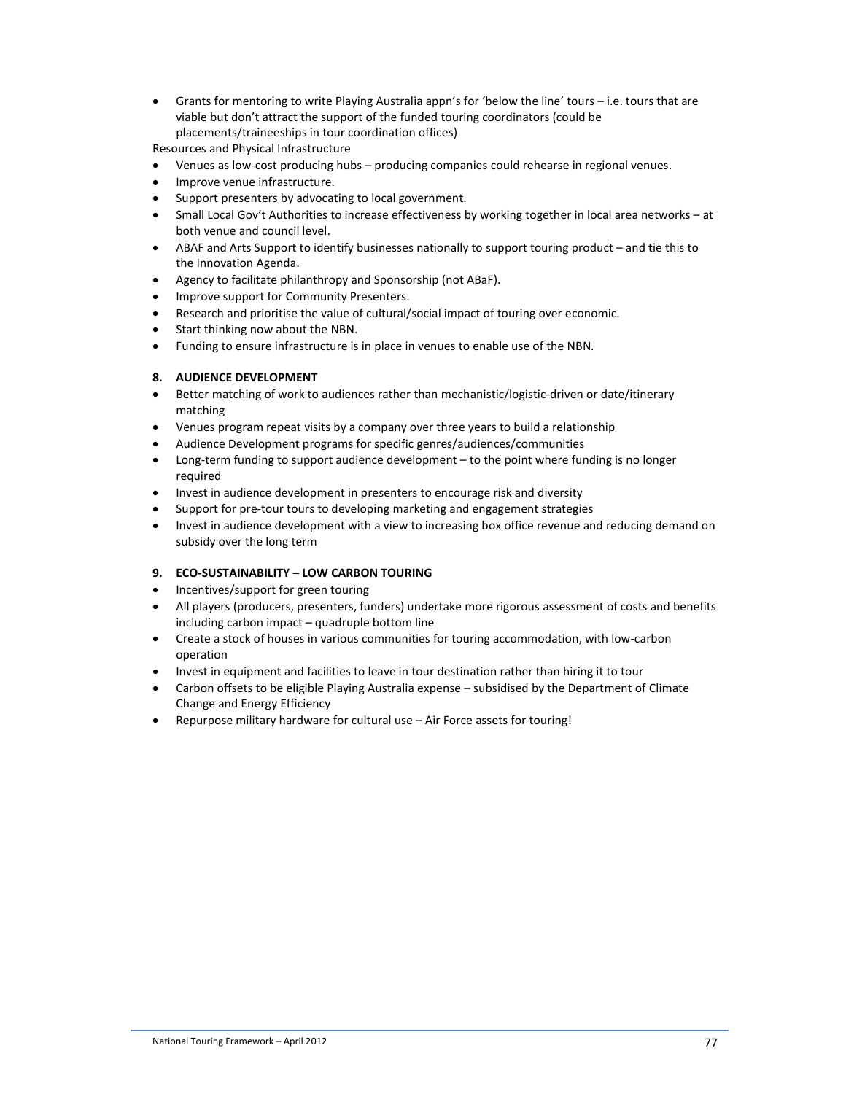• Grants for mentoring to write Playing Australia appn's for 'below the line' tours – i.e. tours that are viable but don't attract the support of the funded touring coordinators (could be placements/traineeships in tour coordination offices)

Resources and Physical Infrastructure

- Venues as low-cost producing hubs producing companies could rehearse in regional venues.
- Improve venue infrastructure.
- Support presenters by advocating to local government.
- Small Local Gov't Authorities to increase effectiveness by working together in local area networks at both venue and council level.
- ABAF and Arts Support to identify businesses nationally to support touring product and tie this to the Innovation Agenda.
- Agency to facilitate philanthropy and Sponsorship (not ABaF).
- Improve support for Community Presenters.
- Research and prioritise the value of cultural/social impact of touring over economic.
- Start thinking now about the NBN.
- Funding to ensure infrastructure is in place in venues to enable use of the NBN.

#### **8. AUDIENCE DEVELOPMENT**

- Better matching of work to audiences rather than mechanistic/logistic-driven or date/itinerary matching
- Venues program repeat visits by a company over three years to build a relationship
- Audience Development programs for specific genres/audiences/communities
- Long-term funding to support audience development to the point where funding is no longer required
- Invest in audience development in presenters to encourage risk and diversity
- Support for pre-tour tours to developing marketing and engagement strategies
- Invest in audience development with a view to increasing box office revenue and reducing demand on subsidy over the long term

#### **9. ECO-SUSTAINABILITY – LOW CARBON TOURING**

- Incentives/support for green touring
- All players (producers, presenters, funders) undertake more rigorous assessment of costs and benefits including carbon impact – quadruple bottom line
- Create a stock of houses in various communities for touring accommodation, with low-carbon operation
- Invest in equipment and facilities to leave in tour destination rather than hiring it to tour
- Carbon offsets to be eligible Playing Australia expense subsidised by the Department of Climate Change and Energy Efficiency
- Repurpose military hardware for cultural use Air Force assets for touring!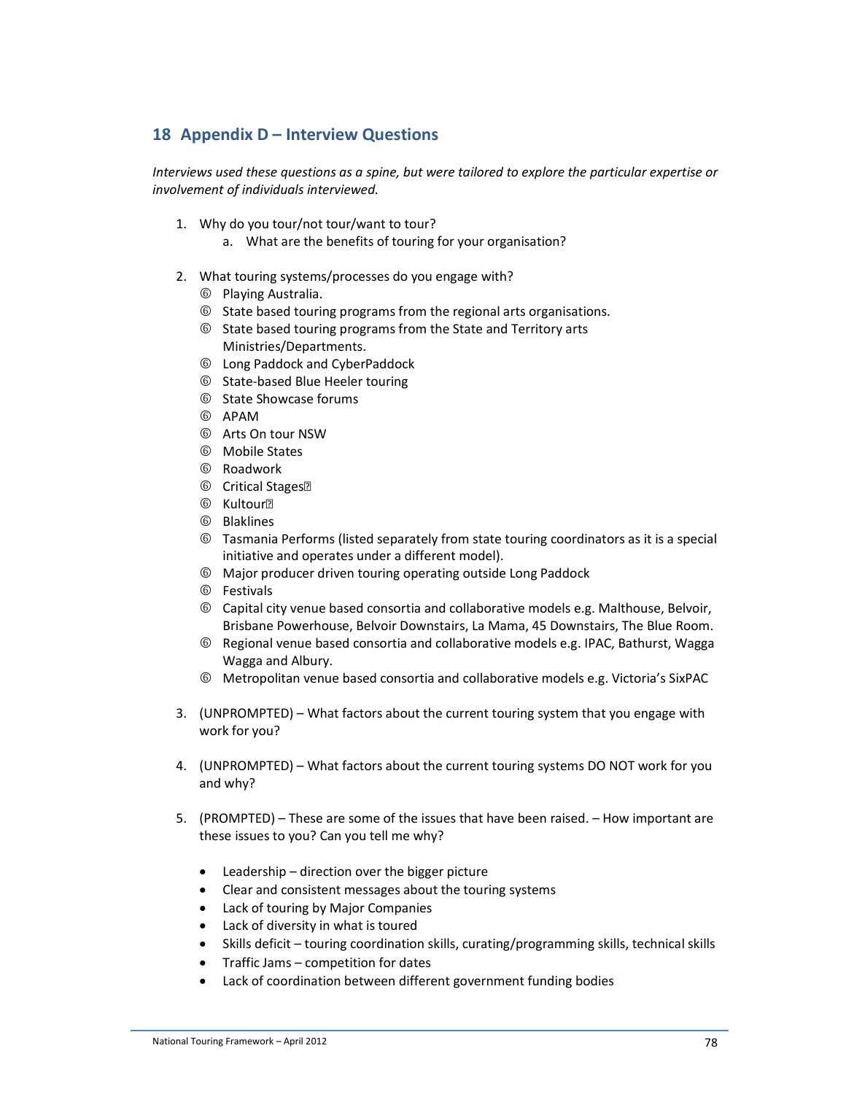# **18 Appendix D – Interview Questions**

*Interviews used these questions as a spine, but were tailored to explore the particular expertise or involvement of individuals interviewed.* 

- 1. Why do you tour/not tour/want to tour?
	- a. What are the benefits of touring for your organisation?
- 2. What touring systems/processes do you engage with?
	- 6 Playing Australia.
	- 6 State based touring programs from the regional arts organisations.
	- 6 State based touring programs from the State and Territory arts Ministries/Departments.
	- 6 Long Paddock and CyberPaddock
	- 6 State-based Blue Heeler touring
	- 6 State Showcase forums
	- 6 APAM
	- 6 Arts On tour NSW
	- 6 Mobile States
	- 6 Roadwork
	- **6** Critical Stages<sup>®</sup>
	- **6** Kultour?
	- 6 Blaklines
	- 6 Tasmania Performs (listed separately from state touring coordinators as it is a special initiative and operates under a different model).
	- 6 Major producer driven touring operating outside Long Paddock
	- 6 Festivals
	- 6 Capital city venue based consortia and collaborative models e.g. Malthouse, Belvoir, Brisbane Powerhouse, Belvoir Downstairs, La Mama, 45 Downstairs, The Blue Room.
	- 6 Regional venue based consortia and collaborative models e.g. IPAC, Bathurst, Wagga Wagga and Albury.
	- 6 Metropolitan venue based consortia and collaborative models e.g. Victoria's SixPAC
- 3. (UNPROMPTED) What factors about the current touring system that you engage with work for you?
- 4. (UNPROMPTED) What factors about the current touring systems DO NOT work for you and why?
- 5. (PROMPTED) These are some of the issues that have been raised. How important are these issues to you? Can you tell me why?
	- Leadership direction over the bigger picture
	- Clear and consistent messages about the touring systems
	- Lack of touring by Major Companies
	- Lack of diversity in what is toured
	- Skills deficit touring coordination skills, curating/programming skills, technical skills
	- Traffic Jams competition for dates
	- Lack of coordination between different government funding bodies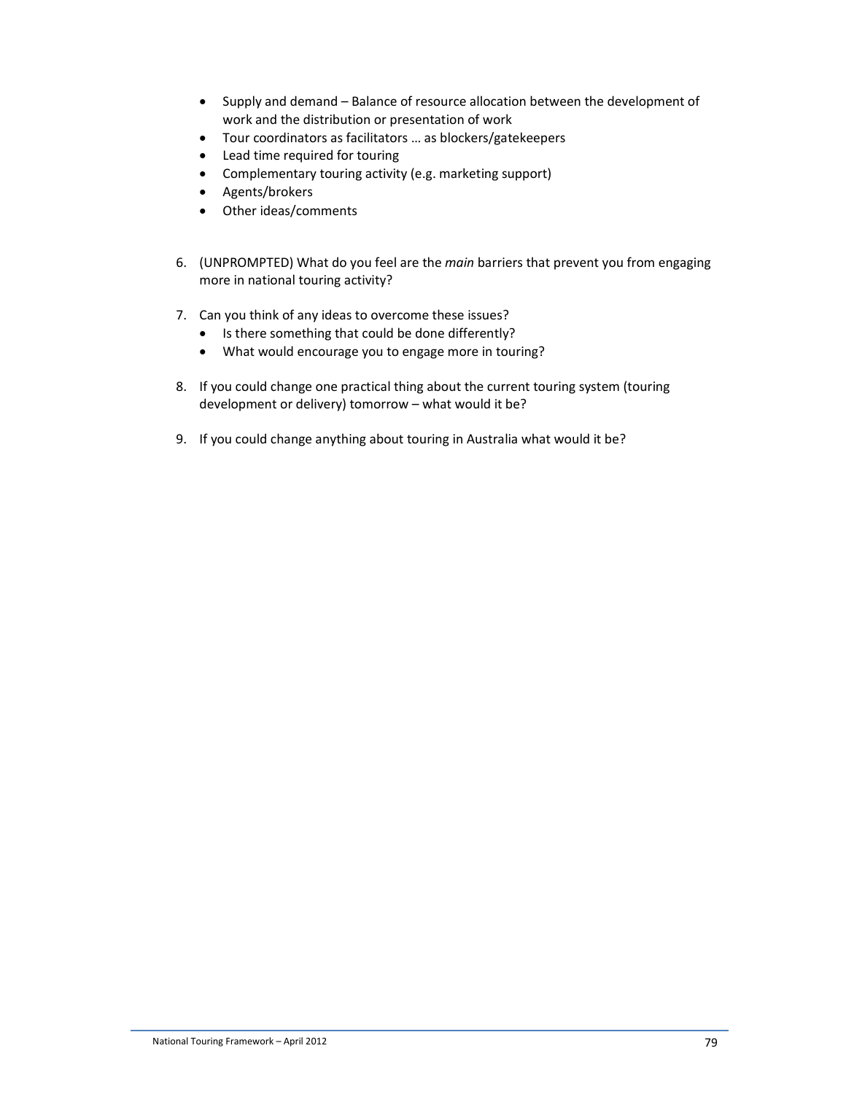- Supply and demand Balance of resource allocation between the development of work and the distribution or presentation of work
- Tour coordinators as facilitators … as blockers/gatekeepers
- Lead time required for touring
- Complementary touring activity (e.g. marketing support)
- Agents/brokers
- Other ideas/comments
- 6. (UNPROMPTED) What do you feel are the *main* barriers that prevent you from engaging more in national touring activity?
- 7. Can you think of any ideas to overcome these issues?
	- Is there something that could be done differently?
	- What would encourage you to engage more in touring?
- 8. If you could change one practical thing about the current touring system (touring development or delivery) tomorrow – what would it be?
- 9. If you could change anything about touring in Australia what would it be?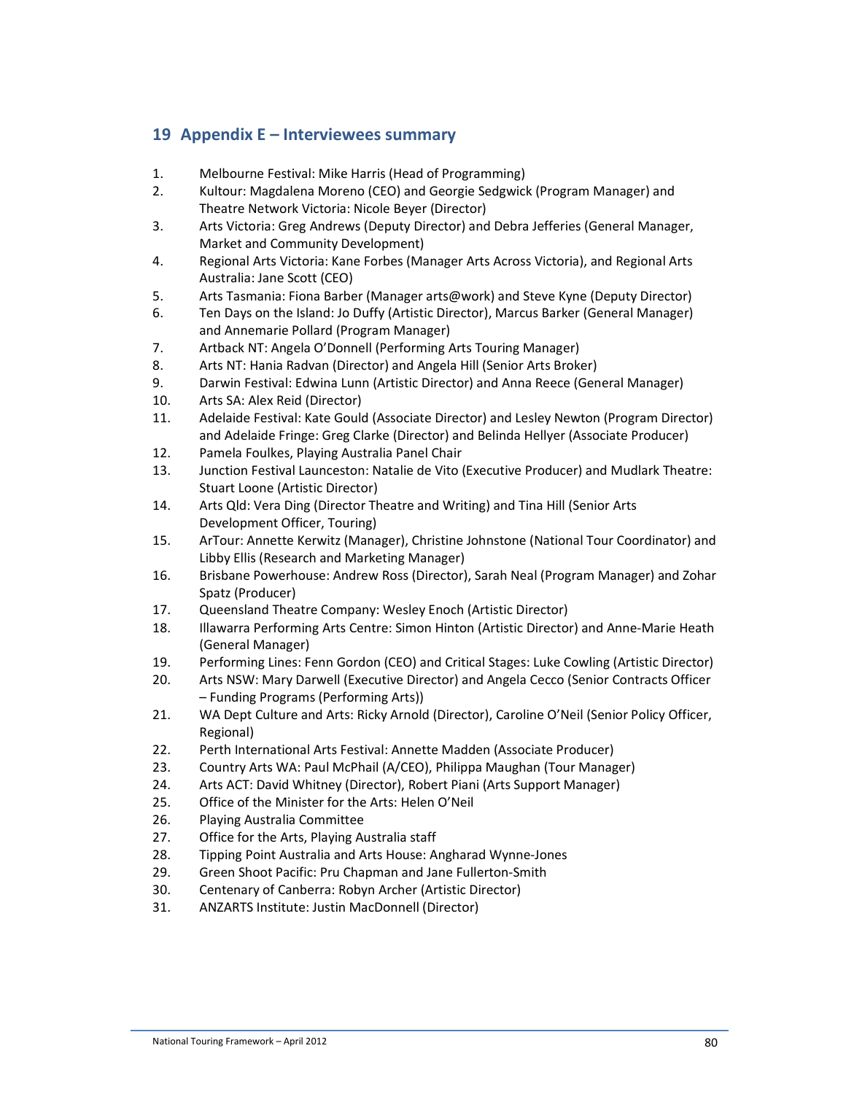# **19 Appendix E – Interviewees summary**

- 1. Melbourne Festival: Mike Harris (Head of Programming)
- 2. Kultour: Magdalena Moreno (CEO) and Georgie Sedgwick (Program Manager) and Theatre Network Victoria: Nicole Beyer (Director)
- 3. Arts Victoria: Greg Andrews (Deputy Director) and Debra Jefferies (General Manager, Market and Community Development)
- 4. Regional Arts Victoria: Kane Forbes (Manager Arts Across Victoria), and Regional Arts Australia: Jane Scott (CEO)
- 5. Arts Tasmania: Fiona Barber (Manager arts@work) and Steve Kyne (Deputy Director)
- 6. Ten Days on the Island: Jo Duffy (Artistic Director), Marcus Barker (General Manager) and Annemarie Pollard (Program Manager)
- 7. Artback NT: Angela O'Donnell (Performing Arts Touring Manager)
- 8. Arts NT: Hania Radvan (Director) and Angela Hill (Senior Arts Broker)
- 9. Darwin Festival: Edwina Lunn (Artistic Director) and Anna Reece (General Manager)
- 10. Arts SA: Alex Reid (Director)
- 11. Adelaide Festival: Kate Gould (Associate Director) and Lesley Newton (Program Director) and Adelaide Fringe: Greg Clarke (Director) and Belinda Hellyer (Associate Producer)
- 12. Pamela Foulkes, Playing Australia Panel Chair
- 13. Junction Festival Launceston: Natalie de Vito (Executive Producer) and Mudlark Theatre: Stuart Loone (Artistic Director)
- 14. Arts Qld: Vera Ding (Director Theatre and Writing) and Tina Hill (Senior Arts Development Officer, Touring)
- 15. ArTour: Annette Kerwitz (Manager), Christine Johnstone (National Tour Coordinator) and Libby Ellis (Research and Marketing Manager)
- 16. Brisbane Powerhouse: Andrew Ross (Director), Sarah Neal (Program Manager) and Zohar Spatz (Producer)
- 17. Queensland Theatre Company: Wesley Enoch (Artistic Director)
- 18. Illawarra Performing Arts Centre: Simon Hinton (Artistic Director) and Anne-Marie Heath (General Manager)
- 19. Performing Lines: Fenn Gordon (CEO) and Critical Stages: Luke Cowling (Artistic Director)
- 20. Arts NSW: Mary Darwell (Executive Director) and Angela Cecco (Senior Contracts Officer – Funding Programs (Performing Arts))
- 21. WA Dept Culture and Arts: Ricky Arnold (Director), Caroline O'Neil (Senior Policy Officer, Regional)
- 22. Perth International Arts Festival: Annette Madden (Associate Producer)
- 23. Country Arts WA: Paul McPhail (A/CEO), Philippa Maughan (Tour Manager)
- 24. Arts ACT: David Whitney (Director), Robert Piani (Arts Support Manager)
- 25. Office of the Minister for the Arts: Helen O'Neil
- 26. Playing Australia Committee
- 27. Office for the Arts, Playing Australia staff
- 28. Tipping Point Australia and Arts House: Angharad Wynne-Jones
- 29. Green Shoot Pacific: Pru Chapman and Jane Fullerton-Smith
- 30. Centenary of Canberra: Robyn Archer (Artistic Director)
- 31. ANZARTS Institute: Justin MacDonnell (Director)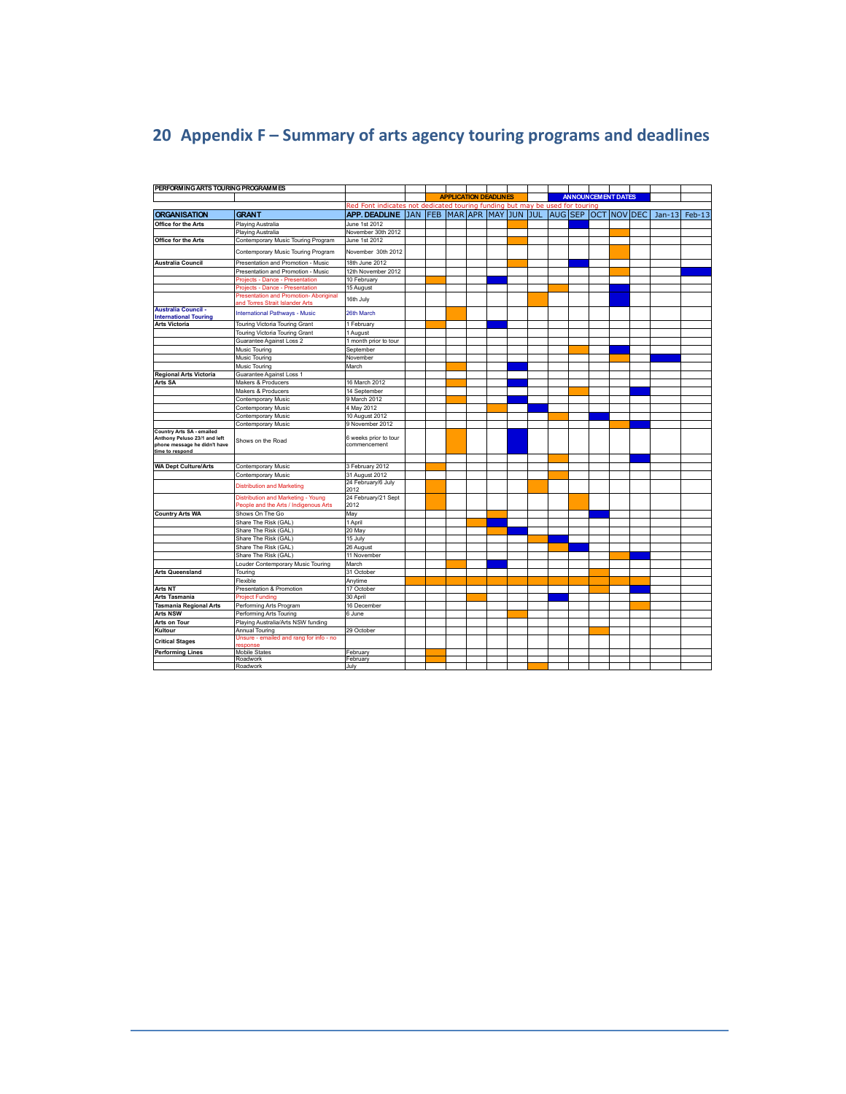# **20 Appendix F – Summary of arts agency touring programs and deadlines**

| PERFORMING ARTS TOURING PROGRAMMES                                                                           |                                                                                                             |                                                                              |  |                              |  |  |  |                           |          |        |
|--------------------------------------------------------------------------------------------------------------|-------------------------------------------------------------------------------------------------------------|------------------------------------------------------------------------------|--|------------------------------|--|--|--|---------------------------|----------|--------|
|                                                                                                              |                                                                                                             |                                                                              |  | <b>APPLICATION DEADLINES</b> |  |  |  | <b>ANNOUNCEMENT DATES</b> |          |        |
|                                                                                                              |                                                                                                             | Red Font indicates not dedicated touring funding but may be used for touring |  |                              |  |  |  |                           |          |        |
| <b>ORGANISATION</b>                                                                                          | <b>GRANT</b>                                                                                                | APP. DEADLINE JAN FEB MAR APR MAY JUN JUL AUG SEP OCT NOV DEC                |  |                              |  |  |  |                           | $Jan-13$ | Feb-13 |
| Office for the Arts                                                                                          | Playing Australia                                                                                           | June 1st 2012                                                                |  |                              |  |  |  |                           |          |        |
|                                                                                                              | Playing Australia                                                                                           | November 30th 2012                                                           |  |                              |  |  |  |                           |          |        |
| Office for the Arts                                                                                          | Contemporary Music Touring Program                                                                          | June 1st 2012                                                                |  |                              |  |  |  |                           |          |        |
|                                                                                                              |                                                                                                             |                                                                              |  |                              |  |  |  |                           |          |        |
|                                                                                                              | Contemporary Music Touring Program                                                                          | November 30th 2012                                                           |  |                              |  |  |  |                           |          |        |
| Australia Council                                                                                            | Presentation and Promotion - Music                                                                          | 18th June 2012                                                               |  |                              |  |  |  |                           |          |        |
|                                                                                                              | Presentation and Promotion - Music                                                                          | 12th November 2012                                                           |  |                              |  |  |  |                           |          |        |
|                                                                                                              | Projects - Dance - Presentation                                                                             | 10 February                                                                  |  |                              |  |  |  |                           |          |        |
|                                                                                                              | Projects - Dance - Presentation<br>Presentation and Promotion-Aboriginal<br>and Torres Strait Islander Arts | 15 August<br>16th July                                                       |  |                              |  |  |  |                           |          |        |
| <b>Australia Council -</b><br><b>International Touring</b>                                                   | <b>International Pathways - Music</b>                                                                       | 26th March                                                                   |  |                              |  |  |  |                           |          |        |
| <b>Arts Victoria</b>                                                                                         | Touring Victoria Touring Grant                                                                              | 1 February                                                                   |  |                              |  |  |  |                           |          |        |
|                                                                                                              | Touring Victoria Touring Grant                                                                              | 1 August                                                                     |  |                              |  |  |  |                           |          |        |
|                                                                                                              | Guarantee Against Loss 2                                                                                    | 1 month prior to tour                                                        |  |                              |  |  |  |                           |          |        |
|                                                                                                              | Music Touring                                                                                               | September                                                                    |  |                              |  |  |  |                           |          |        |
|                                                                                                              | Music Touring                                                                                               | November                                                                     |  |                              |  |  |  |                           |          |        |
|                                                                                                              | Music Touring                                                                                               | March                                                                        |  |                              |  |  |  |                           |          |        |
| <b>Regional Arts Victoria</b>                                                                                | Guarantee Against Loss 1                                                                                    |                                                                              |  |                              |  |  |  |                           |          |        |
| Arts SA                                                                                                      | Makers & Producers                                                                                          | 16 March 2012                                                                |  |                              |  |  |  |                           |          |        |
|                                                                                                              | Makers & Producers                                                                                          | 14 September                                                                 |  |                              |  |  |  |                           |          |        |
|                                                                                                              | Contemporary Music                                                                                          | 9 March 2012                                                                 |  |                              |  |  |  |                           |          |        |
|                                                                                                              | Contemporary Music                                                                                          | 4 May 2012                                                                   |  |                              |  |  |  |                           |          |        |
|                                                                                                              | Contemporary Music                                                                                          | 10 August 2012                                                               |  |                              |  |  |  |                           |          |        |
|                                                                                                              | Contemporary Music                                                                                          | 9 November 2012                                                              |  |                              |  |  |  |                           |          |        |
| Country Arts SA - emailed<br>Anthony Peluso 23/1 and left<br>phone message he didn't have<br>time to respond | Shows on the Road                                                                                           | 6 weeks prior to tour<br>commencement                                        |  |                              |  |  |  |                           |          |        |
|                                                                                                              |                                                                                                             |                                                                              |  |                              |  |  |  |                           |          |        |
| <b>WA Dept Culture/Arts</b>                                                                                  | Contemporary Music                                                                                          | 3 February 2012                                                              |  |                              |  |  |  |                           |          |        |
|                                                                                                              | Contemporary Music                                                                                          | 31 August 2012                                                               |  |                              |  |  |  |                           |          |        |
|                                                                                                              | <b>Distribution and Marketing</b>                                                                           | 24 February/6 July<br>2012                                                   |  |                              |  |  |  |                           |          |        |
|                                                                                                              | Distribution and Marketing - Young<br>People and the Arts / Indigenous Arts                                 | 24 February/21 Sept<br>2012                                                  |  |                              |  |  |  |                           |          |        |
| <b>Country Arts WA</b>                                                                                       | Shows On The Go                                                                                             | May                                                                          |  |                              |  |  |  |                           |          |        |
|                                                                                                              | Share The Risk (GAL)                                                                                        | 1 April                                                                      |  |                              |  |  |  |                           |          |        |
|                                                                                                              | Share The Risk (GAL)                                                                                        | 20 May                                                                       |  |                              |  |  |  |                           |          |        |
|                                                                                                              | Share The Risk (GAL)                                                                                        | 15 July                                                                      |  |                              |  |  |  |                           |          |        |
|                                                                                                              | Share The Risk (GAL)                                                                                        | 26 August                                                                    |  |                              |  |  |  |                           |          |        |
|                                                                                                              | Share The Risk (GAL)                                                                                        | 11 November                                                                  |  |                              |  |  |  |                           |          |        |
|                                                                                                              | Louder Contemporary Music Touring                                                                           | March                                                                        |  |                              |  |  |  |                           |          |        |
| <b>Arts Queensland</b>                                                                                       | Touring                                                                                                     | 31 October                                                                   |  |                              |  |  |  |                           |          |        |
|                                                                                                              | Flexible                                                                                                    | Anytime                                                                      |  |                              |  |  |  |                           |          |        |
| <b>Arts NT</b>                                                                                               | Presentation & Promotion                                                                                    | 17 October                                                                   |  |                              |  |  |  |                           |          |        |
| Arts Tasmania                                                                                                | <b>Project Funding</b>                                                                                      | 30 April                                                                     |  |                              |  |  |  |                           |          |        |
| <b>Tasmania Regional Arts</b>                                                                                | Performing Arts Program                                                                                     | 16 December                                                                  |  |                              |  |  |  |                           |          |        |
| <b>Arts NSW</b>                                                                                              | Performing Arts Touring                                                                                     | 6 June                                                                       |  |                              |  |  |  |                           |          |        |
| <b>Arts on Tour</b>                                                                                          | Playing Australia/Arts NSW funding                                                                          |                                                                              |  |                              |  |  |  |                           |          |        |
| Kultour                                                                                                      | Annual Touring                                                                                              | 29 October                                                                   |  |                              |  |  |  |                           |          |        |
| <b>Critical Stages</b>                                                                                       | Unsure - emailed and rang for info - no<br>esponse                                                          |                                                                              |  |                              |  |  |  |                           |          |        |
| <b>Performing Lines</b>                                                                                      | <b>Mobile States</b>                                                                                        | February                                                                     |  |                              |  |  |  |                           |          |        |
|                                                                                                              | Roadwork                                                                                                    | February                                                                     |  |                              |  |  |  |                           |          |        |
|                                                                                                              | Roadwork                                                                                                    | July                                                                         |  |                              |  |  |  |                           |          |        |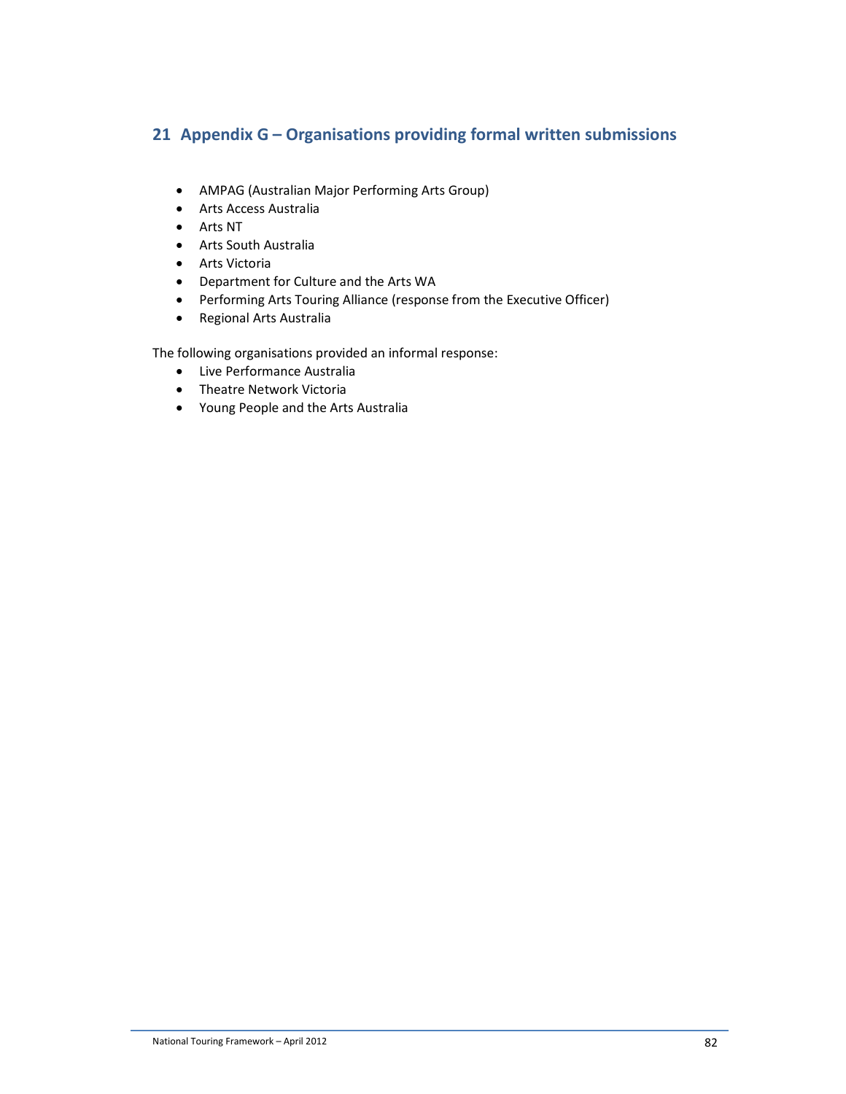# **21 Appendix G – Organisations providing formal written submissions**

- AMPAG (Australian Major Performing Arts Group)
- Arts Access Australia
- Arts NT
- Arts South Australia
- Arts Victoria
- Department for Culture and the Arts WA
- Performing Arts Touring Alliance (response from the Executive Officer)
- Regional Arts Australia

The following organisations provided an informal response:

- Live Performance Australia
- Theatre Network Victoria
- Young People and the Arts Australia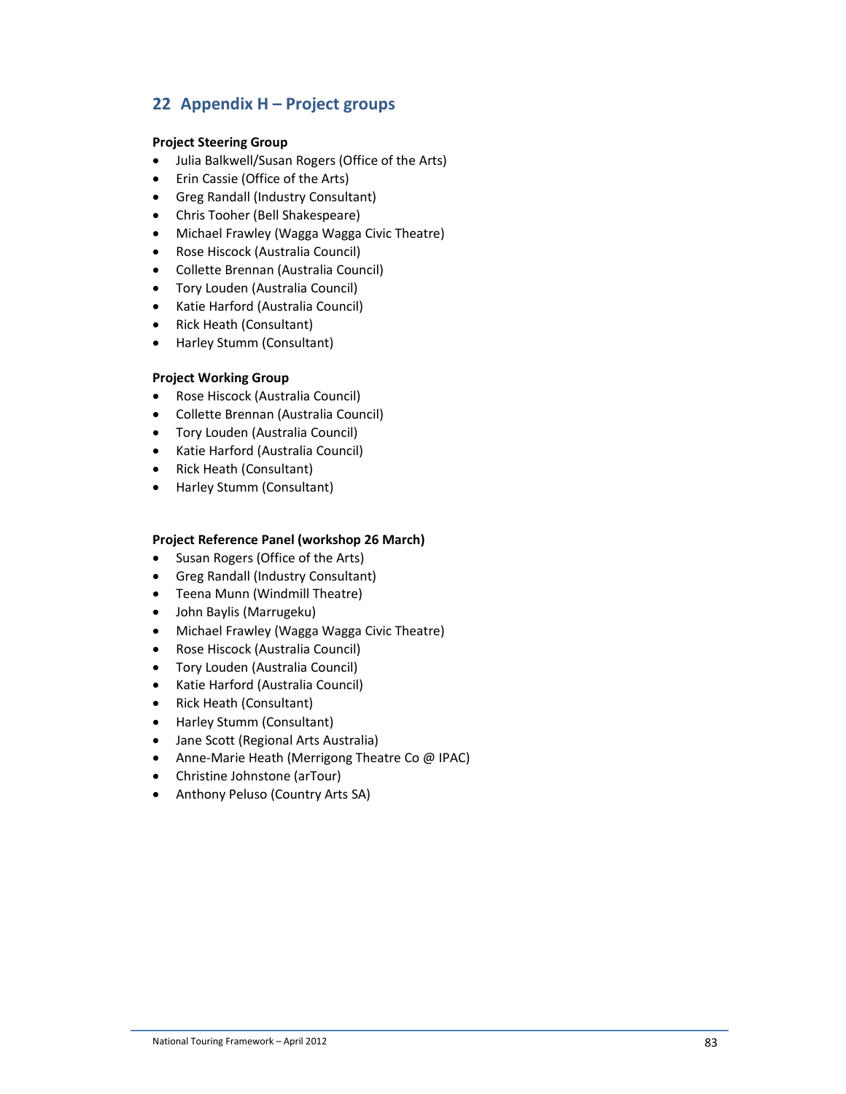# **22 Appendix H – Project groups**

### **Project Steering Group**

- Julia Balkwell/Susan Rogers (Office of the Arts)
- Erin Cassie (Office of the Arts)
- Greg Randall (Industry Consultant)
- Chris Tooher (Bell Shakespeare)
- Michael Frawley (Wagga Wagga Civic Theatre)
- Rose Hiscock (Australia Council)
- Collette Brennan (Australia Council)
- Tory Louden (Australia Council)
- Katie Harford (Australia Council)
- Rick Heath (Consultant)
- Harley Stumm (Consultant)

### **Project Working Group**

- Rose Hiscock (Australia Council)
- Collette Brennan (Australia Council)
- Tory Louden (Australia Council)
- Katie Harford (Australia Council)
- Rick Heath (Consultant)
- Harley Stumm (Consultant)

### **Project Reference Panel (workshop 26 March)**

- Susan Rogers (Office of the Arts)
- Greg Randall (Industry Consultant)
- Teena Munn (Windmill Theatre)
- John Baylis (Marrugeku)
- Michael Frawley (Wagga Wagga Civic Theatre)
- Rose Hiscock (Australia Council)
- Tory Louden (Australia Council)
- Katie Harford (Australia Council)
- Rick Heath (Consultant)
- Harley Stumm (Consultant)
- Jane Scott (Regional Arts Australia)
- Anne-Marie Heath (Merrigong Theatre Co @ IPAC)
- Christine Johnstone (arTour)
- Anthony Peluso (Country Arts SA)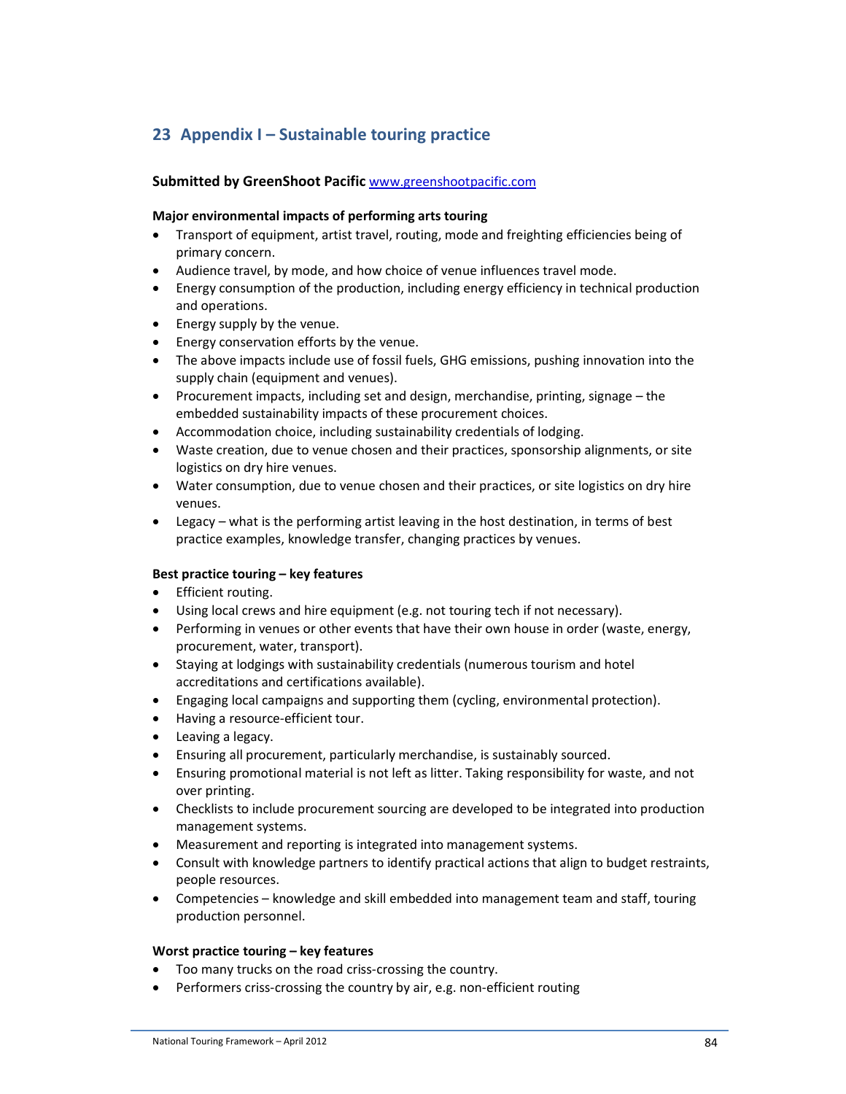# **23 Appendix I – Sustainable touring practice**

### **Submitted by GreenShoot Pacific** www.greenshootpacific.com

#### **Major environmental impacts of performing arts touring**

- Transport of equipment, artist travel, routing, mode and freighting efficiencies being of primary concern.
- Audience travel, by mode, and how choice of venue influences travel mode.
- Energy consumption of the production, including energy efficiency in technical production and operations.
- Energy supply by the venue.
- Energy conservation efforts by the venue.
- The above impacts include use of fossil fuels, GHG emissions, pushing innovation into the supply chain (equipment and venues).
- Procurement impacts, including set and design, merchandise, printing, signage the embedded sustainability impacts of these procurement choices.
- Accommodation choice, including sustainability credentials of lodging.
- Waste creation, due to venue chosen and their practices, sponsorship alignments, or site logistics on dry hire venues.
- Water consumption, due to venue chosen and their practices, or site logistics on dry hire venues.
- Legacy what is the performing artist leaving in the host destination, in terms of best practice examples, knowledge transfer, changing practices by venues.

### **Best practice touring – key features**

- Efficient routing.
- Using local crews and hire equipment (e.g. not touring tech if not necessary).
- Performing in venues or other events that have their own house in order (waste, energy, procurement, water, transport).
- Staying at lodgings with sustainability credentials (numerous tourism and hotel accreditations and certifications available).
- Engaging local campaigns and supporting them (cycling, environmental protection).
- Having a resource-efficient tour.
- Leaving a legacy.
- Ensuring all procurement, particularly merchandise, is sustainably sourced.
- Ensuring promotional material is not left as litter. Taking responsibility for waste, and not over printing.
- Checklists to include procurement sourcing are developed to be integrated into production management systems.
- Measurement and reporting is integrated into management systems.
- Consult with knowledge partners to identify practical actions that align to budget restraints, people resources.
- Competencies knowledge and skill embedded into management team and staff, touring production personnel.

### **Worst practice touring – key features**

- Too many trucks on the road criss-crossing the country.
- Performers criss-crossing the country by air, e.g. non-efficient routing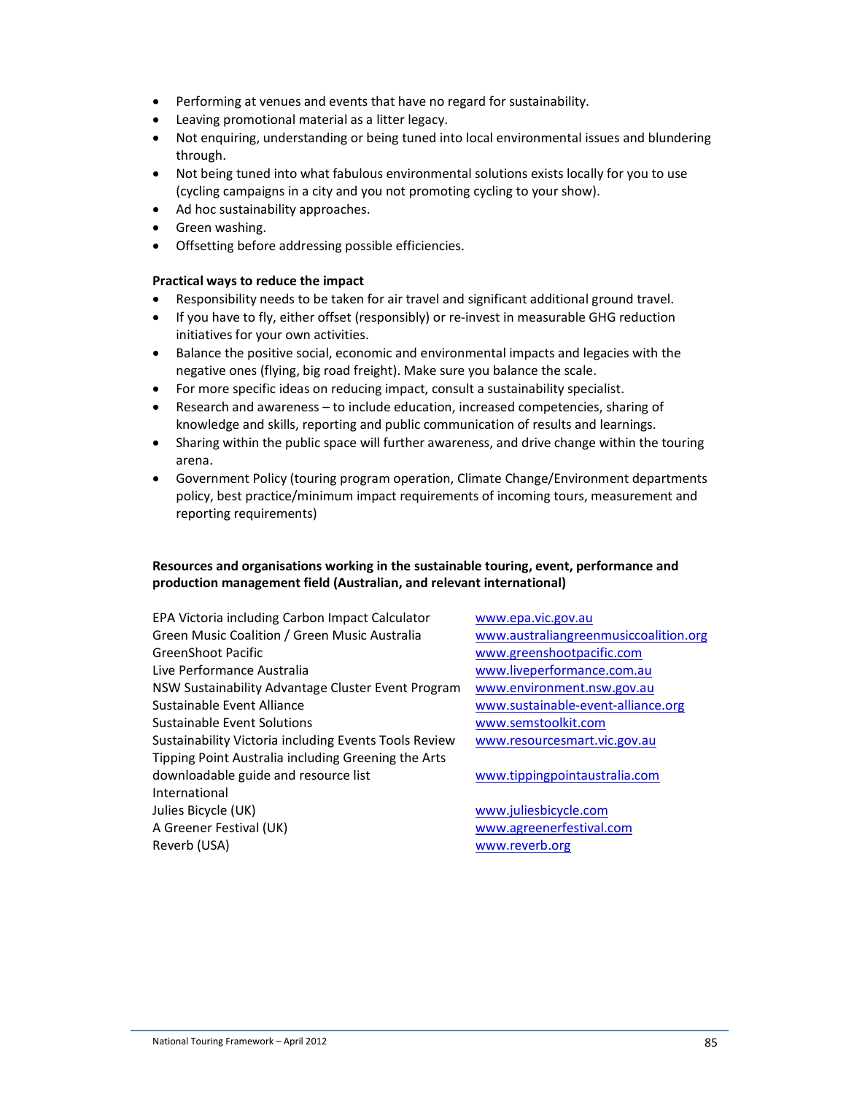- Performing at venues and events that have no regard for sustainability.
- Leaving promotional material as a litter legacy.
- Not enquiring, understanding or being tuned into local environmental issues and blundering through.
- Not being tuned into what fabulous environmental solutions exists locally for you to use (cycling campaigns in a city and you not promoting cycling to your show).
- Ad hoc sustainability approaches.
- Green washing.
- Offsetting before addressing possible efficiencies.

### **Practical ways to reduce the impact**

- Responsibility needs to be taken for air travel and significant additional ground travel.
- If you have to fly, either offset (responsibly) or re-invest in measurable GHG reduction initiatives for your own activities.
- Balance the positive social, economic and environmental impacts and legacies with the negative ones (flying, big road freight). Make sure you balance the scale.
- For more specific ideas on reducing impact, consult a sustainability specialist.
- Research and awareness to include education, increased competencies, sharing of knowledge and skills, reporting and public communication of results and learnings.
- Sharing within the public space will further awareness, and drive change within the touring arena.
- Government Policy (touring program operation, Climate Change/Environment departments policy, best practice/minimum impact requirements of incoming tours, measurement and reporting requirements)

### **Resources and organisations working in the sustainable touring, event, performance and production management field (Australian, and relevant international)**

EPA Victoria including Carbon Impact Calculator www.epa.vic.gov.au Green Music Coalition / Green Music Australia www.australiangreenmusiccoalition.org GreenShoot Pacific www.greenshootpacific.com Live Performance Australia www.liveperformance.com.au NSW Sustainability Advantage Cluster Event Program www.environment.nsw.gov.au Sustainable Event Alliance www.sustainable-event-alliance.org Sustainable Event Solutions www.semstoolkit.com Sustainability Victoria including Events Tools Review www.resourcesmart.vic.gov.au Tipping Point Australia including Greening the Arts downloadable guide and resource list www.tippingpointaustralia.com International Julies Bicycle (UK) www.juliesbicycle.com A Greener Festival (UK) www.agreenerfestival.com Reverb (USA) www.reverb.org